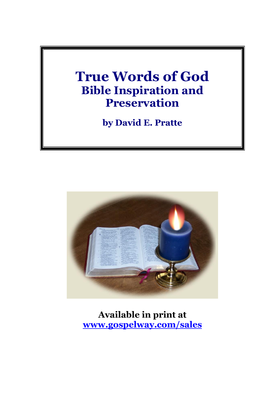# **True Words of God Bible Inspiration and Preservation**

**by David E. Pratte**



**Available in print at [www.gospelway.com/sales](https://www.gospelway.com/sales)**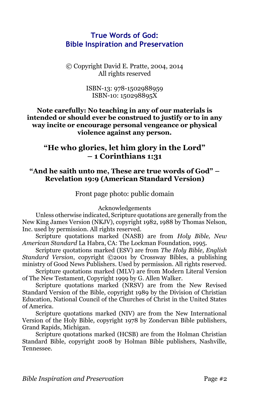# **True Words of God: Bible Inspiration and Preservation**

© Copyright David E. Pratte, 2004, 2014 All rights reserved

> ISBN-13: 978-1502988959 ISBN-10: 150298895X

### **Note carefully: No teaching in any of our materials is intended or should ever be construed to justify or to in any way incite or encourage personal vengeance or physical violence against any person.**

# **"He who glories, let him glory in the Lord" – 1 Corinthians 1:31**

## **"And he saith unto me, These are true words of God" – Revelation 19:9 (American Standard Version)**

Front page photo: public domain

Acknowledgements

Unless otherwise indicated, Scripture quotations are generally from the New King James Version (NKJV), copyright 1982, 1988 by Thomas Nelson, Inc. used by permission. All rights reserved.

Scripture quotations marked (NASB) are from *Holy Bible, New American Standard* La Habra, CA: The Lockman Foundation, 1995.

Scripture quotations marked (ESV) are from *The Holy Bible, English Standard Version*, copyright ©2001 by Crossway Bibles, a publishing ministry of Good News Publishers. Used by permission. All rights reserved.

Scripture quotations marked (MLV) are from Modern Literal Version of The New Testament, Copyright 1999 by G. Allen Walker.

Scripture quotations marked (NRSV) are from the New Revised Standard Version of the Bible, copyright 1989 by the Division of Christian Education, National Council of the Churches of Christ in the United States of America.

Scripture quotations marked (NIV) are from the New International Version of the Holy Bible, copyright 1978 by Zondervan Bible publishers, Grand Rapids, Michigan.

Scripture quotations marked (HCSB) are from the Holman Christian Standard Bible, copyright 2008 by Holman Bible publishers, Nashville, Tennessee.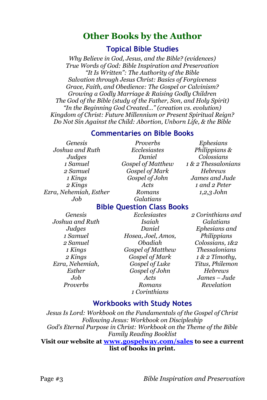# **Other Books by the Author**

# **Topical Bible Studies**

*Why Believe in God, Jesus, and the Bible? (evidences) True Words of God: Bible Inspiration and Preservation "It Is Written": The Authority of the Bible Salvation through Jesus Christ: Basics of Forgiveness Grace, Faith, and Obedience: The Gospel or Calvinism? Growing a Godly Marriage & Raising Godly Children The God of the Bible (study of the Father, Son, and Holy Spirit) "In the Beginning God Created…" (creation vs. evolution) Kingdom of Christ: Future Millennium or Present Spiritual Reign? Do Not Sin Against the Child: Abortion, Unborn Life, & the Bible*

# **Commentaries on Bible Books**

*Genesis Joshua and Ruth Judges 1 Samuel 2 Samuel 1 Kings 2 Kings Ezra, Nehemiah, Esther Job*

*Proverbs Ecclesiastes Daniel Gospel of Matthew Gospel of Mark Gospel of John Acts Romans Galatians*

*Ephesians Philippians & Colossians 1 & 2 Thessalonians Hebrews James and Jude 1 and 2 Peter 1,2,3 John*

# **Bible Question Class Books**

*Genesis Joshua and Ruth Judges 1 Samuel 2 Samuel 1 Kings 2 Kings Ezra, Nehemiah, Esther Job Proverbs*

*Ecclesiastes Isaiah Daniel Hosea, Joel, Amos, Obadiah Gospel of Matthew Gospel of Mark Gospel of Luke Gospel of John Acts Romans 1 Corinthians*

*2 Corinthians and Galatians Ephesians and Philippians Colossians, 1&2 Thessalonians 1 & 2 Timothy, Titus, Philemon Hebrews James – Jude Revelation*

# **Workbooks with Study Notes**

*Jesus Is Lord: Workbook on the Fundamentals of the Gospel of Christ Following Jesus: Workbook on Discipleship God's Eternal Purpose in Christ: Workbook on the Theme of the Bible Family Reading Booklist* **Visit our website at [www.gospelway.com/sales](https://www.gospelway.com/sales) to see a current list of books in print.**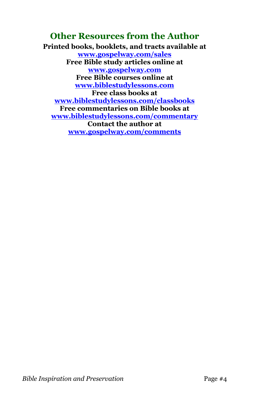# **Other Resources from the Author**

**Printed books, booklets, and tracts available at [www.gospelway.com/sales](https://www.gospelway.com/sales) Free Bible study articles online at [www.gospelway.com](http://www.gospelway.com/) Free Bible courses online at [www.biblestudylessons.com](http://www.biblestudylessons.com/) Free class books at [www.biblestudylessons.com/classbooks](http://www.biblestudylessons.com/classbooks) Free commentaries on Bible books at [www.biblestudylessons.com/commentary](https://www.biblestudylessons.com/commentary) Contact the author at [www.gospelway.com/comments](http://www.gospelway.com/comments)**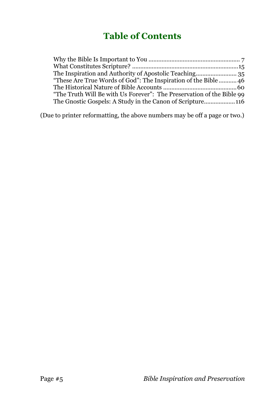# **Table of Contents**

| "These Are True Words of God": The Inspiration of the Bible46         |  |
|-----------------------------------------------------------------------|--|
|                                                                       |  |
| "The Truth Will Be with Us Forever": The Preservation of the Bible 99 |  |
|                                                                       |  |
|                                                                       |  |

(Due to printer reformatting, the above numbers may be off a page or two.)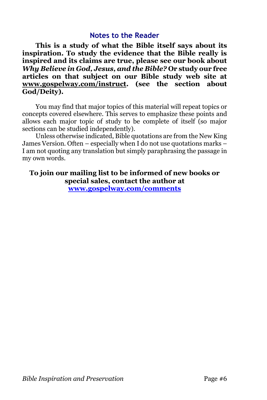## **Notes to the Reader**

**This is a study of what the Bible itself says about its inspiration. To study the evidence that the Bible really is inspired and its claims are true, please see our book about**  *Why Believe in God, Jesus, and the Bible?* **Or study our free articles on that subject on our Bible study web site at [www.gospelway.com/instruct.](http://www.gospelway.com/instruct) (see the section about God/Deity).** 

You may find that major topics of this material will repeat topics or concepts covered elsewhere. This serves to emphasize these points and allows each major topic of study to be complete of itself (so major sections can be studied independently).

Unless otherwise indicated, Bible quotations are from the New King James Version. Often – especially when I do not use quotations marks – I am not quoting any translation but simply paraphrasing the passage in my own words.

**To join our mailing list to be informed of new books or special sales, contact the author at [www.gospelway.com/comments](http://www.gospelway.com/comments)**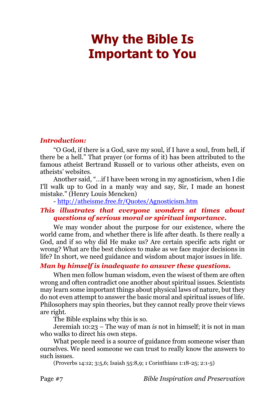# <span id="page-6-0"></span>**Why the Bible Is Important to You**

#### *Introduction:*

"O God, if there is a God, save my soul, if I have a soul, from hell, if there be a hell." That prayer (or forms of it) has been attributed to the famous atheist Bertrand Russell or to various other atheists, even on atheists' websites.

Another said, "…if I have been wrong in my agnosticism, when I die I'll walk up to God in a manly way and say, Sir, I made an honest mistake." (Henry Louis Mencken)

- <http://atheisme.free.fr/Quotes/Agnosticism.htm>

### *This illustrates that everyone wonders at times about questions of serious moral or spiritual importance.*

We may wonder about the purpose for our existence, where the world came from, and whether there is life after death. Is there really a God, and if so why did He make us? Are certain specific acts right or wrong? What are the best choices to make as we face major decisions in life? In short, we need guidance and wisdom about major issues in life.

### *Man by himself is inadequate to answer these questions.*

When men follow human wisdom, even the wisest of them are often wrong and often contradict one another about spiritual issues. Scientists may learn some important things about physical laws of nature, but they do not even attempt to answer the basic moral and spiritual issues of life. Philosophers may spin theories, but they cannot really prove their views are right.

The Bible explains why this is so.

Jeremiah 10:23 – The way of man *is* not in himself; it is not in man who walks to direct his own steps.

What people need is a source of guidance from someone wiser than ourselves. We need someone we can trust to really know the answers to such issues.

(Proverbs 14:12; 3:5,6; Isaiah 55:8,9; 1 Corinthians 1:18-25; 2:1-5)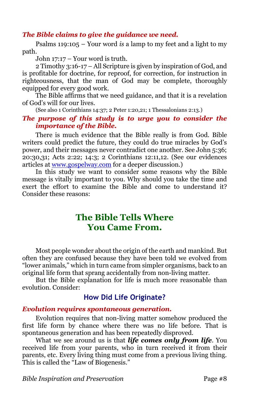### *The Bible claims to give the guidance we need.*

Psalms 119:105 – Your word *is* a lamp to my feet and a light to my path.

John 17:17 – Your word is truth.

2 Timothy 3:16-17 – All Scripture is given by inspiration of God, and is profitable for doctrine, for reproof, for correction, for instruction in righteousness, that the man of God may be complete, thoroughly equipped for every good work.

The Bible affirms that we need guidance, and that it is a revelation of God's will for our lives.

(See also 1 Corinthians 14:37; 2 Peter 1:20,21; 1 Thessalonians 2:13.)

### *The purpose of this study is to urge you to consider the importance of the Bible.*

There is much evidence that the Bible really is from God. Bible writers could predict the future, they could do true miracles by God's power, and their messages never contradict one another. See John 5:36; 20:30,31; Acts 2:22; 14:3; 2 Corinthians 12:11,12. (See our evidences articles a[t www.gospelway.com](http://www.gospelway.com/) for a deeper discussion.)

In this study we want to consider some reasons why the Bible message is vitally important to you. Why should you take the time and exert the effort to examine the Bible and come to understand it? Consider these reasons:

# **The Bible Tells Where You Came From.**

Most people wonder about the origin of the earth and mankind. But often they are confused because they have been told we evolved from "lower animals," which in turn came from simpler organisms, back to an original life form that sprang accidentally from non-living matter.

But the Bible explanation for life is much more reasonable than evolution. Consider:

# **How Did Life Originate?**

#### *Evolution requires spontaneous generation.*

Evolution requires that non-living matter somehow produced the first life form by chance where there was no life before. That is spontaneous generation and has been repeatedly disproved.

What we see around us is that *life comes only from life*. You received life from your parents, who in turn received it from their parents, etc. Every living thing must come from a previous living thing. This is called the "Law of Biogenesis."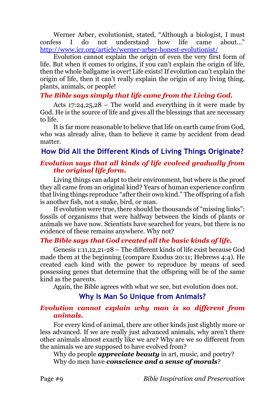Werner Arber, evolutionist, stated, "Although a biologist, I must confess I do not understand how life came about..." <http://www.icr.org/article/werner-arber-honest-evolutionist/>

Evolution cannot explain the origin of even the very first form of life. But when it comes to origins, if you can't explain the origin of life, then the whole ballgame is over! Life exists! If evolution can't explain the origin of life, then it can't really explain the origin of any living thing, plants, animals, or people!

### *The Bible says simply that life came from the Living God.*

Acts 17:24,25,28 – The world and everything in it were made by God. He is the source of life and gives all the blessings that are necessary to life.

It is far more reasonable to believe that life on earth came from God, who was already alive, than to believe it came by accident from dead matter.

# **How Did All the Different Kinds of Living Things Originate?**

## *Evolution says that all kinds of life evolved gradually from the original life form.*

Living things can adapt to their environment, but where is the proof they all came from an original kind? Years of human experience confirm that living things reproduce "after their own kind." The offspring of a fish is another fish, not a snake, bird, or man.

If evolution were true, there should be thousands of "missing links": fossils of organisms that were halfway between the kinds of plants or animals we have now. Scientists have searched for years, but there is no evidence of these remains anywhere. Why not?

# *The Bible says that God created all the basic kinds of life.*

Genesis 1:11,12,21-28 – The different kinds of life exist because God made them at the beginning (compare Exodus 20:11; Hebrews 4:4). He created each kind with the power to reproduce by means of seed possessing genes that determine that the offspring will be of the same kind as the parents.

Again, the Bible agrees with what we see, but evolution does not.

# **Why Is Man So Unique from Animals?**

### *Evolution cannot explain why man is so different from animals.*

For every kind of animal, there are other kinds just slightly more or less advanced. If we are really just advanced animals, why aren't there other animals almost exactly like we are? Why are we so different from the animals we are supposed to have evolved from?

Why do people *appreciate beauty* in art, music, and poetry? Why do men have *conscience and a sense of morals*?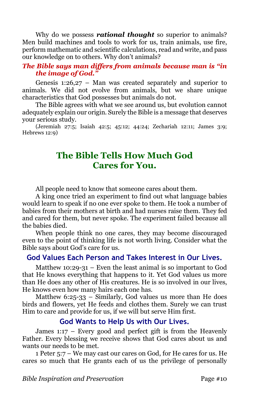Why do we possess *rational thought* so superior to animals? Men build machines and tools to work for us, train animals, use fire, perform mathematic and scientific calculations, read and write, and pass our knowledge on to others. Why don't animals?

### *The Bible says man differs from animals because man is "in the image of God."*

Genesis 1:26,27 – Man was created separately and superior to animals. We did not evolve from animals, but we share unique characteristics that God possesses but animals do not.

The Bible agrees with what we see around us, but evolution cannot adequately explain our origin. Surely the Bible is a message that deserves your serious study.

(Jeremiah 27:5; Isaiah 42:5; 45:12; 44:24; Zechariah 12:11; James 3:9; Hebrews 12:9)

# **The Bible Tells How Much God Cares for You.**

All people need to know that someone cares about them.

A king once tried an experiment to find out what language babies would learn to speak if no one ever spoke to them. He took a number of babies from their mothers at birth and had nurses raise them. They fed and cared for them, but never spoke. The experiment failed because all the babies died.

When people think no one cares, they may become discouraged even to the point of thinking life is not worth living. Consider what the Bible says about God's care for us.

## **God Values Each Person and Takes Interest in Our Lives.**

Matthew 10:29-31 – Even the least animal is so important to God that He knows everything that happens to it. Yet God values us more than He does any other of His creatures. He is so involved in our lives, He knows even how many hairs each one has.

Matthew 6:25-33 – Similarly, God values us more than He does birds and flowers, yet He feeds and clothes them. Surely we can trust Him to care and provide for us, if we will but serve Him first.

### **God Wants to Help Us with Our Lives.**

James 1:17 – Every good and perfect gift is from the Heavenly Father. Every blessing we receive shows that God cares about us and wants our needs to be met.

1 Peter 5:7 – We may cast our cares on God, for He cares for us. He cares so much that He grants each of us the privilege of personally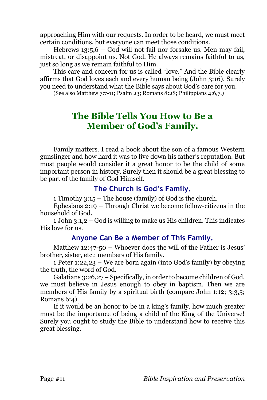approaching Him with our requests. In order to be heard, we must meet certain conditions, but everyone can meet those conditions.

Hebrews 13:5,6 – God will not fail nor forsake us. Men may fail, mistreat, or disappoint us. Not God. He always remains faithful to us, just so long as we remain faithful to Him.

This care and concern for us is called "love." And the Bible clearly affirms that God loves each and every human being (John 3:16). Surely you need to understand what the Bible says about God's care for you.

(See also Matthew 7:7-11; Psalm 23; Romans 8:28; Philippians 4:6,7.)

# **The Bible Tells You How to Be a Member of God's Family.**

Family matters. I read a book about the son of a famous Western gunslinger and how hard it was to live down his father's reputation. But most people would consider it a great honor to be the child of some important person in history. Surely then it should be a great blessing to be part of the family of God Himself.

## **The Church Is God's Family.**

1 Timothy 3:15 – The house (family) of God is the church.

Ephesians 2:19 – Through Christ we become fellow-citizens in the household of God.

1 John 3:1,2 – God is willing to make us His children. This indicates His love for us.

# **Anyone Can Be a Member of This Family.**

Matthew 12:47-50 – Whoever does the will of the Father is Jesus' brother, sister, etc.: members of His family.

1 Peter 1:22,23 – We are born again (into God's family) by obeying the truth, the word of God.

Galatians 3:26,27 – Specifically, in order to become children of God, we must believe in Jesus enough to obey in baptism. Then we are members of His family by a spiritual birth (compare John 1:12; 3:3,5; Romans 6:4).

If it would be an honor to be in a king's family, how much greater must be the importance of being a child of the King of the Universe! Surely you ought to study the Bible to understand how to receive this great blessing.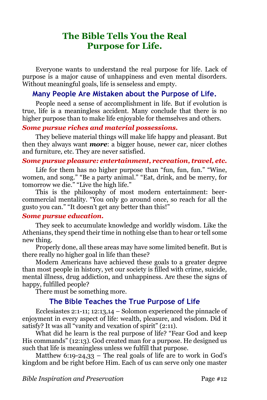# **The Bible Tells You the Real Purpose for Life.**

Everyone wants to understand the real purpose for life. Lack of purpose is a major cause of unhappiness and even mental disorders. Without meaningful goals, life is senseless and empty.

### **Many People Are Mistaken about the Purpose of Life.**

People need a sense of accomplishment in life. But if evolution is true, life is a meaningless accident. Many conclude that there is no higher purpose than to make life enjoyable for themselves and others.

### *Some pursue riches and material possessions.*

They believe material things will make life happy and pleasant. But then they always want *more*: a bigger house, newer car, nicer clothes and furniture, etc. They are never satisfied.

#### *Some pursue pleasure: entertainment, recreation, travel, etc.*

Life for them has no higher purpose than "fun, fun, fun." "Wine, women, and song." "Be a party animal." "Eat, drink, and be merry, for tomorrow we die." "Live the high life."

This is the philosophy of most modern entertainment: beercommercial mentality. "You only go around once, so reach for all the gusto you can." "It doesn't get any better than this!"

#### *Some pursue education.*

They seek to accumulate knowledge and worldly wisdom. Like the Athenians, they spend their time in nothing else than to hear or tell some new thing.

Properly done, all these areas may have some limited benefit. But is there really no higher goal in life than these?

Modern Americans have achieved these goals to a greater degree than most people in history, yet our society is filled with crime, suicide, mental illness, drug addiction, and unhappiness. Are these the signs of happy, fulfilled people?

There must be something more.

# **The Bible Teaches the True Purpose of Life**

Ecclesiastes 2:1-11; 12:13,14 – Solomon experienced the pinnacle of enjoyment in every aspect of life: wealth, pleasure, and wisdom. Did it satisfy? It was all "vanity and vexation of spirit" (2:11).

What did he learn is the real purpose of life? "Fear God and keep His commands" (12:13). God created man for a purpose. He designed us such that life is meaningless unless we fulfill that purpose.

Matthew 6:19-24,33 – The real goals of life are to work in God's kingdom and be right before Him. Each of us can serve only one master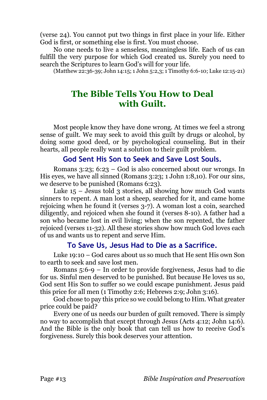(verse 24). You cannot put two things in first place in your life. Either God is first, or something else is first. You must choose.

No one needs to live a senseless, meaningless life. Each of us can fulfill the very purpose for which God created us. Surely you need to search the Scriptures to learn God's will for your life.

(Matthew 22:36-39; John 14:15; 1 John 5:2,3; 1 Timothy 6:6-10; Luke 12:15-21)

# **The Bible Tells You How to Deal with Guilt.**

Most people know they have done wrong. At times we feel a strong sense of guilt. We may seek to avoid this guilt by drugs or alcohol, by doing some good deed, or by psychological counseling. But in their hearts, all people really want a solution to their guilt problem.

### **God Sent His Son to Seek and Save Lost Souls.**

Romans 3:23; 6:23 – God is also concerned about our wrongs. In His eyes, we have all sinned (Romans 3:23; 1 John 1:8,10). For our sins, we deserve to be punished (Romans 6:23).

Luke  $15$  – Jesus told 3 stories, all showing how much God wants sinners to repent. A man lost a sheep, searched for it, and came home rejoicing when he found it (verses 3-7). A woman lost a coin, searched diligently, and rejoiced when she found it (verses 8-10). A father had a son who became lost in evil living; when the son repented, the father rejoiced (verses 11-32). All these stories show how much God loves each of us and wants us to repent and serve Him.

# **To Save Us, Jesus Had to Die as a Sacrifice.**

Luke 19:10 – God cares about us so much that He sent His own Son to earth to seek and save lost men.

Romans 5:6-9 – In order to provide forgiveness, Jesus had to die for us. Sinful men deserved to be punished. But because He loves us so, God sent His Son to suffer so we could escape punishment. Jesus paid this price for all men (1 Timothy 2:6; Hebrews 2:9; John 3:16).

God chose to pay this price so we could belong to Him. What greater price could be paid?

Every one of us needs our burden of guilt removed. There is simply no way to accomplish that except through Jesus (Acts 4:12; John 14:6). And the Bible is the only book that can tell us how to receive God's forgiveness. Surely this book deserves your attention.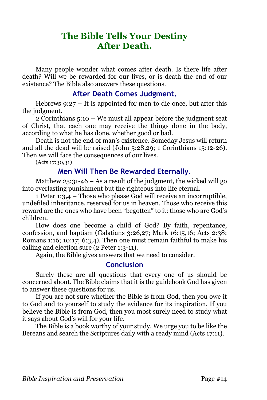# **The Bible Tells Your Destiny After Death.**

Many people wonder what comes after death. Is there life after death? Will we be rewarded for our lives, or is death the end of our existence? The Bible also answers these questions.

### **After Death Comes Judgment.**

Hebrews 9:27 – It is appointed for men to die once, but after this the judgment.

2 Corinthians 5:10 – We must all appear before the judgment seat of Christ, that each one may receive the things done in the body, according to what he has done, whether good or bad.

Death is not the end of man's existence. Someday Jesus will return and all the dead will be raised (John 5:28,29; 1 Corinthians 15:12-26). Then we will face the consequences of our lives.

(Acts 17:30,31)

### **Men Will Then Be Rewarded Eternally.**

Matthew  $25:31-46$  – As a result of the judgment, the wicked will go into everlasting punishment but the righteous into life eternal.

1 Peter 1:3,4 – Those who please God will receive an incorruptible, undefiled inheritance, reserved for us in heaven. Those who receive this reward are the ones who have been "begotten" to it: those who are God's children.

How does one become a child of God? By faith, repentance, confession, and baptism (Galatians 3:26,27; Mark 16:15,16; Acts 2:38; Romans 1:16; 10:17; 6:3,4). Then one must remain faithful to make his calling and election sure (2 Peter 1:3-11).

Again, the Bible gives answers that we need to consider.

# **Conclusion**

Surely these are all questions that every one of us should be concerned about. The Bible claims that it is the guidebook God has given to answer these questions for us.

If you are not sure whether the Bible is from God, then you owe it to God and to yourself to study the evidence for its inspiration. If you believe the Bible is from God, then you most surely need to study what it says about God's will for your life.

The Bible is a book worthy of your study. We urge you to be like the Bereans and search the Scriptures daily with a ready mind (Acts 17:11).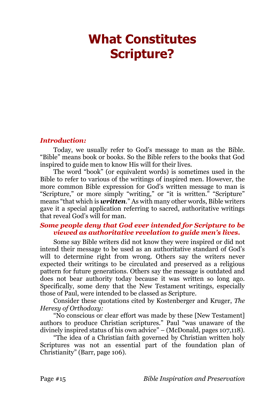# <span id="page-14-0"></span>**What Constitutes Scripture?**

#### *Introduction:*

Today, we usually refer to God's message to man as the Bible. "Bible" means book or books. So the Bible refers to the books that God inspired to guide men to know His will for their lives.

The word "book" (or equivalent words) is sometimes used in the Bible to refer to various of the writings of inspired men. However, the more common Bible expression for God's written message to man is "Scripture," or more simply "writing," or "it is written." "Scripture" means "that which is *written*." As with many other words, Bible writers gave it a special application referring to sacred, authoritative writings that reveal God's will for man.

#### *Some people deny that God ever intended for Scripture to be viewed as authoritative revelation to guide men's lives.*

Some say Bible writers did not know they were inspired or did not intend their message to be used as an authoritative standard of God's will to determine right from wrong. Others say the writers never expected their writings to be circulated and preserved as a religious pattern for future generations. Others say the message is outdated and does not bear authority today because it was written so long ago. Specifically, some deny that the New Testament writings, especially those of Paul, were intended to be classed as Scripture.

Consider these quotations cited by Kostenberger and Kruger, *The Heresy of Orthodoxy:*

"No conscious or clear effort was made by these [New Testament] authors to produce Christian scriptures." Paul "was unaware of the divinely inspired status of his own advice" – (McDonald, pages 107,118).

"The idea of a Christian faith governed by Christian written holy Scriptures was not an essential part of the foundation plan of Christianity" (Barr, page 106).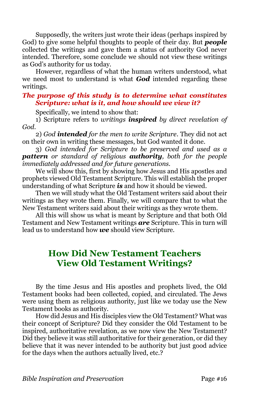Supposedly, the writers just wrote their ideas (perhaps inspired by God) to give some helpful thoughts to people of their day. But *people* collected the writings and gave them a status of authority God never intended. Therefore, some conclude we should not view these writings as God's authority for us today.

However, regardless of what the human writers understood, what we need most to understand is what *God* intended regarding these writings.

#### *The purpose of this study is to determine what constitutes Scripture: what is it, and how should we view it?*

Specifically, we intend to show that:

1) Scripture refers to *writings inspired by direct revelation of God*.

2) *God intended for the men to write Scripture*. They did not act on their own in writing these messages, but God wanted it done.

3) *God intended for Scripture to be preserved and used as a pattern or standard of religious authority, both for the people immediately addressed and for future generations.*

We will show this, first by showing how Jesus and His apostles and prophets viewed Old Testament Scripture. This will establish the proper understanding of what Scripture *is* and how it should be viewed.

Then we will study what the Old Testament writers said about their writings as they wrote them. Finally, we will compare that to what the New Testament writers said about their writings as they wrote them.

All this will show us what is meant by Scripture and that both Old Testament and New Testament writings *are* Scripture. This in turn will lead us to understand how *we* should view Scripture.

# **How Did New Testament Teachers View Old Testament Writings?**

By the time Jesus and His apostles and prophets lived, the Old Testament books had been collected, copied, and circulated. The Jews were using them as religious authority, just like we today use the New Testament books as authority.

How did Jesus and His disciples view the Old Testament? What was their concept of Scripture? Did they consider the Old Testament to be inspired, authoritative revelation, as we now view the New Testament? Did they believe it was still authoritative for their generation, or did they believe that it was never intended to be authority but just good advice for the days when the authors actually lived, etc.?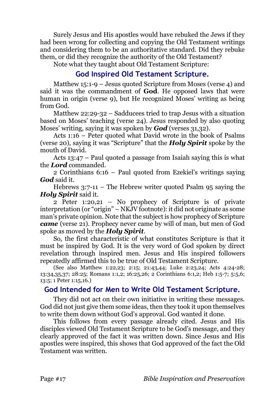Surely Jesus and His apostles would have rebuked the Jews if they had been wrong for collecting and copying the Old Testament writings and considering them to be an authoritative standard. Did they rebuke them, or did they recognize the authority of the Old Testament?

Note what they taught about Old Testament Scripture:

# **God Inspired Old Testament Scripture.**

Matthew 15:1-9 – Jesus quoted Scripture from Moses (verse 4) and said it was the commandment of **God**. He opposed laws that were human in origin (verse 9), but He recognized Moses' writing as being from God.

Matthew 22:29-32 – Sadducees tried to trap Jesus with a situation based on Moses' teaching (verse 24). Jesus responded by also quoting Moses' writing, saying it was spoken by *God* (verses 31,32).

Acts 1:16 – Peter quoted what David wrote in the book of Psalms (verse 20), saying it was "Scripture" that the *Holy Spirit* spoke by the mouth of David.

Acts 13:47 – Paul quoted a passage from Isaiah saying this is what the *Lord* commanded.

2 Corinthians 6:16 – Paul quoted from Ezekiel's writings saying *God* said it.

Hebrews  $3:7-11$  – The Hebrew writer quoted Psalm  $95$  saying the *Holy Spirit* said it.

2 Peter 1:20,21 – No prophecy of Scripture is of private interpretation (or "origin" – NKJV footnote): it did not originate as some man's private opinion. Note that the subject is how prophecy of Scripture *came* (verse 21). Prophecy never came by will of man, but men of God spoke as moved by the *Holy Spirit*.

So, the first characteristic of what constitutes Scripture is that it must be inspired by God. It is the very word of God spoken by direct revelation through inspired men. Jesus and His inspired followers repeatedly affirmed this to be true of Old Testament Scripture.

(See also Matthew 1:22,23; 2:15; 21:43,44; Luke 2:23,24; Acts 4:24-28; 13:34,35,37; 28:25; Romans 1:1,2; 16:25,26; 2 Corinthians 6:1,2; Heb 1:5-7; 5:5,6; 13:5; 1 Peter 1:15,16.)

# **God Intended for Men to Write Old Testament Scripture.**

They did not act on their own initiative in writing these messages. God did not just give them some ideas, then they took it upon themselves to write them down without God's approval. God wanted it done.

This follows from every passage already cited. Jesus and His disciples viewed Old Testament Scripture to be God's message, and they clearly approved of the fact it was written down. Since Jesus and His apostles were inspired, this shows that God approved of the fact the Old Testament was written.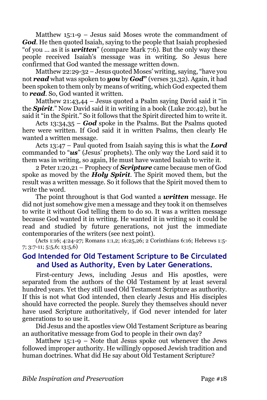Matthew 15:1-9 – Jesus said Moses wrote the commandment of *God*. He then quoted Isaiah, saying to the people that Isaiah prophesied "of you … as it is *written*" (compare Mark 7:6). But the only way these people received Isaiah's message was in writing. So Jesus here confirmed that God wanted the message written down.

Matthew 22:29-32 – Jesus quoted Moses' writing, saying, "have you not *read* what was spoken to *you* by *God***"** (verses 31,32). Again, it had been spoken to them only by means of writing, which God expected them to *read*. So, God wanted it written.

Matthew 21:43,44 – Jesus quoted a Psalm saying David said it "in the *Spirit*." Now David said it in writing in a book (Luke 20:42), but he said it "in the Spirit." So it follows that the Spirit directed him to write it.

Acts 13:34,35 – *God* spoke in the Psalms. But the Psalms quoted here were written. If God said it in written Psalms, then clearly He wanted a written message.

Acts 13:47 – Paul quoted from Isaiah saying this is what the *Lord* commanded to "*us*" (Jesus' prophets). The only way the Lord said it to them was in writing, so again, He must have wanted Isaiah to write it.

2 Peter 1:20,21 – Prophecy of *Scripture* came because men of God spoke as moved by the *Holy Spirit*. The Spirit moved them, but the result was a written message. So it follows that the Spirit moved them to write the word.

The point throughout is that God wanted a *written* message. He did not just somehow give men a message and they took it on themselves to write it without God telling them to do so. It was a written message because God wanted it in writing. He wanted it in writing so it could be read and studied by future generations, not just the immediate contemporaries of the writers (see next point).

(Acts 1:16; 4:24-27; Romans 1:1,2; 16:25,26; 2 Corinthians 6:16; Hebrews 1:5- 7; 3:7-11; 5:5,6; 13:5,6)

## **God Intended for Old Testament Scripture to Be Circulated and Used as Authority, Even by Later Generations.**

First-century Jews, including Jesus and His apostles, were separated from the authors of the Old Testament by at least several hundred years. Yet they still used Old Testament Scripture as authority. If this is not what God intended, then clearly Jesus and His disciples should have corrected the people. Surely they themselves should never have used Scripture authoritatively, if God never intended for later generations to so use it.

Did Jesus and the apostles view Old Testament Scripture as bearing an authoritative message from God to people in their own day?

Matthew  $15:1-9$  – Note that Jesus spoke out whenever the Jews followed improper authority. He willingly opposed Jewish tradition and human doctrines. What did He say about Old Testament Scripture?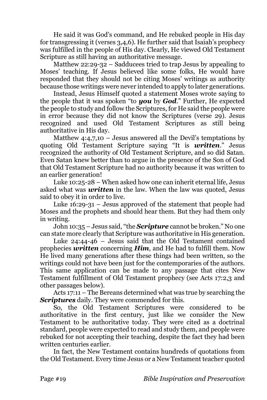He said it was God's command, and He rebuked people in His day for transgressing it (verses 3,4,6). He further said that Isaiah's prophecy was fulfilled in the people of His day. Clearly, He viewed Old Testament Scripture as still having an authoritative message.

Matthew 22:29-32 – Sadducees tried to trap Jesus by appealing to Moses' teaching. If Jesus believed like some folks, He would have responded that they should not be citing Moses' writings as authority because those writings were never intended to apply to later generations.

Instead, Jesus Himself quoted a statement Moses wrote saying to the people that it was spoken "to *you* by *God*." Further, He expected the people to study and follow the Scriptures, for He said the people were in error because they did not know the Scriptures (verse 29). Jesus recognized and used Old Testament Scriptures as still being authoritative in His day.

Matthew  $4:4,7,10$  – Jesus answered all the Devil's temptations by quoting Old Testament Scripture saying "It is *written*." Jesus recognized the authority of Old Testament Scripture, and so did Satan. Even Satan knew better than to argue in the presence of the Son of God that Old Testament Scripture had no authority because it was written to an earlier generation!

Luke 10:25-28 – When asked how one can inherit eternal life, Jesus asked what was *written* in the law. When the law was quoted, Jesus said to obey it in order to live.

Luke 16:29-31 – Jesus approved of the statement that people had Moses and the prophets and should hear them. But they had them only in writing.

John 10:35 – Jesus said, "the *Scripture* cannot be broken." No one can state more clearly that Scripture was authoritative in His generation.

Luke 24:44-46 – Jesus said that the Old Testament contained prophecies *written* concerning *Him*, and He had to fulfill them. Now He lived many generations after these things had been written, so the writings could not have been just for the contemporaries of the authors. This same application can be made to any passage that cites New Testament fulfillment of Old Testament prophecy (see Acts 17:2,3 and other passages below).

Acts 17:11 – The Bereans determined what was true by searching the *Scriptures* daily. They were commended for this.

So, the Old Testament Scriptures were considered to be authoritative in the first century, just like we consider the New Testament to be authoritative today. They were cited as a doctrinal standard, people were expected to read and study them, and people were rebuked for not accepting their teaching, despite the fact they had been written centuries earlier.

In fact, the New Testament contains hundreds of quotations from the Old Testament. Every time Jesus or a New Testament teacher quoted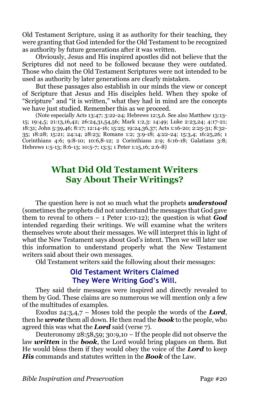Old Testament Scripture, using it as authority for their teaching, they were granting that God intended for the Old Testament to be recognized as authority by future generations after it was written.

Obviously, Jesus and His inspired apostles did not believe that the Scriptures did not need to be followed because they were outdated. Those who claim the Old Testament Scriptures were not intended to be used as authority by later generations are clearly mistaken.

But these passages also establish in our minds the view or concept of Scripture that Jesus and His disciples held. When they spoke of "Scripture" and "it is written," what they had in mind are the concepts we have just studied. Remember this as we proceed.

(Note especially Acts 13:47; 3:22-24; Hebrews 12:5,6. See also Matthew 13:13- 15; 19:4,5; 21:13,16,42; 26:24,31,54,56; Mark 1:2,3: 14:49; Luke 2:23,24; 4:17-21; 18:31; John 5:39,46; 8:17; 12:14-16; 15:25; 19:24,36,37; Acts 1:16-20; 2:25-31; 8:32- 35; 18:28; 15:21; 24:14; 28:23; Romans 1:2; 3:9-18; 4:22-24; 15:3,4; 16:25,26; 1 Corinthians 4:6; 9:8-10; 10:6,8-12; 2 Corinthians 2:9; 6:16-18; Galatians 3:8; Hebrews 1:5-13; 8:6-13; 10:5-7; 13:5; 1 Peter 1:15,16; 2:6-8)

# **What Did Old Testament Writers Say About Their Writings?**

The question here is not so much what the prophets *understood* (sometimes the prophets did not understand the messages that God gave them to reveal to others  $-1$  Peter 1:10-12); the question is what **God** intended regarding their writings. We will examine what the writers themselves wrote about their messages. We will interpret this in light of what the New Testament says about God's intent. Then we will later use this information to understand properly what the New Testament writers said about their own messages.

Old Testament writers said the following about their messages:

# **Old Testament Writers Claimed They Were Writing God's Will.**

They said their messages were inspired and directly revealed to them by God. These claims are so numerous we will mention only a few of the multitudes of examples.

Exodus 24:3,4,7 – Moses told the people the words of the *Lord*, then he *wrote* them all down. He then read the *book* to the people, who agreed this was what the *Lord* said (verse 7).

Deuteronomy  $28:58,59$ ;  $30:9,10$  – If the people did not observe the law *written* in the *book*, the Lord would bring plagues on them. But He would bless them if they would obey the voice of the *Lord* to keep *His* commands and statutes written in the *Book* of the Law.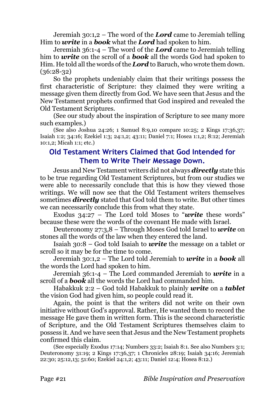Jeremiah 30:1,2 – The word of the *Lord* came to Jeremiah telling Him to *write* in a *book* what the *Lord* had spoken to him.

Jeremiah 36:1-4 – The word of the *Lord* came to Jeremiah telling him to *write* on the scroll of a *book* all the words God had spoken to Him. He told all the words of the *Lord* to Baruch, who wrote them down. (36:28-32)

So the prophets undeniably claim that their writings possess the first characteristic of Scripture: they claimed they were writing a message given them directly from God. We have seen that Jesus and the New Testament prophets confirmed that God inspired and revealed the Old Testament Scriptures.

(See our study about the inspiration of Scripture to see many more such examples.)

(See also Joshua 24:26; 1 Samuel 8:9,10 compare 10:25; 2 Kings 17:36,37; Isaiah 1:2; 34:16; Ezekiel 1:3; 24:1,2; 43:11; Daniel 7:1; Hosea 1:1,2; 8:12; Jeremiah 10:1,2; Micah 1:1; etc.)

# **Old Testament Writers Claimed that God Intended for Them to Write Their Message Down.**

Jesus and New Testament writers did not always *directly* state this to be true regarding Old Testament Scriptures, but from our studies we were able to necessarily conclude that this is how they viewed those writings. We will now see that the Old Testament writers themselves sometimes *directly* stated that God told them to write. But other times we can necessarily conclude this from what they state.

Exodus 34:27 – The Lord told Moses to "*write* these words" because these were the words of the covenant He made with Israel.

Deuteronomy 27:3,8 – Through Moses God told Israel to *write* on stones all the words of the law when they entered the land.

Isaiah 30:8 – God told Isaiah to *write* the message on a tablet or scroll so it may be for the time to come.

Jeremiah 30:1,2 – The Lord told Jeremiah to *write* in a *book* all the words the Lord had spoken to him.

Jeremiah 36:1-4 – The Lord commanded Jeremiah to *write* in a scroll of a *book* all the words the Lord had commanded him.

Habakkuk 2:2 – God told Habakkuk to plainly *write* on a *tablet* the vision God had given him, so people could read it.

Again, the point is that the writers did not write on their own initiative without God's approval. Rather, He wanted them to record the message He gave them in written form. This is the second characteristic of Scripture, and the Old Testament Scriptures themselves claim to possess it. And we have seen that Jesus and the New Testament prophets confirmed this claim.

(See especially Exodus 17:14; Numbers 33:2; Isaiah 8:1. See also Numbers 3:1; Deuteronomy 31:19; 2 Kings 17:36,37; 1 Chronicles 28:19; Isaiah 34:16; Jeremiah 22:30; 25:12,13; 51:60; Ezekiel 24:1,2; 43:11; Daniel 12:4; Hosea 8:12.)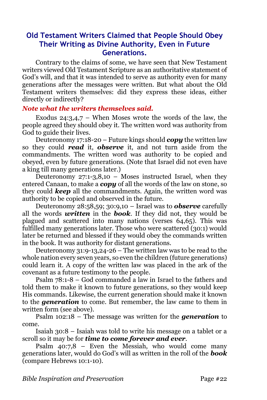# **Old Testament Writers Claimed that People Should Obey Their Writing as Divine Authority, Even in Future Generations.**

Contrary to the claims of some, we have seen that New Testament writers viewed Old Testament Scripture as an authoritative statement of God's will, and that it was intended to serve as authority even for many generations after the messages were written. But what about the Old Testament writers themselves: did they express these ideas, either directly or indirectly?

### *Note what the writers themselves said.*

Exodus  $24:3,4,7$  – When Moses wrote the words of the law, the people agreed they should obey it. The written word was authority from God to guide their lives.

Deuteronomy 17:18-20 – Future kings should *copy* the written law so they could *read* it, *observe* it, and not turn aside from the commandments. The written word was authority to be copied and obeyed, even by future generations. (Note that Israel did not even have a king till many generations later.)

Deuteronomy  $27:1-3,8,10$  – Moses instructed Israel, when they entered Canaan, to make a *copy* of all the words of the law on stone, so they could *keep* all the commandments. Again, the written word was authority to be copied and observed in the future.

Deuteronomy 28:58,59; 30:9,10 – Israel was to *observe* carefully all the words *written* in the *book*. If they did not, they would be plagued and scattered into many nations (verses 64,65). This was fulfilled many generations later. Those who were scattered (30:1) would later be returned and blessed if they would obey the commands written in the book. It was authority for distant generations.

Deuteronomy 31:9-13,24-26 – The written law was to be read to the whole nation every seven years, so even the children (future generations) could learn it. A copy of the written law was placed in the ark of the covenant as a future testimony to the people.

Psalm 78:1-8 – God commanded a law in Israel to the fathers and told them to make it known to future generations, so they would keep His commands. Likewise, the current generation should make it known to the *generation* to come. But remember, the law came to them in written form (see above).

Psalm 102:18 – The message was written for the *generation* to come.

Isaiah 30:8 – Isaiah was told to write his message on a tablet or a scroll so it may be for *time to come forever and ever*.

Psalm  $40:7.8$  – Even the Messiah, who would come many generations later, would do God's will as written in the roll of the *book* (compare Hebrews 10:1-10).

*Bible Inspiration and Preservation* Page #22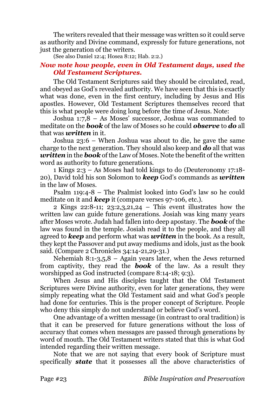The writers revealed that their message was written so it could serve as authority and Divine command, expressly for future generations, not just the generation of the writers.

(See also Daniel 12:4; Hosea 8:12; Hab. 2:2.)

### *Now note how people, even in Old Testament days, used the Old Testament Scriptures.*

The Old Testament Scriptures said they should be circulated, read, and obeyed as God's revealed authority. We have seen that this is exactly what was done, even in the first century, including by Jesus and His apostles. However, Old Testament Scriptures themselves record that this is what people were doing long before the time of Jesus. Note:

Joshua 1:7,8 – As Moses' successor, Joshua was commanded to meditate on the *book* of the law of Moses so he could *observe* to *do* all that was *written* in it.

Joshua 23:6 – When Joshua was about to die, he gave the same charge to the next generation. They should also keep and *do* all that was *written* in the *book* of the Law of Moses. Note the benefit of the written word as authority to future generations.

1 Kings 2:3 – As Moses had told kings to do (Deuteronomy 17:18- 20), David told his son Solomon to *keep* God's commands as *written* in the law of Moses.

Psalm 119:4-8 – The Psalmist looked into God's law so he could meditate on it and *keep* it (compare verses 97-106, etc.).

2 Kings 22:8-11; 23:2,3,21,24 – This event illustrates how the written law can guide future generations. Josiah was king many years after Moses wrote. Judah had fallen into deep apostasy. The *book* of the law was found in the temple. Josiah read it to the people, and they all agreed to *keep* and perform what was *written* in the book. As a result, they kept the Passover and put away mediums and idols, just as the book said. (Compare 2 Chronicles 34:14-21,29-31.)

Nehemiah 8:1-3,5,8 – Again years later, when the Jews returned from captivity, they read the *book* of the law. As a result they worshipped as God instructed (compare 8:14-18; 9:3).

When Jesus and His disciples taught that the Old Testament Scriptures were Divine authority, even for later generations, they were simply repeating what the Old Testament said and what God's people had done for centuries. This is the proper concept of Scripture. People who deny this simply do not understand or believe God's word.

One advantage of a written message (in contrast to oral tradition) is that it can be preserved for future generations without the loss of accuracy that comes when messages are passed through generations by word of mouth. The Old Testament writers stated that this is what God intended regarding their written message.

Note that we are not saying that every book of Scripture must specifically *state* that it possesses all the above characteristics of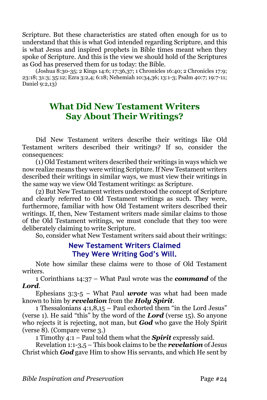Scripture. But these characteristics are stated often enough for us to understand that this is what God intended regarding Scripture, and this is what Jesus and inspired prophets in Bible times meant when they spoke of Scripture. And this is the view we should hold of the Scriptures as God has preserved them for us today: the Bible.

(Joshua 8:30-35; 2 Kings 14:6; 17:36,37; 1 Chronicles 16:40; 2 Chronicles 17:9; 23:18; 31:3; 35:12; Ezra 3:2,4; 6:18; Nehemiah 10:34,36; 13:1-3; Psalm 40:7; 19:7-11; Daniel 9:2,13)

# **What Did New Testament Writers Say About Their Writings?**

Did New Testament writers describe their writings like Old Testament writers described their writings? If so, consider the consequences:

(1) Old Testament writers described their writings in ways which we now realize means they were writing Scripture. If New Testament writers described their writings in similar ways, we must view their writings in the same way we view Old Testament writings: as Scripture.

(2) But New Testament writers understood the concept of Scripture and clearly referred to Old Testament writings as such. They were, furthermore, familiar with how Old Testament writers described their writings. If, then, New Testament writers made similar claims to those of the Old Testament writings, we must conclude that they too were deliberately claiming to write Scripture.

So, consider what New Testament writers said about their writings:

### **New Testament Writers Claimed They Were Writing God's Will.**

Note how similar these claims were to those of Old Testament writers.

1 Corinthians 14:37 – What Paul wrote was the *command* of the *Lord*.

Ephesians 3:3-5 – What Paul *wrote* was what had been made known to him by *revelation* from the *Holy Spirit*.

1 Thessalonians 4:1,8,15 – Paul exhorted them "in the Lord Jesus" (verse 1). He said "this" by the word of the *Lord* (verse 15). So anyone who rejects it is rejecting, not man, but *God* who gave the Holy Spirit (verse 8). (Compare verse 3.)

1 Timothy 4:1 – Paul told them what the *Spirit* expressly said.

Revelation 1:1-3,5 – This book claims to be the *revelation* of Jesus Christ which *God* gave Him to show His servants, and which He sent by

*Bible Inspiration and Preservation* Page #24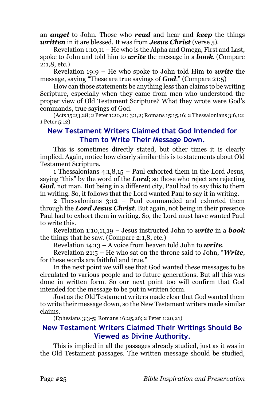an *angel* to John. Those who *read* and hear and *keep* the things *written* in it are blessed. It was from *Jesus Christ* (verse 5).

Revelation 1:10,11 – He who is the Alpha and Omega, First and Last, spoke to John and told him to *write* the message in a *book*. (Compare 2:1,8, etc.)

Revelation 19:9 – He who spoke to John told Him to *write* the message, saying "These are true sayings of *God*." (Compare 21:5)

How can those statements be anything less than claims to be writing Scripture, especially when they came from men who understood the proper view of Old Testament Scripture? What they wrote were God's commands, true sayings of God.

(Acts 15:23,28; 2 Peter 1:20,21; 3:1,2; Romans 15:15,16; 2 Thessalonians 3:6,12: 1 Peter 5:12)

## **New Testament Writers Claimed that God Intended for Them to Write Their Message Down.**

This is sometimes directly stated, but other times it is clearly implied. Again, notice how clearly similar this is to statements about Old Testament Scripture.

1 Thessalonians 4:1,8,15 – Paul exhorted them in the Lord Jesus, saying "this" by the word of the *Lord*; so those who reject are rejecting *God*, not man. But being in a different city, Paul had to say this to them in writing. So, it follows that the Lord wanted Paul to say it in writing.

2 Thessalonians 3:12 – Paul commanded and exhorted them through the *Lord Jesus Christ*. But again, not being in their presence Paul had to exhort them in writing. So, the Lord must have wanted Paul to write this.

Revelation 1:10,11,19 – Jesus instructed John to *write* in a *book* the things that he saw. (Compare 2:1,8, etc.)

Revelation 14:13 – A voice from heaven told John to *write*.

Revelation 21:5 – He who sat on the throne said to John, "*Write*, for these words are faithful and true."

In the next point we will see that God wanted these messages to be circulated to various people and to future generations. But all this was done in written form. So our next point too will confirm that God intended for the message to be put in written form.

Just as the Old Testament writers made clear that God wanted them to write their message down, so the New Testament writers made similar claims.

(Ephesians 3:3-5; Romans 16:25,26; 2 Peter 1:20,21)

# **New Testament Writers Claimed Their Writings Should Be Viewed as Divine Authority.**

This is implied in all the passages already studied, just as it was in the Old Testament passages. The written message should be studied,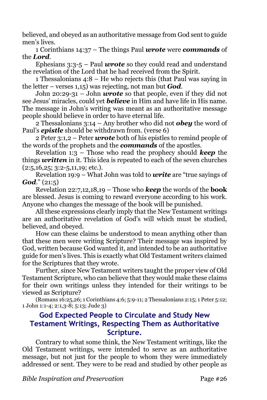believed, and obeyed as an authoritative message from God sent to guide men's lives.

1 Corinthians 14:37 – The things Paul *wrote* were *commands* of the *Lord*.

Ephesians 3:3-5 – Paul *wrote* so they could read and understand the revelation of the Lord that he had received from the Spirit.

1 Thessalonians 4:8 – He who rejects this (that Paul was saying in the letter – verses 1,15) was rejecting, not man but *God*.

John 20:29-31 – John *wrote* so that people, even if they did not see Jesus' miracles, could yet *believe* in Him and have life in His name. The message in John's writing was meant as an authoritative message people should believe in order to have eternal life.

2 Thessalonians 3:14 – Any brother who did not *obey* the word of Paul's *epistle* should be withdrawn from. (verse 6)

2 Peter 3:1,2 – Peter *wrote* both of his epistles to remind people of the words of the prophets and the *commands* of the apostles.

Revelation 1:3 – Those who read the prophecy should *keep* the things *written* in it. This idea is repeated to each of the seven churches  $(2:5,16,25; 3:2-5,11,19;$  etc.).

Revelation 19:9 – What John was told to *write* are "true sayings of *God*." (21:5)

Revelation 22:7,12,18,19 – Those who *keep* the words of the **book** are blessed. Jesus is coming to reward everyone according to his work. Anyone who changes the message of the book will be punished.

All these expressions clearly imply that the New Testament writings are an authoritative revelation of God's will which must be studied, believed, and obeyed.

How can these claims be understood to mean anything other than that these men were writing Scripture? Their message was inspired by God, written because God wanted it, and intended to be an authoritative guide for men's lives. This is exactly what Old Testament writers claimed for the Scriptures that they wrote.

Further, since New Testament writers taught the proper view of Old Testament Scripture, who can believe that they would make these claims for their own writings unless they intended for their writings to be viewed as Scripture?

(Romans 16:25,26; 1 Corinthians 4:6; 5:9-11; 2 Thessalonians 2:15; 1 Peter 5:12; 1 John 1:1-4; 2:1,3-8; 5:13; Jude 3)

# **God Expected People to Circulate and Study New Testament Writings, Respecting Them as Authoritative Scripture.**

Contrary to what some think, the New Testament writings, like the Old Testament writings, were intended to serve as an authoritative message, but not just for the people to whom they were immediately addressed or sent. They were to be read and studied by other people as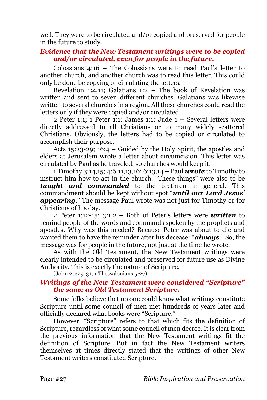well. They were to be circulated and/or copied and preserved for people in the future to study.

### *Evidence that the New Testament writings were to be copied and/or circulated, even for people in the future.*

Colossians 4:16 – The Colossians were to read Paul's letter to another church, and another church was to read this letter. This could only be done be copying or circulating the letters.

Revelation 1:4,11; Galatians 1:2 – The book of Revelation was written and sent to seven different churches. Galatians was likewise written to several churches in a region. All these churches could read the letters only if they were copied and/or circulated.

2 Peter 1:1; 1 Peter 1:1; James 1:1; Jude 1 – Several letters were directly addressed to all Christians or to many widely scattered Christians. Obviously, the letters had to be copied or circulated to accomplish their purpose.

Acts 15:23-29; 16:4 – Guided by the Holy Spirit, the apostles and elders at Jerusalem wrote a letter about circumcision. This letter was circulated by Paul as he traveled, so churches would keep it.

1 Timothy 3:14,15; 4:6,11,13,16; 6:13,14 – Paul *wrote* to Timothy to instruct him how to act in the church. "These things" were also to be *taught and commanded* to the brethren in general. This commandment should be kept without spot "*until our Lord Jesus' appearing*." The message Paul wrote was not just for Timothy or for Christians of his day.

2 Peter 1:12-15; 3:1,2 – Both of Peter's letters were *written* to remind people of the words and commands spoken by the prophets and apostles. Why was this needed? Because Peter was about to die and wanted them to have the reminder after his decease: "*always*." So, the message was for people in the future, not just at the time he wrote.

As with the Old Testament, the New Testament writings were clearly intended to be circulated and preserved for future use as Divine Authority. This is exactly the nature of Scripture.

(John 20:29-31; 1 Thessalonians 5:27)

### *Writings of the New Testament were considered "Scripture" the same as Old Testament Scripture.*

Some folks believe that no one could know what writings constitute Scripture until some council of men met hundreds of years later and officially declared what books were "Scripture."

However, "Scripture" refers to that which fits the definition of Scripture, regardless of what some council of men decree. It is clear from the previous information that the New Testament writings fit the definition of Scripture. But in fact the New Testament writers themselves at times directly stated that the writings of other New Testament writers constituted Scripture.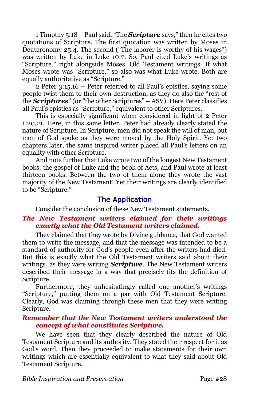1 Timothy 5:18 – Paul said, "The *Scripture* says," then he cites two quotations of Scripture. The first quotation was written by Moses in Deuteronomy 25:4. The second ("The laborer is worthy of his wages") was written by Luke in Luke 10:7. So, Paul cited Luke's writings as "Scripture," right alongside Moses' Old Testament writings. If what Moses wrote was "Scripture," so also was what Luke wrote. Both are equally authoritative as "Scripture."

2 Peter 3:15,16 – Peter referred to all Paul's epistles, saying some people twist them to their own destruction, as they do also the "rest of the *Scriptures*" (or "the other Scriptures" – ASV). Here Peter classifies all Paul's epistles as "Scripture," equivalent to other Scriptures.

This is especially significant when considered in light of 2 Peter 1:20,21. Here, in this same letter, Peter had already clearly stated the nature of Scripture. In Scripture, men did not speak the will of man, but men of God spoke as they were moved by the Holy Spirit. Yet two chapters later, the same inspired writer placed all Paul's letters on an equality with other Scripture.

And note further that Luke wrote two of the longest New Testament books: the gospel of Luke and the book of Acts, and Paul wrote at least thirteen books. Between the two of them alone they wrote the vast majority of the New Testament! Yet their writings are clearly identified to be "Scripture."

### **The Application**

Consider the conclusion of these New Testament statements.

### *The New Testament writers claimed for their writings exactly what the Old Testament writers claimed.*

They claimed that they wrote by Divine guidance, that God wanted them to write the message, and that the message was intended to be a standard of authority for God's people even after the writers had died. But this is exactly what the Old Testament writers said about their writings, as they were writing *Scripture*. The New Testament writers described their message in a way that precisely fits the definition of Scripture.

Furthermore, they unhesitatingly called one another's writings "Scripture," putting them on a par with Old Testament Scripture. Clearly, God was claiming through these men that they were writing Scripture.

### *Remember that the New Testament writers understood the concept of what constitutes Scripture.*

We have seen that they clearly described the nature of Old Testament Scripture and its authority. They stated their respect for it as God's word. Then they proceeded to make statements for their own writings which are essentially equivalent to what they said about Old Testament Scripture.

*Bible Inspiration and Preservation* Page #28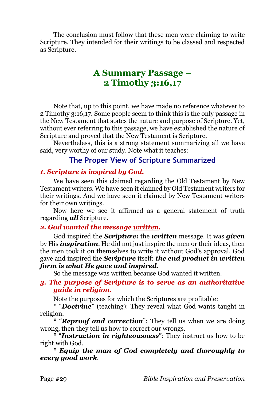The conclusion must follow that these men were claiming to write Scripture. They intended for their writings to be classed and respected as Scripture.

# **A Summary Passage – 2 Timothy 3:16,17**

Note that, up to this point, we have made no reference whatever to 2 Timothy 3:16,17. Some people seem to think this is the only passage in the New Testament that states the nature and purpose of Scripture. Yet, without ever referring to this passage, we have established the nature of Scripture and proved that the New Testament is Scripture.

Nevertheless, this is a strong statement summarizing all we have said, very worthy of our study. Note what it teaches:

## **The Proper View of Scripture Summarized**

### *1. Scripture is inspired by God.*

We have seen this claimed regarding the Old Testament by New Testament writers. We have seen it claimed by Old Testament writers for their writings. And we have seen it claimed by New Testament writers for their own writings.

Now here we see it affirmed as a general statement of truth regarding *all* Scripture.

#### *2. God wanted the message written.*

God inspired the *Scripture:* the *written* message. It was *given* by His *inspiration*. He did not just inspire the men or their ideas, then the men took it on themselves to write it without God's approval. God gave and inspired the *Scripture* itself: *the end product in written form is what He gave and inspired*.

So the message was written because God wanted it written.

#### *3. The purpose of Scripture is to serve as an authoritative guide in religion.*

Note the purposes for which the Scriptures are profitable:

\* "*Doctrine*" (teaching): They reveal what God wants taught in religion.

\* "*Reproof and correction*": They tell us when we are doing wrong, then they tell us how to correct our wrongs.

\* "*Instruction in righteousness*": They instruct us how to be right with God.

\* *Equip the man of God completely and thoroughly to every good work*.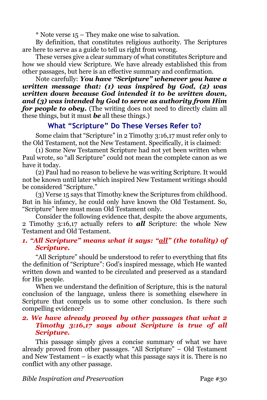\* Note verse 15 – They make one wise to salvation.

By definition, that constitutes religious authority. The Scriptures are here to serve as a guide to tell us right from wrong.

These verses give a clear summary of what constitutes Scripture and how we should view Scripture. We have already established this from other passages, but here is an effective summary and confirmation.

Note carefully: *You have "Scripture" whenever you have a written message that: (1) was inspired by God, (2) was written down because God intended it to be written down, and (3) was intended by God to serve as authority from Him for people to obey.* (The writing does not need to directly claim all these things, but it must *be* all these things.)

# **What "Scripture" Do These Verses Refer to?**

Some claim that "Scripture" in 2 Timothy 3:16,17 must refer only to the Old Testament, not the New Testament. Specifically, it is claimed:

(1) Some New Testament Scripture had not yet been written when Paul wrote, so "all Scripture" could not mean the complete canon as we have it today.

(2) Paul had no reason to believe he was writing Scripture. It would not be known until later which inspired New Testament writings should be considered "Scripture."

(3) Verse 15 says that Timothy knew the Scriptures from childhood. But in his infancy, he could only have known the Old Testament. So, "Scripture" here must mean Old Testament only.

Consider the following evidence that, despite the above arguments, 2 Timothy 3:16,17 actually refers to *all* Scripture: the whole New Testament and Old Testament.

### *1. "All Scripture" means what it says: "all" (the totality) of Scripture.*

"All Scripture" should be understood to refer to everything that fits the definition of "Scripture": God's inspired message, which He wanted written down and wanted to be circulated and preserved as a standard for His people.

When we understand the definition of Scripture, this is the natural conclusion of the language, unless there is something elsewhere in Scripture that compels us to some other conclusion. Is there such compelling evidence?

### *2. We have already proved by other passages that what 2 Timothy 3:16,17 says about Scripture is true of all Scripture.*

This passage simply gives a concise summary of what we have already proved from other passages. "All Scripture" – Old Testament and New Testament – is exactly what this passage says it is. There is no conflict with any other passage.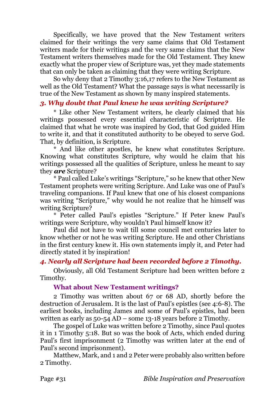Specifically, we have proved that the New Testament writers claimed for their writings the very same claims that Old Testament writers made for their writings and the very same claims that the New Testament writers themselves made for the Old Testament. They knew exactly what the proper view of Scripture was, yet they made statements that can only be taken as claiming that they were writing Scripture.

So why deny that 2 Timothy 3:16,17 refers to the New Testament as well as the Old Testament? What the passage says is what necessarily is true of the New Testament as shown by many inspired statements.

### *3. Why doubt that Paul knew he was writing Scripture?*

\* Like other New Testament writers, he clearly claimed that his writings possessed every essential characteristic of Scripture. He claimed that what he wrote was inspired by God, that God guided Him to write it, and that it constituted authority to be obeyed to serve God. That, by definition, is Scripture.

\* And like other apostles, he knew what constitutes Scripture. Knowing what constitutes Scripture, why would he claim that his writings possessed all the qualities of Scripture, unless he meant to say they *are* Scripture?

\* Paul called Luke's writings "Scripture," so he knew that other New Testament prophets were writing Scripture. And Luke was one of Paul's traveling companions. If Paul knew that one of his closest companions was writing "Scripture," why would he not realize that he himself was writing Scripture?

\* Peter called Paul's epistles "Scripture." If Peter knew Paul's writings were Scripture, why wouldn't Paul himself know it?

Paul did not have to wait till some council met centuries later to know whether or not he was writing Scripture. He and other Christians in the first century knew it. His own statements imply it, and Peter had directly stated it by inspiration!

#### *4. Nearly all Scripture had been recorded before 2 Timothy.*

Obviously, all Old Testament Scripture had been written before 2 Timothy.

#### **What about New Testament writings?**

2 Timothy was written about 67 or 68 AD, shortly before the destruction of Jerusalem. It is the last of Paul's epistles (see 4:6-8). The earliest books, including James and some of Paul's epistles, had been written as early as 50-54 AD – some 13-18 years before 2 Timothy.

The gospel of Luke was written before 2 Timothy, since Paul quotes it in 1 Timothy 5:18. But so was the book of Acts, which ended during Paul's first imprisonment (2 Timothy was written later at the end of Paul's second imprisonment).

Matthew, Mark, and 1 and 2 Peter were probably also written before 2 Timothy.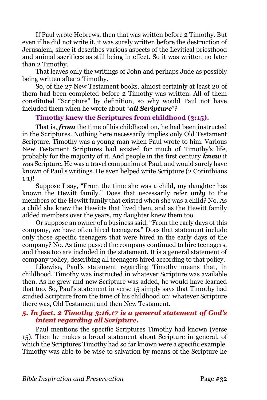If Paul wrote Hebrews, then that was written before 2 Timothy. But even if he did not write it, it was surely written before the destruction of Jerusalem, since it describes various aspects of the Levitical priesthood and animal sacrifices as still being in effect. So it was written no later than 2 Timothy.

That leaves only the writings of John and perhaps Jude as possibly being written after 2 Timothy.

So, of the 27 New Testament books, almost certainly at least 20 of them had been completed before 2 Timothy was written. All of them constituted "Scripture" by definition, so why would Paul not have included them when he wrote about "*all Scripture*"?

#### **Timothy knew the Scriptures from childhood (3:15).**

That is, *from* the time of his childhood on, he had been instructed in the Scriptures. Nothing here necessarily implies only Old Testament Scripture. Timothy was a young man when Paul wrote to him. Various New Testament Scriptures had existed for much of Timothy's life, probably for the majority of it. And people in the first century *knew* it was Scripture. He was a travel companion of Paul, and would surely have known of Paul's writings. He even helped write Scripture (2 Corinthians 1:1)!

Suppose I say, "From the time she was a child, my daughter has known the Hewitt family." Does that necessarily refer *only* to the members of the Hewitt family that existed when she was a child? No. As a child she knew the Hewitts that lived then, and as the Hewitt family added members over the years, my daughter knew them too.

Or suppose an owner of a business said, "From the early days of this company, we have often hired teenagers." Does that statement include only those specific teenagers that were hired in the early days of the company? No. As time passed the company continued to hire teenagers, and these too are included in the statement. It is a general statement of company policy, describing all teenagers hired according to that policy.

Likewise, Paul's statement regarding Timothy means that, in childhood, Timothy was instructed in whatever Scripture was available then. As he grew and new Scripture was added, he would have learned that too. So, Paul's statement in verse 15 simply says that Timothy had studied Scripture from the time of his childhood on: whatever Scripture there was, Old Testament and then New Testament.

### *5. In fact, 2 Timothy 3:16,17 is a general statement of God's intent regarding all Scripture.*

Paul mentions the specific Scriptures Timothy had known (verse 15). Then he makes a broad statement about Scripture in general, of which the Scriptures Timothy had so far known were a specific example. Timothy was able to be wise to salvation by means of the Scripture he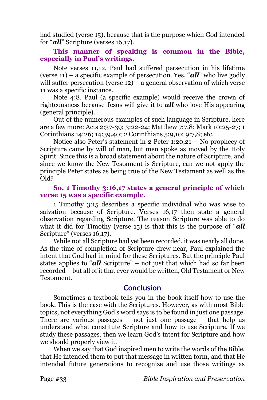had studied (verse 15), because that is the purpose which God intended for "*all*" Scripture (verses 16,17).

### **This manner of speaking is common in the Bible, especially in Paul's writings.**

Note verses 11,12. Paul had suffered persecution in his lifetime (verse 11) – a specific example of persecution. Yes, "*all*" who live godly will suffer persecution (verse 12) – a general observation of which verse 11 was a specific instance.

Note 4:8. Paul (a specific example) would receive the crown of righteousness because Jesus will give it to *all* who love His appearing (general principle).

Out of the numerous examples of such language in Scripture, here are a few more: Acts 2:37-39; 3:22-24; Matthew 7:7,8; Mark 10:25-27; 1 Corinthians 14:26; 14:39,40; 2 Corinthians 5:9,10; 9:7,8; etc.

Notice also Peter's statement in 2 Peter 1:20,21 – No prophecy of Scripture came by will of man, but men spoke as moved by the Holy Spirit. Since this is a broad statement about the nature of Scripture, and since we know the New Testament is Scripture, can we not apply the principle Peter states as being true of the New Testament as well as the Old?

### **So, 1 Timothy 3:16,17 states a general principle of which verse 15 was a specific example.**

1 Timothy 3:15 describes a specific individual who was wise to salvation because of Scripture. Verses 16,17 then state a general observation regarding Scripture. The reason Scripture was able to do what it did for Timothy (verse 15) is that this is the purpose of "*all* Scripture" (verses 16,17).

While not all Scripture had yet been recorded, it was nearly all done. As the time of completion of Scripture drew near, Paul explained the intent that God had in mind for these Scriptures. But the principle Paul states applies to "*all* Scripture" – not just that which had so far been recorded – but all of it that ever would be written, Old Testament or New Testament.

### **Conclusion**

Sometimes a textbook tells you in the book itself how to use the book. This is the case with the Scriptures. However, as with most Bible topics, not everything God's word says is to be found in just one passage. There are various passages  $-$  not just one passage  $-$  that help us understand what constitute Scripture and how to use Scripture. If we study these passages, then we learn God's intent for Scripture and how we should properly view it.

When we say that God inspired men to write the words of the Bible, that He intended them to put that message in written form, and that He intended future generations to recognize and use those writings as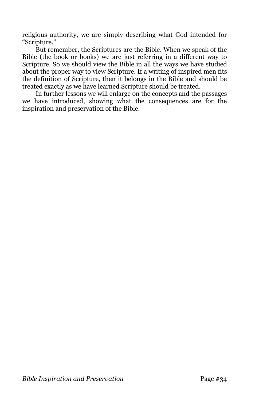religious authority, we are simply describing what God intended for "Scripture."

But remember, the Scriptures are the Bible. When we speak of the Bible (the book or books) we are just referring in a different way to Scripture. So we should view the Bible in all the ways we have studied about the proper way to view Scripture. If a writing of inspired men fits the definition of Scripture, then it belongs in the Bible and should be treated exactly as we have learned Scripture should be treated.

In further lessons we will enlarge on the concepts and the passages we have introduced, showing what the consequences are for the inspiration and preservation of the Bible.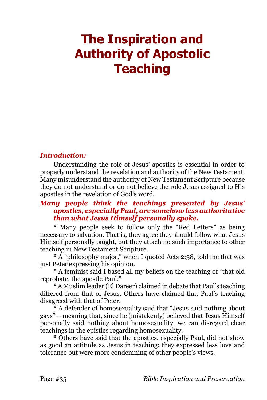# <span id="page-34-0"></span>**The Inspiration and Authority of Apostolic Teaching**

### *Introduction:*

Understanding the role of Jesus' apostles is essential in order to properly understand the revelation and authority of the New Testament. Many misunderstand the authority of New Testament Scripture because they do not understand or do not believe the role Jesus assigned to His apostles in the revelation of God's word.

### *Many people think the teachings presented by Jesus' apostles, especially Paul, are somehow less authoritative than what Jesus Himself personally spoke.*

\* Many people seek to follow only the "Red Letters" as being necessary to salvation. That is, they agree they should follow what Jesus Himself personally taught, but they attach no such importance to other teaching in New Testament Scripture.

\* A "philosophy major," when I quoted Acts 2:38, told me that was just Peter expressing his opinion.

\* A feminist said I based all my beliefs on the teaching of "that old reprobate, the apostle Paul."

\* A Muslim leader (El Dareer) claimed in debate that Paul's teaching differed from that of Jesus. Others have claimed that Paul's teaching disagreed with that of Peter.

\* A defender of homosexuality said that "Jesus said nothing about gays" – meaning that, since he (mistakenly) believed that Jesus Himself personally said nothing about homosexuality, we can disregard clear teachings in the epistles regarding homosexuality.

\* Others have said that the apostles, especially Paul, did not show as good an attitude as Jesus in teaching: they expressed less love and tolerance but were more condemning of other people's views.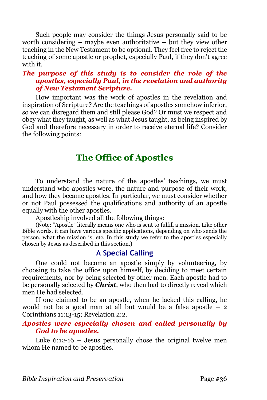Such people may consider the things Jesus personally said to be worth considering – maybe even authoritative – but they view other teaching in the New Testament to be optional. They feel free to reject the teaching of some apostle or prophet, especially Paul, if they don't agree with it.

### *The purpose of this study is to consider the role of the apostles, especially Paul, in the revelation and authority of New Testament Scripture.*

How important was the work of apostles in the revelation and inspiration of Scripture? Are the teachings of apostles somehow inferior, so we can disregard them and still please God? Or must we respect and obey what they taught, as well as what Jesus taught, as being inspired by God and therefore necessary in order to receive eternal life? Consider the following points:

# **The Office of Apostles**

To understand the nature of the apostles' teachings, we must understand who apostles were, the nature and purpose of their work, and how they became apostles. In particular, we must consider whether or not Paul possessed the qualifications and authority of an apostle equally with the other apostles.

Apostleship involved all the following things:

(Note: "Apostle" literally means one who is sent to fulfill a mission. Like other Bible words, it can have various specific applications, depending on who sends the person, what the mission is, etc. In this study we refer to the apostles especially chosen by Jesus as described in this section.)

# **A Special Calling**

One could not become an apostle simply by volunteering, by choosing to take the office upon himself, by deciding to meet certain requirements, nor by being selected by other men. Each apostle had to be personally selected by *Christ*, who then had to directly reveal which men He had selected.

If one claimed to be an apostle, when he lacked this calling, he would not be a good man at all but would be a false apostle – 2 Corinthians 11:13-15; Revelation 2:2.

### *Apostles were especially chosen and called personally by God to be apostles.*

Luke 6:12-16 – Jesus personally chose the original twelve men whom He named to be apostles.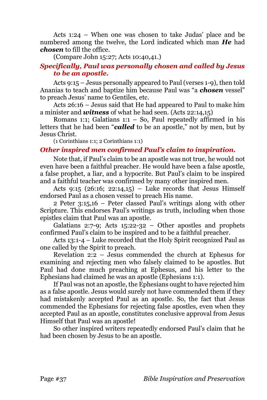Acts 1:24 – When one was chosen to take Judas' place and be numbered among the twelve, the Lord indicated which man *He* had *chosen* to fill the office.

(Compare John 15:27; Acts 10:40,41.)

## *Specifically, Paul was personally chosen and called by Jesus to be an apostle.*

Acts 9:15 – Jesus personally appeared to Paul (verses 1-9), then told Ananias to teach and baptize him because Paul was "a *chosen* vessel" to preach Jesus' name to Gentiles, etc.

Acts 26:16 – Jesus said that He had appeared to Paul to make him a minister and *witness* of what he had seen. (Acts 22:14,15)

Romans 1:1; Galatians 1:1 – So, Paul repeatedly affirmed in his letters that he had been "*called* to be an apostle," not by men, but by Jesus Christ.

(1 Corinthians 1:1; 2 Corinthians 1:1)

## *Other inspired men confirmed Paul's claim to inspiration.*

Note that, if Paul's claim to be an apostle was not true, he would not even have been a faithful preacher. He would have been a false apostle, a false prophet, a liar, and a hypocrite. But Paul's claim to be inspired and a faithful teacher was confirmed by many other inspired men.

Acts  $9:15$  (26:16; 22:14,15) – Luke records that Jesus Himself endorsed Paul as a chosen vessel to preach His name.

2 Peter 3:15,16 – Peter classed Paul's writings along with other Scripture. This endorses Paul's writings as truth, including when those epistles claim that Paul was an apostle.

Galatians 2:7-9; Acts  $15:22-32$  – Other apostles and prophets confirmed Paul's claim to be inspired and to be a faithful preacher.

Acts 13:1-4 – Luke recorded that the Holy Spirit recognized Paul as one called by the Spirit to preach.

Revelation 2:2 – Jesus commended the church at Ephesus for examining and rejecting men who falsely claimed to be apostles. But Paul had done much preaching at Ephesus, and his letter to the Ephesians had claimed he was an apostle (Ephesians 1:1).

If Paul was not an apostle, the Ephesians ought to have rejected him as a false apostle. Jesus would surely not have commended them if they had mistakenly accepted Paul as an apostle. So, the fact that Jesus commended the Ephesians for rejecting false apostles, even when they accepted Paul as an apostle, constitutes conclusive approval from Jesus Himself that Paul was an apostle!

So other inspired writers repeatedly endorsed Paul's claim that he had been chosen by Jesus to be an apostle.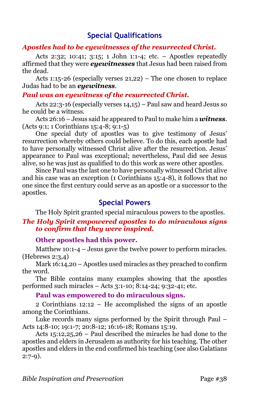## **Special Qualifications**

## *Apostles had to be eyewitnesses of the resurrected Christ.*

Acts 2:32; 10:41; 3:15; 1 John 1:1-4; etc. – Apostles repeatedly affirmed that they were *eyewitnesses* that Jesus had been raised from the dead.

Acts 1:15-26 (especially verses 21,22) – The one chosen to replace Judas had to be an *eyewitness*.

## *Paul was an eyewitness of the resurrected Christ.*

Acts 22:3-16 (especially verses 14,15) – Paul saw and heard Jesus so he could be a witness.

Acts 26:16 – Jesus said he appeared to Paul to make him a *witness*. (Acts 9:1; 1 Corinthians 15:4-8; 9:1-5)

One special duty of apostles was to give testimony of Jesus' resurrection whereby others could believe. To do this, each apostle had to have personally witnessed Christ alive after the resurrection. Jesus' appearance to Paul was exceptional; nevertheless, Paul did see Jesus alive, so he was just as qualified to do this work as were other apostles.

Since Paul was the last one to have personally witnessed Christ alive and his case was an exception (1 Corinthians 15:4-8), it follows that no one since the first century could serve as an apostle or a successor to the apostles.

## **Special Powers**

The Holy Spirit granted special miraculous powers to the apostles.

## *The Holy Spirit empowered apostles to do miraculous signs to confirm that they were inspired.*

## **Other apostles had this power.**

Matthew 10:1-4 – Jesus gave the twelve power to perform miracles. (Hebrews 2:3,4)

Mark 16:14,20 – Apostles used miracles as they preached to confirm the word.

The Bible contains many examples showing that the apostles performed such miracles – Acts 3:1-10; 8:14-24; 9:32-41; etc.

## **Paul was empowered to do miraculous signs.**

2 Corinthians 12:12 – He accomplished the signs of an apostle among the Corinthians.

Luke records many signs performed by the Spirit through Paul – Acts 14:8-10; 19:1-7; 20:8-12; 16:16-18; Romans 15:19.

Acts 15:12,25,26 – Paul described the miracles he had done to the apostles and elders in Jerusalem as authority for his teaching. The other apostles and elders in the end confirmed his teaching (see also Galatians  $2:7-9$ ).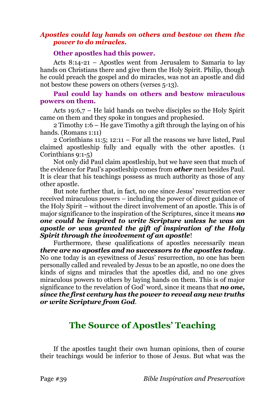## *Apostles could lay hands on others and bestow on them the power to do miracles.*

#### **Other apostles had this power.**

Acts 8:14-21 – Apostles went from Jerusalem to Samaria to lay hands on Christians there and give them the Holy Spirit. Philip, though he could preach the gospel and do miracles, was not an apostle and did not bestow these powers on others (verses 5-13).

## **Paul could lay hands on others and bestow miraculous powers on them.**

Acts 19:6,7 – He laid hands on twelve disciples so the Holy Spirit came on them and they spoke in tongues and prophesied.

2 Timothy 1:6 – He gave Timothy a gift through the laying on of his hands. (Romans 1:11)

2 Corinthians 11:5; 12:11 – For all the reasons we have listed, Paul claimed apostleship fully and equally with the other apostles. (1 Corinthians 9:1-5)

Not only did Paul claim apostleship, but we have seen that much of the evidence for Paul's apostleship comes from *other* men besides Paul. It is clear that his teachings possess as much authority as those of any other apostle.

But note further that, in fact, no one since Jesus' resurrection ever received miraculous powers – including the power of direct guidance of the Holy Spirit – without the direct involvement of an apostle. This is of major significance to the inspiration of the Scriptures, since it means *no one could be inspired to write Scripture unless he was an apostle or was granted the gift of inspiration of the Holy Spirit through the involvement of an apostle*!

Furthermore, these qualifications of apostles necessarily mean *there are no apostles and no successors to the apostles today*. No one today is an eyewitness of Jesus' resurrection, no one has been personally called and revealed by Jesus to be an apostle, no one does the kinds of signs and miracles that the apostles did, and no one gives miraculous powers to others by laying hands on them. This is of major significance to the revelation of God' word, since it means that *no one, since the first century has the power to reveal any new truths or write Scripture from God*.

# **The Source of Apostles' Teaching**

If the apostles taught their own human opinions, then of course their teachings would be inferior to those of Jesus. But what was the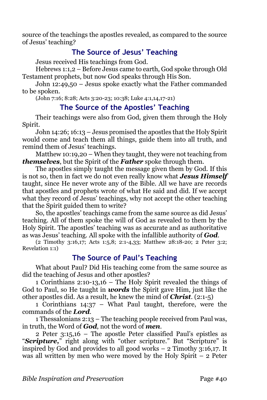source of the teachings the apostles revealed, as compared to the source of Jesus' teaching?

## **The Source of Jesus' Teaching**

Jesus received His teachings from God.

Hebrews 1:1,2 – Before Jesus came to earth, God spoke through Old Testament prophets, but now God speaks through His Son.

John 12:49,50 – Jesus spoke exactly what the Father commanded to be spoken.

(John 7:16; 8:28; Acts 3:20-23; 10:38; Luke 4:1,14,17-21)

## **The Source of the Apostles' Teaching**

Their teachings were also from God, given them through the Holy Spirit.

John 14:26; 16:13 – Jesus promised the apostles that the Holy Spirit would come and teach them all things, guide them into all truth, and remind them of Jesus' teachings.

Matthew 10:19,20 – When they taught, they were not teaching from *themselves*, but the Spirit of the *Father* spoke through them.

The apostles simply taught the message given them by God. If this is not so, then in fact we do not even really know what *Jesus Himself*  taught, since He never wrote any of the Bible. All we have are records that apostles and prophets wrote of what He said and did. If we accept what they record of Jesus' teachings, why not accept the other teaching that the Spirit guided them to write?

So, the apostles' teachings came from the same source as did Jesus' teaching. All of them spoke the will of God as revealed to them by the Holy Spirit. The apostles' teaching was as accurate and as authoritative as was Jesus' teaching. All spoke with the infallible authority of *God*.

(2 Timothy 3:16,17; Acts 1:5,8; 2:1-4,33; Matthew 28:18-20; 2 Peter 3:2; Revelation 1:1)

## **The Source of Paul's Teaching**

What about Paul? Did His teaching come from the same source as did the teaching of Jesus and other apostles?

1 Corinthians 2:10-13,16 – The Holy Spirit revealed the things of God to Paul, so He taught in *words* the Spirit gave Him, just like the other apostles did. As a result, he knew the mind of *Christ*. (2:1-5)

1 Corinthians 14:37 – What Paul taught, therefore, were the commands of the *Lord*.

1 Thessalonians 2:13 – The teaching people received from Paul was, in truth, the Word of *God*, not the word of *men*.

2 Peter 3:15,16 – The apostle Peter classified Paul's epistles as "*Scripture,*" right along with "other scripture." But "Scripture" is inspired by God and provides to all good works – 2 Timothy 3:16,17. It was all written by men who were moved by the Holy Spirit – 2 Peter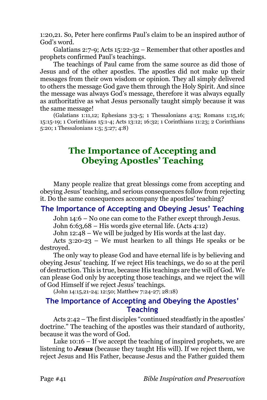1:20,21. So, Peter here confirms Paul's claim to be an inspired author of God's word.

Galatians 2:7-9; Acts 15:22-32 – Remember that other apostles and prophets confirmed Paul's teachings.

The teachings of Paul came from the same source as did those of Jesus and of the other apostles. The apostles did not make up their messages from their own wisdom or opinion. They all simply delivered to others the message God gave them through the Holy Spirit. And since the message was always God's message, therefore it was always equally as authoritative as what Jesus personally taught simply because it was the same message!

(Galatians 1:11,12; Ephesians 3:3-5; 1 Thessalonians 4:15; Romans 1:15,16; 15:15-19; 1 Corinthians 15:1-4; Acts 13:12; 16:32; 1 Corinthians 11:23; 2 Corinthians 5:20; 1 Thessalonians 1:5; 5:27; 4:8)

# **The Importance of Accepting and Obeying Apostles' Teaching**

Many people realize that great blessings come from accepting and obeying Jesus' teaching, and serious consequences follow from rejecting it. Do the same consequences accompany the apostles' teaching?

## **The Importance of Accepting and Obeying Jesus' Teaching**

John 14:6 – No one can come to the Father except through Jesus.

John 6:63,68 – His words give eternal life. (Acts 4:12)

John 12:48 – We will be judged by His words at the last day.

Acts 3:20-23 – We must hearken to all things He speaks or be destroyed.

The only way to please God and have eternal life is by believing and obeying Jesus' teaching. If we reject His teachings, we do so at the peril of destruction. This is true, because His teachings are the will of God. We can please God only by accepting those teachings, and we reject the will of God Himself if we reject Jesus' teachings.

(John 14:15,21-24; 12:50; Matthew 7:24-27; 28:18)

## **The Importance of Accepting and Obeying the Apostles' Teaching**

Acts 2:42 – The first disciples "continued steadfastly in the apostles' doctrine." The teaching of the apostles was their standard of authority, because it was the word of God.

Luke 10:16 – If we accept the teaching of inspired prophets, we are listening to *Jesus* (because they taught His will). If we reject them, we reject Jesus and His Father, because Jesus and the Father guided them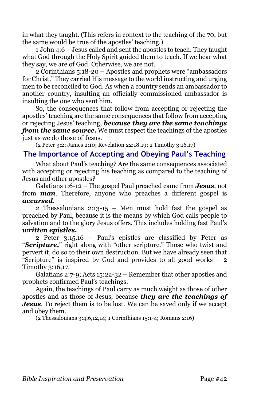in what they taught. (This refers in context to the teaching of the 70, but the same would be true of the apostles' teaching.)

1 John 4:6 – Jesus called and sent the apostles to teach. They taught what God through the Holy Spirit guided them to teach. If we hear what they say, we are of God. Otherwise, we are not.

2 Corinthians 5:18-20 – Apostles and prophets were "ambassadors for Christ." They carried His message to the world instructing and urging men to be reconciled to God. As when a country sends an ambassador to another country, insulting an officially commissioned ambassador is insulting the one who sent him.

So, the consequences that follow from accepting or rejecting the apostles' teaching are the same consequences that follow from accepting or rejecting Jesus' teaching, *because they are the same teachings from the same source.* We must respect the teachings of the apostles just as we do those of Jesus.

(2 Peter 3:2; James 2:10; Revelation 22:18,19; 2 Timothy 3:16,17)

## **The Importance of Accepting and Obeying Paul's Teaching**

What about Paul's teaching? Are the same consequences associated with accepting or rejecting his teaching as compared to the teaching of Jesus and other apostles?

Galatians 1:6-12 – The gospel Paul preached came from *Jesus*, not from *man*. Therefore, anyone who preaches a different gospel is *accursed*.

2 Thessalonians 2:13-15 – Men must hold fast the gospel as preached by Paul, because it is the means by which God calls people to salvation and to the glory Jesus offers. This includes holding fast Paul's *written epistles.*

2 Peter 3:15,16 – Paul's epistles are classified by Peter as "*Scripture,*" right along with "other scripture." Those who twist and pervert it, do so to their own destruction. But we have already seen that "Scripture" is inspired by God and provides to all good works  $-2$ Timothy 3:16,17.

Galatians 2:7-9; Acts 15:22-32 – Remember that other apostles and prophets confirmed Paul's teachings.

Again, the teachings of Paul carry as much weight as those of other apostles and as those of Jesus, because *they are the teachings of Jesus*. To reject them is to be lost. We can be saved only if we accept and obey them.

(2 Thessalonians 3:4,6,12,14; 1 Corinthians 15:1-4; Romans 2:16)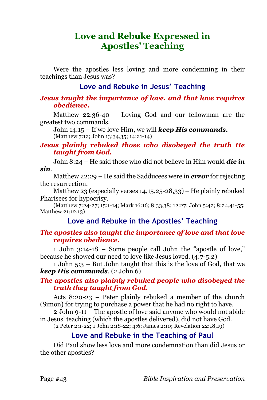# **Love and Rebuke Expressed in Apostles' Teaching**

Were the apostles less loving and more condemning in their teachings than Jesus was?

## **Love and Rebuke in Jesus' Teaching**

## *Jesus taught the importance of love, and that love requires obedience.*

Matthew 22:36-40 – Loving God and our fellowman are the greatest two commands.

John 14:15 – If we love Him, we will *keep His commands.*  (Matthew 7:12; John 13:34,35; 14:21-14)

## *Jesus plainly rebuked those who disobeyed the truth He taught from God.*

John 8:24 – He said those who did not believe in Him would *die in sin*.

Matthew 22:29 – He said the Sadducees were in *error* for rejecting the resurrection.

Matthew 23 (especially verses 14,15,25-28,33) – He plainly rebuked Pharisees for hypocrisy.

(Matthew 7:24-27; 15:1-14; Mark 16:16; 8:33,38; 12:27; John 5:42; 8:24,41-55; Matthew 21:12,13)

## **Love and Rebuke in the Apostles' Teaching**

## *The apostles also taught the importance of love and that love requires obedience.*

1 John 3:14-18 – Some people call John the "apostle of love," because he showed our need to love like Jesus loved. (4:7-5:2)

1 John 5:3 – But John taught that this is the love of God, that we *keep His commands*. (2 John 6)

## *The apostles also plainly rebuked people who disobeyed the truth they taught from God.*

Acts 8:20-23 – Peter plainly rebuked a member of the church (Simon) for trying to purchase a power that he had no right to have.

2 John 9-11 – The apostle of love said anyone who would not abide in Jesus' teaching (which the apostles delivered), did not have God.

(2 Peter 2:1-22; 1 John 2:18-22; 4:6; James 2:10; Revelation 22:18,19)

## **Love and Rebuke in the Teaching of Paul**

Did Paul show less love and more condemnation than did Jesus or the other apostles?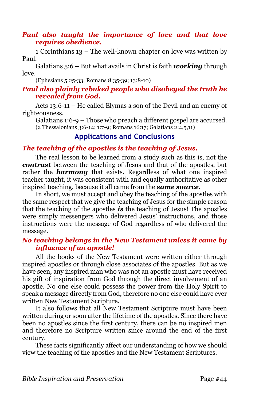## *Paul also taught the importance of love and that love requires obedience.*

1 Corinthians 13 – The well-known chapter on love was written by Paul.

Galatians 5:6 – But what avails in Christ is faith *working* through love.

(Ephesians 5:25-33; Romans 8:35-39; 13:8-10)

## *Paul also plainly rebuked people who disobeyed the truth he revealed from God.*

Acts 13:6-11 – He called Elymas a son of the Devil and an enemy of righteousness.

Galatians 1:6-9 – Those who preach a different gospel are accursed. (2 Thessalonians 3:6-14; 1:7-9; Romans 16:17; Galatians 2:4,5,11)

## **Applications and Conclusions**

## *The teaching of the apostles is the teaching of Jesus.*

The real lesson to be learned from a study such as this is, not the *contrast* between the teaching of Jesus and that of the apostles, but rather the **harmony** that exists. Regardless of what one inspired teacher taught, it was consistent with and equally authoritative as other inspired teaching, because it all came from the *same source*.

In short, we must accept and obey the teaching of the apostles with the same respect that we give the teaching of Jesus for the simple reason that the teaching of the apostles *is* the teaching of Jesus! The apostles were simply messengers who delivered Jesus' instructions, and those instructions were the message of God regardless of who delivered the message.

## *No teaching belongs in the New Testament unless it came by influence of an apostle!*

All the books of the New Testament were written either through inspired apostles or through close associates of the apostles. But as we have seen, any inspired man who was not an apostle must have received his gift of inspiration from God through the direct involvement of an apostle. No one else could possess the power from the Holy Spirit to speak a message directly from God, therefore no one else could have ever written New Testament Scripture.

It also follows that all New Testament Scripture must have been written during or soon after the lifetime of the apostles. Since there have been no apostles since the first century, there can be no inspired men and therefore no Scripture written since around the end of the first century.

These facts significantly affect our understanding of how we should view the teaching of the apostles and the New Testament Scriptures.

*Bible Inspiration and Preservation* Page #44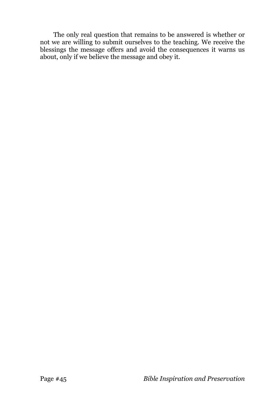The only real question that remains to be answered is whether or not we are willing to submit ourselves to the teaching. We receive the blessings the message offers and avoid the consequences it warns us about, only if we believe the message and obey it.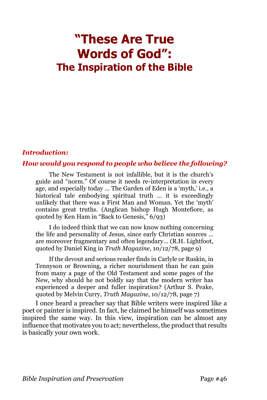# **"These Are True Words of God": The Inspiration of the Bible**

#### *Introduction:*

## *How would you respond to people who believe the following?*

The New Testament is not infallible, but it is the church's guide and "norm." Of course it needs re-interpretation in every age, and especially today ... The Garden of Eden is a 'myth,' i.e., a historical tale embodying spiritual truth … it is exceedingly unlikely that there was a First Man and Woman. Yet the 'myth' contains great truths. (Anglican bishop Hugh Montefiore, as quoted by Ken Ham in "Back to Genesis,"  $6/93$ )

I do indeed think that we can now know nothing concerning the life and personality of Jesus, since early Christian sources … are moreover fragmentary and often legendary… (R.H. Lightfoot, quoted by Daniel King in *Truth Magazine*, 10/12/78, page 9)

If the devout and serious reader finds in Carlyle or Ruskin, in Tennyson or Browning, a richer nourishment than he can gain from many a page of the Old Testament and some pages of the New, why should he not boldly say that the modern writer has experienced a deeper and fuller inspiration? (Arthur S. Peake, quoted by Melvin Curry, *Truth Magazine*, 10/12/78, page 7)

I once heard a preacher say that Bible writers were inspired like a poet or painter is inspired. In fact, he claimed he himself was sometimes inspired the same way. In this view, inspiration can be almost any influence that motivates you to act; nevertheless, the product that results is basically your own work.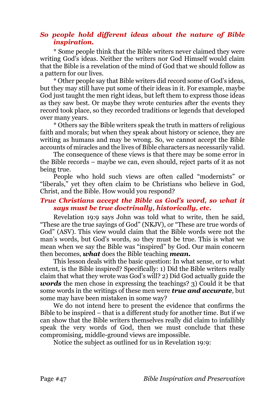## *So people hold different ideas about the nature of Bible inspiration.*

\* Some people think that the Bible writers never claimed they were writing God's ideas. Neither the writers nor God Himself would claim that the Bible is a revelation of the mind of God that we should follow as a pattern for our lives.

\* Other people say that Bible writers did record some of God's ideas, but they may still have put some of their ideas in it. For example, maybe God just taught the men right ideas, but left them to express those ideas as they saw best. Or maybe they wrote centuries after the events they record took place, so they recorded traditions or legends that developed over many years.

\* Others say the Bible writers speak the truth in matters of religious faith and morals; but when they speak about history or science, they are writing as humans and may be wrong. So, we cannot accept the Bible accounts of miracles and the lives of Bible characters as necessarily valid.

The consequence of these views is that there may be some error in the Bible records – maybe we can, even should, reject parts of it as not being true.

People who hold such views are often called "modernists" or "liberals," yet they often claim to be Christians who believe in God, Christ, and the Bible. How would you respond?

## *True Christians accept the Bible as God's word, so what it says must be true doctrinally, historically, etc.*

Revelation 19:9 says John was told what to write, then he said, "These are the true sayings of God" (NKJV), or "These are true words of God" (ASV). This view would claim that the Bible words were not the man's words, but God's words, so they must be true. This is what we mean when we say the Bible was "inspired" by God. Our main concern then becomes, *what* does the Bible teaching *mean.*

This lesson deals with the basic question: In what sense, or to what extent, is the Bible inspired? Specifically: 1) Did the Bible writers really claim that what they wrote was God's will? 2) Did God actually guide the *words* the men chose in expressing the teachings? 3) Could it be that some words in the writings of these men were *true and accurate*, but some may have been mistaken in some way?

We do not intend here to present the evidence that confirms the Bible to be inspired – that is a different study for another time. But if we can show that the Bible writers themselves really did claim to infallibly speak the very words of God, then we must conclude that these compromising, middle-ground views are impossible.

Notice the subject as outlined for us in Revelation 19:9: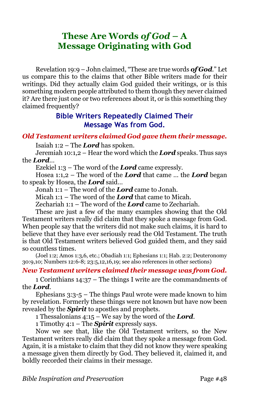# **These Are Words** *of God* **– A Message Originating with God**

Revelation 19:9 – John claimed, "These are true words *of God*." Let us compare this to the claims that other Bible writers made for their writings. Did they actually claim God guided their writings, or is this something modern people attributed to them though they never claimed it? Are there just one or two references about it, or is this something they claimed frequently?

## **Bible Writers Repeatedly Claimed Their Message Was from God.**

#### *Old Testament writers claimed God gave them their message.*

Isaiah 1:2 – The *Lord* has spoken.

Jeremiah 10:1,2 – Hear the word which the *Lord* speaks. Thus says the *Lord*…

Ezekiel 1:3 – The word of the *Lord* came expressly.

Hosea 1:1,2 – The word of the *Lord* that came … the *Lord* began to speak by Hosea, the *Lord* said…

Jonah 1:1 – The word of the *Lord* came to Jonah.

Micah 1:1 – The word of the *Lord* that came to Micah.

Zechariah 1:1 – The word of the *Lord* came to Zechariah.

These are just a few of the many examples showing that the Old Testament writers really did claim that they spoke a message from God. When people say that the writers did not make such claims, it is hard to believe that they have ever seriously read the Old Testament. The truth is that Old Testament writers believed God guided them, and they said so countless times.

(Joel 1:2; Amos 1:3,6, etc.; Obadiah 1:1; Ephesians 1:1; Hab. 2:2; Deuteronomy 30:9,10; Numbers 12:6-8; 23:5,12,16,19; see also references in other sections)

## *New Testament writers claimed their message was from God.*

1 Corinthians 14:37 – The things I write are the commandments of the *Lord*.

Ephesians 3:3-5 – The things Paul wrote were made known to him by revelation. Formerly these things were not known but have now been revealed by the *Spirit* to apostles and prophets.

1 Thessalonians 4:15 – We say by the word of the *Lord*.

1 Timothy 4:1 – The *Spirit* expressly says.

Now we see that, like the Old Testament writers, so the New Testament writers really did claim that they spoke a message from God. Again, it is a mistake to claim that they did not know they were speaking a message given them directly by God. They believed it, claimed it, and boldly recorded their claims in their message.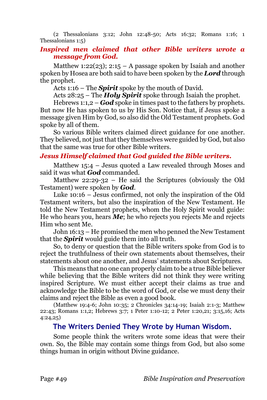(2 Thessalonians 3:12; John 12:48-50; Acts 16:32; Romans 1:16; 1 Thessalonians 1:5)

## *Inspired men claimed that other Bible writers wrote a message from God.*

Matthew 1:22(23); 2:15 – A passage spoken by Isaiah and another spoken by Hosea are both said to have been spoken by the *Lord* through the prophet.

Acts 1:16 – The *Spirit* spoke by the mouth of David.

Acts 28:25 – The *Holy Spirit* spoke through Isaiah the prophet.

Hebrews 1:1,2 – *God* spoke in times past to the fathers by prophets. But now He has spoken to us by His Son. Notice that, if Jesus spoke a message given Him by God, so also did the Old Testament prophets. God spoke by all of them.

So various Bible writers claimed direct guidance for one another. They believed, not just that they themselves were guided by God, but also that the same was true for other Bible writers.

#### *Jesus Himself claimed that God guided the Bible writers.*

Matthew 15:4 – Jesus quoted a Law revealed through Moses and said it was what *God* commanded.

Matthew 22:29-32 – He said the Scriptures (obviously the Old Testament) were spoken by *God*.

Luke 10:16 – Jesus confirmed, not only the inspiration of the Old Testament writers, but also the inspiration of the New Testament. He told the New Testament prophets, whom the Holy Spirit would guide: He who hears you, hears *Me*; he who rejects you rejects Me and rejects Him who sent Me.

John 16:13 – He promised the men who penned the New Testament that the *Spirit* would guide them into all truth.

So, to deny or question that the Bible writers spoke from God is to reject the truthfulness of their own statements about themselves, their statements about one another, and Jesus' statements about Scriptures.

This means that no one can properly claim to be a true Bible believer while believing that the Bible writers did not think they were writing inspired Scripture. We must either accept their claims as true and acknowledge the Bible to be the word of God, or else we must deny their claims and reject the Bible as even a good book.

(Matthew 19:4-6; John 10:35; 2 Chronicles 34:14-19; Isaiah 2:1-3; Matthew 22:43; Romans 1:1,2; Hebrews 3:7; 1 Peter 1:10-12; 2 Peter 1:20,21; 3:15,16; Acts 4:24,25)

#### **The Writers Denied They Wrote by Human Wisdom.**

Some people think the writers wrote some ideas that were their own. So, the Bible may contain some things from God, but also some things human in origin without Divine guidance.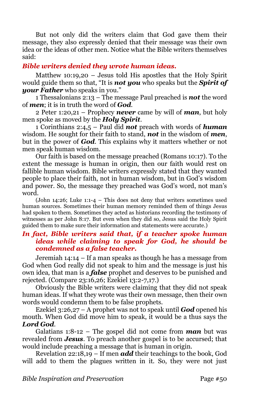But not only did the writers claim that God gave them their message, they also expressly denied that their message was their own idea or the ideas of other men. Notice what the Bible writers themselves said:

## *Bible writers denied they wrote human ideas.*

Matthew 10:19,20 – Jesus told His apostles that the Holy Spirit would guide them so that, "It is *not you* who speaks but the *Spirit of your Father* who speaks in you."

1 Thessalonians 2:13 – The message Paul preached is *not* the word of *men*; it is in truth the word of *God*.

2 Peter 1:20,21 – Prophecy *never* came by will of *man*, but holy men spoke as moved by the *Holy Spirit*.

1 Corinthians 2:4,5 – Paul did *not* preach with words of *human* wisdom. He sought for their faith to stand, *not* in the wisdom of *men*, but in the power of *God*. This explains why it matters whether or not men speak human wisdom.

Our faith is based on the message preached (Romans 10:17). To the extent the message is human in origin, then our faith would rest on fallible human wisdom. Bible writers expressly stated that they wanted people to place their faith, not in human wisdom, but in God's wisdom and power. So, the message they preached was God's word, not man's word.

(John 14:26; Luke 1:1-4 – This does not deny that writers sometimes used human sources. Sometimes their human memory reminded them of things Jesus had spoken to them. Sometimes they acted as historians recording the testimony of witnesses as per John 8:17. But even when they did so, Jesus said the Holy Spirit guided them to make sure their information and statements were accurate.)

## *In fact, Bible writers said that, if a teacher spoke human ideas while claiming to speak for God, he should be condemned as a false teacher.*

Jeremiah 14:14 – If a man speaks as though he has a message from God when God really did not speak to him and the message is just his own idea, that man is a *false* prophet and deserves to be punished and rejected. (Compare 23:16,26; Ezekiel 13:2-7,17.)

Obviously the Bible writers were claiming that they did not speak human ideas. If what they wrote was their own message, then their own words would condemn them to be false prophets.

Ezekiel 3:26,27 – A prophet was not to speak until *God* opened his mouth. When God did move him to speak, it would be a thus says the *Lord God*.

Galatians 1:8-12 – The gospel did not come from *man* but was revealed from *Jesus*. To preach another gospel is to be accursed; that would include preaching a message that is human in origin.

Revelation 22:18,19 – If men *add* their teachings to the book, God will add to them the plagues written in it. So, they were not just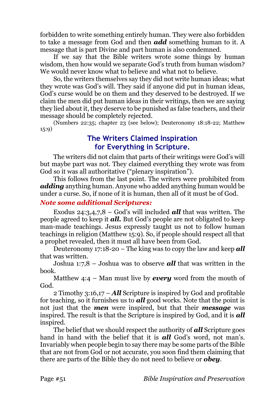forbidden to write something entirely human. They were also forbidden to take a message from God and then *add* something human to it. A message that is part Divine and part human is also condemned.

If we say that the Bible writers wrote some things by human wisdom, then how would we separate God's truth from human wisdom? We would never know what to believe and what not to believe.

So, the writers themselves say they did not write human ideas; what they wrote was God's will. They said if anyone did put in human ideas, God's curse would be on them and they deserved to be destroyed. If we claim the men did put human ideas in their writings, then we are saying they lied about it, they deserve to be punished as false teachers, and their message should be completely rejected.

(Numbers 22:35; chapter 23 (see below); Deuteronomy 18:18-22; Matthew 15:9)

## **The Writers Claimed Inspiration for Everything in Scripture.**

The writers did not claim that parts of their writings were God's will but maybe part was not. They claimed everything they wrote was from God so it was all authoritative ("plenary inspiration").

This follows from the last point. The writers were prohibited from *adding* anything human. Anyone who added anything human would be under a curse. So, if none of it is human, then all of it must be of God.

## *Note some additional Scriptures:*

Exodus 24:3,4,7,8 – God's will included *all* that was written. The people agreed to keep it *all.* But God's people are not obligated to keep man-made teachings. Jesus expressly taught us not to follow human teachings in religion (Matthew 15:9). So, if people should respect all that a prophet revealed, then it must all have been from God.

Deuteronomy 17:18-20 – The king was to copy the law and keep *all* that was written.

Joshua 1:7,8 – Joshua was to observe *all* that was written in the book.

Matthew 4:4 – Man must live by *every* word from the mouth of God.

2 Timothy 3:16,17 – *All* Scripture is inspired by God and profitable for teaching, so it furnishes us to *all* good works. Note that the point is not just that the *men* were inspired, but that their *message* was inspired. The result is that the Scripture is inspired by God, and it is *all* inspired.

The belief that we should respect the authority of *all* Scripture goes hand in hand with the belief that it is *all* God's word, not man's. Invariably when people begin to say there may be some parts of the Bible that are not from God or not accurate, you soon find them claiming that there are parts of the Bible they do not need to believe or *obey*.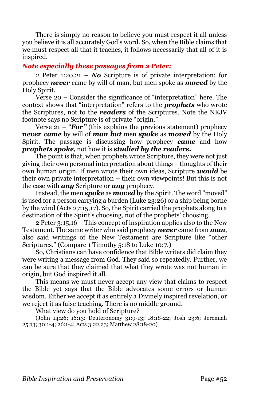There is simply no reason to believe you must respect it all unless you believe it is all accurately God's word. So, when the Bible claims that we must respect all that it teaches, it follows necessarily that all of it is inspired.

#### *Note especially these passages from 2 Peter:*

2 Peter 1:20,21 – *No* Scripture is of private interpretation; for prophecy *never* came by will of man, but men spoke as *moved* by the Holy Spirit.

Verse 20 – Consider the significance of "interpretation" here. The context shows that "interpretation" refers to the *prophets* who wrote the Scriptures, not to the *readers* of the Scriptures. Note the NKJV footnote says no Scripture is of private "origin."

Verse 21 – "*For"* (this explains the previous statement) prophecy *never came* by will of *man but* men *spoke* as *moved* by the Holy Spirit. The passage is discussing how prophecy *came* and how *prophets spoke*, not how it is *studied by the readers.*

The point is that, when prophets wrote Scripture, they were not just giving their own personal interpretation about things – thoughts of their own human origin. If men wrote their own ideas, Scripture *would* be their own private interpretation – their own viewpoints! But this is not the case with *any* Scripture or *any* prophecy.

Instead, the men *spoke* as *moved* by the Spirit. The word "moved" is used for a person carrying a burden (Luke 23:26) or a ship being borne by the wind (Acts 27:15,17). So, the Spirit carried the prophets along to a destination of the Spirit's choosing, not of the prophets' choosing.

2 Peter 3:15,16 – This concept of inspiration applies also to the New Testament. The same writer who said prophecy *never* came from *man*, also said writings of the New Testament are Scripture like "other Scriptures." (Compare 1 Timothy 5:18 to Luke 10:7.)

So, Christians can have confidence that Bible writers did claim they were writing a message from God. They said so repeatedly. Further, we can be sure that they claimed that what they wrote was not human in origin, but God inspired it all.

This means we must never accept any view that claims to respect the Bible yet says that the Bible advocates some errors or human wisdom. Either we accept it as entirely a Divinely inspired revelation, or we reject it as false teaching. There is no middle ground.

What view do you hold of Scripture?

(John 14:26; 16:13: Deuteronomy 31:9-13; 18:18-22; Josh 23:6; Jeremiah 25:13; 30:1-4; 26:1-4; Acts 3:22,23; Matthew 28:18-20)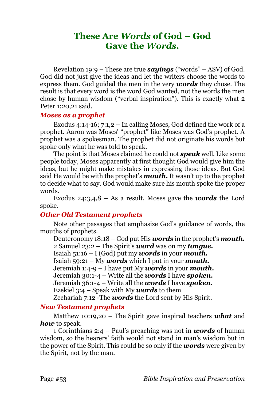# **These Are** *Words* **of God – God Gave the** *Words.*

Revelation 19:9 – These are true *sayings* ("words" – ASV) of God. God did not just give the ideas and let the writers choose the words to express them. God guided the men in the very *words* they chose. The result is that every word is the word God wanted, not the words the men chose by human wisdom ("verbal inspiration"). This is exactly what 2 Peter 1:20,21 said.

#### *Moses as a prophet*

Exodus 4:14-16; 7:1,2 – In calling Moses, God defined the work of a prophet. Aaron was Moses' "prophet" like Moses was God's prophet. A prophet was a spokesman. The prophet did not originate his words but spoke only what he was told to speak.

The point is that Moses claimed he could not *speak* well. Like some people today, Moses apparently at first thought God would give him the ideas, but he might make mistakes in expressing those ideas. But God said He would be with the prophet's *mouth***.** It wasn't up to the prophet to decide what to say. God would make sure his mouth spoke the proper words.

Exodus 24:3,4,8 – As a result, Moses gave the *words* the Lord spoke.

## *Other Old Testament prophets*

Note other passages that emphasize God's guidance of words, the mouths of prophets.

Deuteronomy 18:18 – God put His *words* in the prophet's *mouth.* 2 Samuel 23:2 – The Spirit's *word* was on my *tongue.* Isaiah 51:16 – I (God) put my *words* in your *mouth.* Isaiah 59:21 – My *words* which I put in your *mouth.* Jeremiah 1:4-9 – I have put My *words* in your *mouth.* Jeremiah 30:1-4 – Write all the *words* I have *spoken.* Jeremiah 36:1-4 – Write all the *words* I have *spoken.* Ezekiel 3:4 – Speak with My *words* to them Zechariah 7:12 -The *words* the Lord sent by His Spirit.

## *New Testament prophets*

Matthew 10:19,20 – The Spirit gave inspired teachers *what* and *how* to speak.

1 Corinthians 2:4 – Paul's preaching was not in *words* of human wisdom, so the hearers' faith would not stand in man's wisdom but in the power of the Spirit. This could be so only if the *words* were given by the Spirit, not by the man.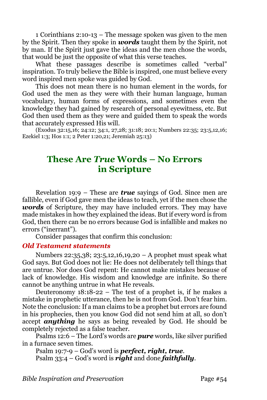1 Corinthians 2:10-13 – The message spoken was given to the men by the Spirit. Then they spoke in *words* taught them by the Spirit, not by man. If the Spirit just gave the ideas and the men chose the words, that would be just the opposite of what this verse teaches.

What these passages describe is sometimes called "verbal" inspiration. To truly believe the Bible is inspired, one must believe every word inspired men spoke was guided by God.

This does not mean there is no human element in the words, for God used the men as they were with their human language, human vocabulary, human forms of expressions, and sometimes even the knowledge they had gained by research of personal eyewitness, etc. But God then used them as they were and guided them to speak the words that accurately expressed His will.

(Exodus 32:15,16; 24:12; 34:1, 27,28; 31:18; 20:1; Numbers 22:35; 23:5,12,16; Ezekiel 1:3; Hos 1:1; 2 Peter 1:20,21; Jeremiah 25:13)

# **These Are** *True* **Words – No Errors in Scripture**

Revelation 19:9 – These are *true* sayings of God. Since men are fallible, even if God gave men the ideas to teach, yet if the men chose the *words* of Scripture, they may have included errors. They may have made mistakes in how they explained the ideas. But if every word is from God, then there can be no errors because God is infallible and makes no errors ("inerrant").

Consider passages that confirm this conclusion:

#### *Old Testament statements*

Numbers 22:35,38; 23:5,12,16,19,20 – A prophet must speak what God says. But God does not lie: He does not deliberately tell things that are untrue. Nor does God repent: He cannot make mistakes because of lack of knowledge. His wisdom and knowledge are infinite. So there cannot be anything untrue in what He reveals.

Deuteronomy 18:18-22 – The test of a prophet is, if he makes a mistake in prophetic utterance, then he is not from God. Don't fear him. Note the conclusion: If a man claims to be a prophet but errors are found in his prophecies, then you know God did not send him at all, so don't accept *anything* he says as being revealed by God. He should be completely rejected as a false teacher.

Psalms 12:6 – The Lord's words are *pure* words, like silver purified in a furnace seven times.

Psalm 19:7-9 – God's word is *perfect, right, true*. Psalm 33:4 – God's word is *right* and done *faithfully*.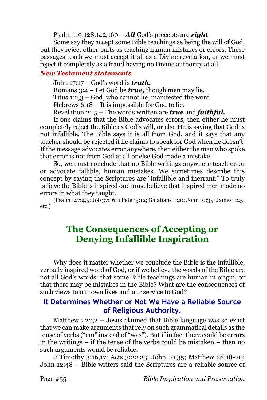Psalm 119:128,142,160 – *All* God's precepts are *right*.

Some say they accept some Bible teachings as being the will of God, but they reject other parts as teaching human mistakes or errors. These passages teach we must accept it all as a Divine revelation, or we must reject it completely as a fraud having no Divine authority at all.

#### *New Testament statements*

John 17:17 – God's word is *truth.*

Romans 3:4 – Let God be *true,* though men may lie.

Titus 1:2,3 – God, who cannot lie, manifested the word.

Hebrews 6:18 – It is impossible for God to lie.

Revelation 21:5 – The words written are *true* and *faithful.*

If one claims that the Bible advocates errors, then either he must completely reject the Bible as God's will, or else He is saying that God is not infallible. The Bible says it is all from God, and it says that any teacher should be rejected if he claims to speak for God when he doesn't. If the message advocates error anywhere, then either the man who spoke that error is not from God at all or else God made a mistake!

So, we must conclude that no Bible writings anywhere teach error or advocate fallible, human mistakes. We sometimes describe this concept by saying the Scriptures are "infallible and inerrant." To truly believe the Bible is inspired one must believe that inspired men made no errors in what they taught.

(Psalm 147:4,5; Job 37:16; 1 Peter 5:12; Galatians 1:20; John 10:35; James 1:25; etc.)

# **The Consequences of Accepting or Denying Infallible Inspiration**

Why does it matter whether we conclude the Bible is the infallible, verbally inspired word of God, or if we believe the words of the Bible are not all God's words: that some Bible teachings are human in origin, or that there may be mistakes in the Bible? What are the consequences of such views to our own lives and our service to God?

## **It Determines Whether or Not We Have a Reliable Source of Religious Authority.**

Matthew 22:32 – Jesus claimed that Bible language was so exact that we can make arguments that rely on such grammatical details as the tense of verbs ("am" instead of "was"). But if in fact there could be errors in the writings – if the tense of the verbs could be mistaken – then no such arguments would be reliable.

2 Timothy 3:16,17; Acts 3:22,23; John 10:35; Matthew 28:18-20; John 12:48 – Bible writers said the Scriptures are a reliable source of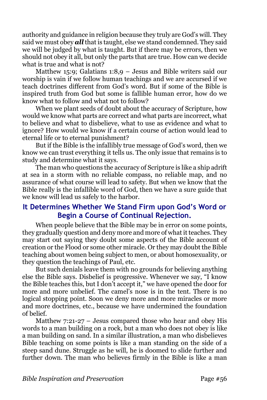authority and guidance in religion because they truly are God's will. They said we must obey *all* that is taught, else we stand condemned. They said we will be judged by what is taught. But if there may be errors, then we should not obey it all, but only the parts that are true. How can we decide what is true and what is not?

Matthew 15:9; Galatians 1:8,9 – Jesus and Bible writers said our worship is vain if we follow human teachings and we are accursed if we teach doctrines different from God's word. But if some of the Bible is inspired truth from God but some is fallible human error, how do we know what to follow and what not to follow?

When we plant seeds of doubt about the accuracy of Scripture, how would we know what parts are correct and what parts are incorrect, what to believe and what to disbelieve, what to use as evidence and what to ignore? How would we know if a certain course of action would lead to eternal life or to eternal punishment?

But if the Bible is the infallibly true message of God's word, then we know we can trust everything it tells us. The only issue that remains is to study and determine what it says.

The man who questions the accuracy of Scripture is like a ship adrift at sea in a storm with no reliable compass, no reliable map, and no assurance of what course will lead to safety. But when we know that the Bible really is the infallible word of God, then we have a sure guide that we know will lead us safely to the harbor.

## **It Determines Whether We Stand Firm upon God's Word or Begin a Course of Continual Rejection.**

When people believe that the Bible may be in error on some points, they gradually question and deny more and more of what it teaches. They may start out saying they doubt some aspects of the Bible account of creation or the Flood or some other miracle. Or they may doubt the Bible teaching about women being subject to men, or about homosexuality, or they question the teachings of Paul, etc.

But such denials leave them with no grounds for believing anything else the Bible says. Disbelief is progressive. Whenever we say, "I know the Bible teaches this, but I don't accept it," we have opened the door for more and more unbelief. The camel's nose is in the tent. There is no logical stopping point. Soon we deny more and more miracles or more and more doctrines, etc., because we have undermined the foundation of belief.

Matthew 7:21-27 – Jesus compared those who hear and obey His words to a man building on a rock, but a man who does not obey is like a man building on sand. In a similar illustration, a man who disbelieves Bible teaching on some points is like a man standing on the side of a steep sand dune. Struggle as he will, he is doomed to slide further and further down. The man who believes firmly in the Bible is like a man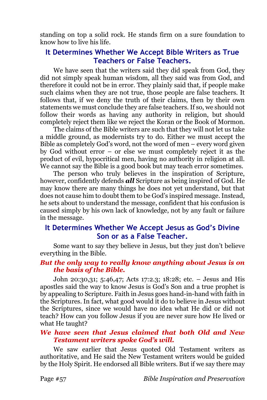standing on top a solid rock. He stands firm on a sure foundation to know how to live his life.

## **It Determines Whether We Accept Bible Writers as True Teachers or False Teachers.**

We have seen that the writers said they did speak from God, they did not simply speak human wisdom, all they said was from God, and therefore it could not be in error. They plainly said that, if people make such claims when they are not true, those people are false teachers. It follows that, if we deny the truth of their claims, then by their own statements we must conclude they are false teachers. If so, we should not follow their words as having any authority in religion, but should completely reject them like we reject the Koran or the Book of Mormon.

The claims of the Bible writers are such that they will not let us take a middle ground, as modernists try to do. Either we must accept the Bible as completely God's word, not the word of men – every word given by God without error – or else we must completely reject it as the product of evil, hypocritical men, having no authority in religion at all. We cannot say the Bible is a good book but may teach error sometimes.

The person who truly believes in the inspiration of Scripture, however, confidently defends *all* Scripture as being inspired of God. He may know there are many things he does not yet understand, but that does not cause him to doubt them to be God's inspired message. Instead, he sets about to understand the message, confident that his confusion is caused simply by his own lack of knowledge, not by any fault or failure in the message.

## **It Determines Whether We Accept Jesus as God's Divine Son or as a False Teacher.**

Some want to say they believe in Jesus, but they just don't believe everything in the Bible.

## *But the only way to really know anything about Jesus is on the basis of the Bible.*

John 20:30,31; 5:46,47; Acts 17:2.3; 18:28; etc. – Jesus and His apostles said the way to know Jesus is God's Son and a true prophet is by appealing to Scripture. Faith in Jesus goes hand-in-hand with faith in the Scriptures. In fact, what good would it do to believe in Jesus without the Scriptures, since we would have no idea what He did or did not teach? How can you follow Jesus if you are never sure how He lived or what He taught?

## *We have seen that Jesus claimed that both Old and New Testament writers spoke God's will.*

We saw earlier that Jesus quoted Old Testament writers as authoritative, and He said the New Testament writers would be guided by the Holy Spirit. He endorsed all Bible writers. But if we say there may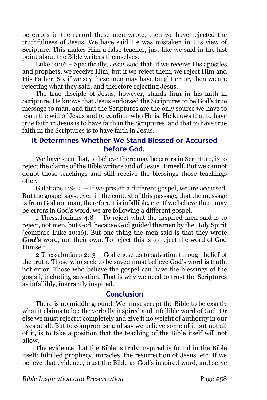be errors in the record these men wrote, then we have rejected the truthfulness of Jesus. We have said He was mistaken in His view of Scripture. This makes Him a false teacher, just like we said in the last point about the Bible writers themselves.

Luke 10:16 – Specifically, Jesus said that, if we receive His apostles and prophets, we receive Him; but if we reject them, we reject Him and His Father. So, if we say these men may have taught error, then we are rejecting what they said, and therefore rejecting Jesus.

The true disciple of Jesus, however, stands firm in his faith in Scripture. He knows that Jesus endorsed the Scriptures to be God's true message to man, and that the Scriptures are the only source we have to learn the will of Jesus and to confirm who He is. He knows that to have true faith in Jesus is to have faith in the Scriptures, and that to have true faith in the Scriptures is to have faith in Jesus.

## **It Determines Whether We Stand Blessed or Accursed before God.**

We have seen that, to believe there may be errors in Scripture, is to reject the claims of the Bible writers and of Jesus Himself. But we cannot doubt those teachings and still receive the blessings those teachings offer.

Galatians 1:8-12 – If we preach a different gospel, we are accursed. But the gospel says, even in the context of this passage, that the message is from God not man, therefore it is infallible, etc. If we believe there may be errors in God's word, we are following a different gospel.

1 Thessalonians 4:8 – To reject what the inspired men said is to reject, not men, but God, because God guided the men by the Holy Spirit (compare Luke 10:16). But one thing the men said is that they wrote *God's* word, not their own. To reject this is to reject the word of God Himself.

2 Thessalonians 2:13 – God chose us to salvation through belief of the truth. Those who seek to be saved must believe God's word is truth, not error. Those who believe the gospel can have the blessings of the gospel, including salvation. That is why we need to trust the Scriptures as infallibly, inerrantly inspired.

## **Conclusion**

There is no middle ground. We must accept the Bible to be exactly what it claims to be: the verbally inspired and infallible word of God. Or else we must reject it completely and give it no weight of authority in our lives at all. But to compromise and say we believe some of it but not all of it, is to take a position that the teaching of the Bible itself will not allow.

The evidence that the Bible is truly inspired is found in the Bible itself: fulfilled prophecy, miracles, the resurrection of Jesus, etc. If we believe that evidence, trust the Bible as God's inspired word, and serve

*Bible Inspiration and Preservation* Page #58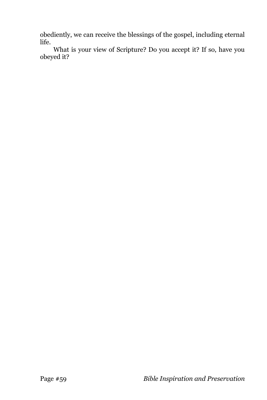obediently, we can receive the blessings of the gospel, including eternal life.

What is your view of Scripture? Do you accept it? If so, have you obeyed it?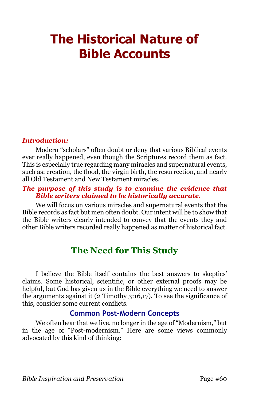# **The Historical Nature of Bible Accounts**

## *Introduction:*

Modern "scholars" often doubt or deny that various Biblical events ever really happened, even though the Scriptures record them as fact. This is especially true regarding many miracles and supernatural events, such as: creation, the flood, the virgin birth, the resurrection, and nearly all Old Testament and New Testament miracles.

## *The purpose of this study is to examine the evidence that Bible writers claimed to be historically accurate.*

We will focus on various miracles and supernatural events that the Bible records as fact but men often doubt. Our intent will be to show that the Bible writers clearly intended to convey that the events they and other Bible writers recorded really happened as matter of historical fact.

# **The Need for This Study**

I believe the Bible itself contains the best answers to skeptics' claims. Some historical, scientific, or other external proofs may be helpful, but God has given us in the Bible everything we need to answer the arguments against it (2 Timothy 3:16,17). To see the significance of this, consider some current conflicts.

## **Common Post-Modern Concepts**

We often hear that we live, no longer in the age of "Modernism," but in the age of "Post-modernism." Here are some views commonly advocated by this kind of thinking: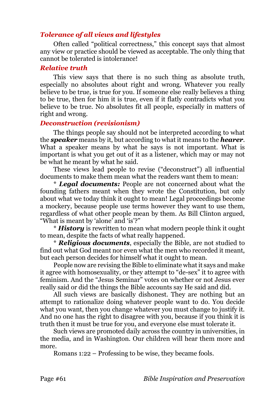## *Tolerance of all views and lifestyles*

Often called "political correctness," this concept says that almost any view or practice should be viewed as acceptable. The only thing that cannot be tolerated is intolerance!

#### *Relative truth*

This view says that there is no such thing as absolute truth, especially no absolutes about right and wrong. Whatever you really believe to be true, is true for you. If someone else really believes a thing to be true, then for him it is true, even if it flatly contradicts what you believe to be true. No absolutes fit all people, especially in matters of right and wrong.

#### *Deconstruction (revisionism)*

The things people say should not be interpreted according to what the *speaker* means by it, but according to what it means to the *hearer*. What a speaker means by what he says is not important. What is important is what you get out of it as a listener, which may or may not be what he meant by what he said.

These views lead people to revise ("deconstruct") all influential documents to make them mean what the readers want them to mean:

\* *Legal documents:* People are not concerned about what the founding fathers meant when they wrote the Constitution, but only about what we today think it ought to mean! Legal proceedings become a mockery, because people use terms however they want to use them, regardless of what other people mean by them. As Bill Clinton argued, "What is meant by 'alone' and 'is'?"

\* *History* is rewritten to mean what modern people think it ought to mean, despite the facts of what really happened.

\* *Religious documents*, especially the Bible, are not studied to find out what God meant nor even what the men who recorded it meant, but each person decides for himself what it ought to mean.

People now are revising the Bible to eliminate what it says and make it agree with homosexuality, or they attempt to "de-sex" it to agree with feminism. And the "Jesus Seminar" votes on whether or not Jesus ever really said or did the things the Bible accounts say He said and did.

All such views are basically dishonest. They are nothing but an attempt to rationalize doing whatever people want to do. You decide what you want, then you change whatever you must change to justify it. And no one has the right to disagree with you, because if you think it is truth then it must be true for you, and everyone else must tolerate it.

Such views are promoted daily across the country in universities, in the media, and in Washington. Our children will hear them more and more.

Romans 1:22 – Professing to be wise, they became fools.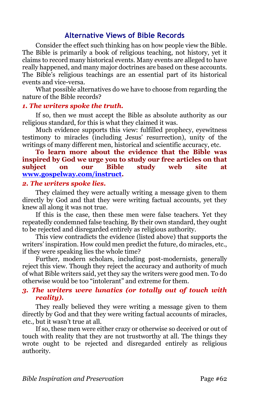## **Alternative Views of Bible Records**

Consider the effect such thinking has on how people view the Bible. The Bible is primarily a book of religious teaching, not history, yet it claims to record many historical events. Many events are alleged to have really happened, and many major doctrines are based on these accounts. The Bible's religious teachings are an essential part of its historical events and vice-versa.

What possible alternatives do we have to choose from regarding the nature of the Bible records?

#### *1. The writers spoke the truth.*

If so, then we must accept the Bible as absolute authority as our religious standard, for this is what they claimed it was.

Much evidence supports this view: fulfilled prophecy, eyewitness testimony to miracles (including Jesus' resurrection), unity of the writings of many different men, historical and scientific accuracy, etc.

## **To learn more about the evidence that the Bible was inspired by God we urge you to study our free articles on that subject on our Bible study web site at [www.gospelway.com/instruct.](http://www.gospelway.com/instruct)**

#### *2. The writers spoke lies.*

They claimed they were actually writing a message given to them directly by God and that they were writing factual accounts, yet they knew all along it was not true.

If this is the case, then these men were false teachers. Yet they repeatedly condemned false teaching. By their own standard, they ought to be rejected and disregarded entirely as religious authority.

This view contradicts the evidence (listed above) that supports the writers' inspiration. How could men predict the future, do miracles, etc., if they were speaking lies the whole time?

Further, modern scholars, including post-modernists, generally reject this view. Though they reject the accuracy and authority of much of what Bible writers said, yet they say the writers were good men. To do otherwise would be too "intolerant" and extreme for them.

#### *3. The writers were lunatics (or totally out of touch with reality).*

They really believed they were writing a message given to them directly by God and that they were writing factual accounts of miracles, etc., but it wasn't true at all.

If so, these men were either crazy or otherwise so deceived or out of touch with reality that they are not trustworthy at all. The things they wrote ought to be rejected and disregarded entirely as religious authority.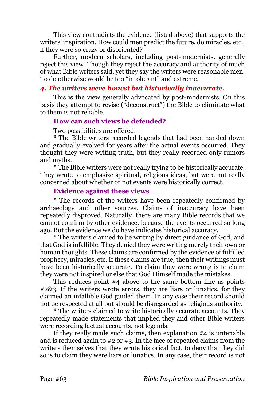This view contradicts the evidence (listed above) that supports the writers' inspiration. How could men predict the future, do miracles, etc., if they were so crazy or disoriented?

Further, modern scholars, including post-modernists, generally reject this view. Though they reject the accuracy and authority of much of what Bible writers said, yet they say the writers were reasonable men. To do otherwise would be too "intolerant" and extreme.

#### *4. The writers were honest but historically inaccurate.*

This is the view generally advocated by post-modernists. On this basis they attempt to revise ("deconstruct") the Bible to eliminate what to them is not reliable.

## **How can such views be defended?**

Two possibilities are offered:

\* The Bible writers recorded legends that had been handed down and gradually evolved for years after the actual events occurred. They thought they were writing truth, but they really recorded only rumors and myths.

\* The Bible writers were not really trying to be historically accurate. They wrote to emphasize spiritual, religious ideas, but were not really concerned about whether or not events were historically correct.

#### **Evidence against these views**

\* The records of the writers have been repeatedly confirmed by archaeology and other sources. Claims of inaccuracy have been repeatedly disproved. Naturally, there are many Bible records that we cannot confirm by other evidence, because the events occurred so long ago. But the evidence we do have indicates historical accuracy.

\* The writers claimed to be writing by direct guidance of God, and that God is infallible. They denied they were writing merely their own or human thoughts. These claims are confirmed by the evidence of fulfilled prophecy, miracles, etc. If these claims are true, then their writings must have been historically accurate. To claim they were wrong is to claim they were not inspired or else that God Himself made the mistakes.

This reduces point #4 above to the same bottom line as points #2&3. If the writers wrote errors, they are liars or lunatics, for they claimed an infallible God guided them. In any case their record should not be respected at all but should be disregarded as religious authority.

\* The writers claimed to write historically accurate accounts. They repeatedly made statements that implied they and other Bible writers were recording factual accounts, not legends.

If they really made such claims, then explanation #4 is untenable and is reduced again to #2 or #3. In the face of repeated claims from the writers themselves that they wrote historical fact, to deny that they did so is to claim they were liars or lunatics. In any case, their record is not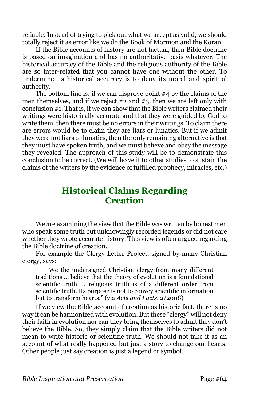reliable. Instead of trying to pick out what we accept as valid, we should totally reject it as error like we do the Book of Mormon and the Koran.

If the Bible accounts of history are not factual, then Bible doctrine is based on imagination and has no authoritative basis whatever. The historical accuracy of the Bible and the religious authority of the Bible are so inter-related that you cannot have one without the other. To undermine its historical accuracy is to deny its moral and spiritual authority.

The bottom line is: if we can disprove point #4 by the claims of the men themselves, and if we reject  $\#2$  and  $\#3$ , then we are left only with conclusion #1. That is, if we can show that the Bible writers claimed their writings were historically accurate and that they were guided by God to write them, then there must be no errors in their writings. To claim there are errors would be to claim they are liars or lunatics. But if we admit they were not liars or lunatics, then the only remaining alternative is that they must have spoken truth, and we must believe and obey the message they revealed. The approach of this study will be to demonstrate this conclusion to be correct. (We will leave it to other studies to sustain the claims of the writers by the evidence of fulfilled prophecy, miracles, etc.)

# **Historical Claims Regarding Creation**

We are examining the view that the Bible was written by honest men who speak some truth but unknowingly recorded legends or did not care whether they wrote accurate history. This view is often argued regarding the Bible doctrine of creation.

For example the Clergy Letter Project, signed by many Christian clergy, says:

We the undersigned Christian clergy from many different traditions … believe that the theory of evolution is a foundational scientific truth … religious truth is of a different order from scientific truth. Its purpose is not to convey scientific information but to transform hearts." (via *Acts and Facts*, 2/2008)

If we view the Bible account of creation as historic fact, there is no way it can be harmonized with evolution. But these "clergy" will not deny their faith in evolution nor can they bring themselves to admit they don't believe the Bible. So, they simply claim that the Bible writers did not mean to write historic or scientific truth. We should not take it as an account of what really happened but just a story to change our hearts. Other people just say creation is just a legend or symbol.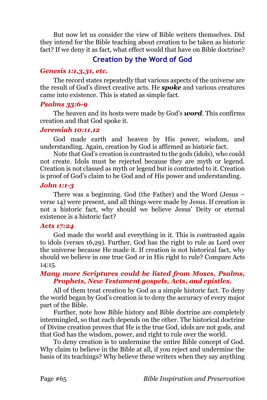But now let us consider the view of Bible writers themselves. Did they intend for the Bible teaching about creation to be taken as historic fact? If we deny it as fact, what effect would that have on Bible doctrine?

## **Creation by the Word of God**

## *Genesis 1:1,3,31, etc.*

The record states repeatedly that various aspects of the universe are the result of God's direct creative acts. He *spoke* and various creatures came into existence. This is stated as simple fact.

## *Psalms 33:6-9*

The heaven and its hosts were made by God's *word*. This confirms creation and that God spoke it.

## *Jeremiah 10:11,12*

God made earth and heaven by His power, wisdom, and understanding. Again, creation by God is affirmed as historic fact.

Note that God's creation is contrasted to the gods (idols), who could not create. Idols must be rejected because they are myth or legend. Creation is not classed as myth or legend but is contrasted to it. Creation is proof of God's claim to be God and of His power and understanding.

#### *John 1:1-3*

There was a beginning. God (the Father) and the Word (Jesus – verse 14) were present, and all things were made by Jesus. If creation is not a historic fact, why should we believe Jesus' Deity or eternal existence is a historic fact?

#### *Acts 17:24*

God made the world and everything in it. This is contrasted again to idols (verses 16,29). Further, God has the right to rule as Lord over the universe because He made it. If creation is not historical fact, why should we believe in one true God or in His right to rule? Compare Acts 14:15.

## *Many more Scriptures could be listed from Moses, Psalms, Prophets, New Testament gospels, Acts, and epistles.*

All of them treat creation by God as a simple historic fact. To deny the world began by God's creation is to deny the accuracy of every major part of the Bible.

Further, note how Bible history and Bible doctrine are completely intermingled, so that each depends on the other. The historical doctrine of Divine creation proves that He is the true God, idols are not gods, and that God has the wisdom, power, and right to rule over the world.

To deny creation is to undermine the entire Bible concept of God. Why claim to believe in the Bible at all, if you reject and undermine the basis of its teachings? Why believe these writers when they say anything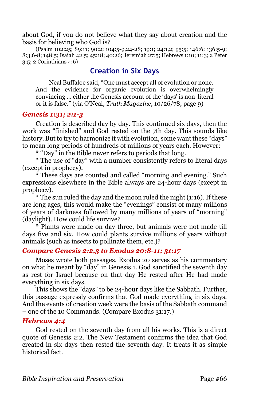about God, if you do not believe what they say about creation and the basis for believing who God is?

(Psalm 102:25; 89:11; 90:2; 104:5-9,24-28; 19:1; 24:1,2; 95:5; 146:6; 136:5-9; 8:3,6-8; 148:5; Isaiah 42:5; 45:18; 40:26; Jeremiah 27:5; Hebrews 1:10; 11:3; 2 Peter 3:5; 2 Corinthians 4:6)

## **Creation in Six Days**

Neal Buffaloe said, "One must accept all of evolution or none. And the evidence for organic evolution is overwhelmingly convincing … either the Genesis account of the 'days' is non-literal or it is false." (via O'Neal, *Truth Magazine*, 10/26/78, page 9)

#### *Genesis 1:31; 2:1-3*

Creation is described day by day. This continued six days, then the work was "finished" and God rested on the 7th day. This sounds like history. But to try to harmonize it with evolution, some want these "days" to mean long periods of hundreds of millions of years each. However:

\* "Day" in the Bible never refers to periods that long.

\* The use of "day" with a number consistently refers to literal days (except in prophecy).

\* These days are counted and called "morning and evening." Such expressions elsewhere in the Bible always are 24-hour days (except in prophecy).

\* The sun ruled the day and the moon ruled the night (1:16). If these are long ages, this would make the "evenings" consist of many millions of years of darkness followed by many millions of years of "morning" (daylight). How could life survive?

\* Plants were made on day three, but animals were not made till days five and six. How could plants survive millions of years without animals (such as insects to pollinate them, etc.)?

## *Compare Genesis 2:2,3 to Exodus 20:8-11; 31:17*

Moses wrote both passages. Exodus 20 serves as his commentary on what he meant by "day" in Genesis 1. God sanctified the seventh day as rest for Israel because on that day He rested after He had made everything in six days.

This shows the "days" to be 24-hour days like the Sabbath. Further, this passage expressly confirms that God made everything in six days. And the events of creation week were the basis of the Sabbath command – one of the 10 Commands. (Compare Exodus 31:17.)

#### *Hebrews 4:4*

God rested on the seventh day from all his works. This is a direct quote of Genesis 2:2. The New Testament confirms the idea that God created in six days then rested the seventh day. It treats it as simple historical fact.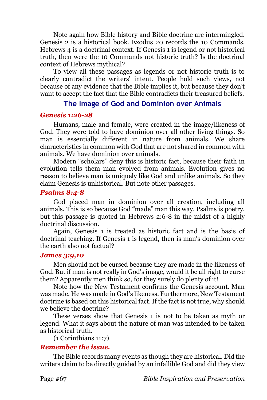Note again how Bible history and Bible doctrine are intermingled. Genesis 2 is a historical book. Exodus 20 records the 10 Commands. Hebrews 4 is a doctrinal context. If Genesis 1 is legend or not historical truth, then were the 10 Commands not historic truth? Is the doctrinal context of Hebrews mythical?

To view all these passages as legends or not historic truth is to clearly contradict the writers' intent. People hold such views, not because of any evidence that the Bible implies it, but because they don't want to accept the fact that the Bible contradicts their treasured beliefs.

## **The Image of God and Dominion over Animals**

#### *Genesis 1:26-28*

Humans, male and female, were created in the image/likeness of God. They were told to have dominion over all other living things. So man is essentially different in nature from animals. We share characteristics in common with God that are not shared in common with animals. We have dominion over animals.

Modern "scholars" deny this is historic fact, because their faith in evolution tells them man evolved from animals. Evolution gives no reason to believe man is uniquely like God and unlike animals. So they claim Genesis is unhistorical. But note other passages.

#### *Psalms 8:4-8*

God placed man in dominion over all creation, including all animals. This is so because God "made" man this way. Psalms is poetry, but this passage is quoted in Hebrews 2:6-8 in the midst of a highly doctrinal discussion.

Again, Genesis 1 is treated as historic fact and is the basis of doctrinal teaching. If Genesis 1 is legend, then is man's dominion over the earth also not factual?

#### *James 3:9,10*

Men should not be cursed because they are made in the likeness of God. But if man is not really in God's image, would it be all right to curse them? Apparently men think so, for they surely do plenty of it!

Note how the New Testament confirms the Genesis account. Man was made. He was made in God's likeness. Furthermore, New Testament doctrine is based on this historical fact. If the fact is not true, why should we believe the doctrine?

These verses show that Genesis 1 is not to be taken as myth or legend. What it says about the nature of man was intended to be taken as historical truth.

(1 Corinthians 11:7)

## *Remember the issue.*

The Bible records many events as though they are historical. Did the writers claim to be directly guided by an infallible God and did they view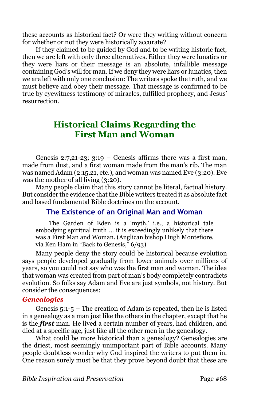these accounts as historical fact? Or were they writing without concern for whether or not they were historically accurate?

If they claimed to be guided by God and to be writing historic fact, then we are left with only three alternatives. Either they were lunatics or they were liars or their message is an absolute, infallible message containing God's will for man. If we deny they were liars or lunatics, then we are left with only one conclusion: The writers spoke the truth, and we must believe and obey their message. That message is confirmed to be true by eyewitness testimony of miracles, fulfilled prophecy, and Jesus' resurrection.

# **Historical Claims Regarding the First Man and Woman**

Genesis 2:7,21-23; 3:19 – Genesis affirms there was a first man, made from dust, and a first woman made from the man's rib. The man was named Adam (2:15,21, etc.), and woman was named Eve (3:20). Eve was the mother of all living (3:20).

Many people claim that this story cannot be literal, factual history. But consider the evidence that the Bible writers treated it as absolute fact and based fundamental Bible doctrines on the account.

## **The Existence of an Original Man and Woman**

The Garden of Eden is a 'myth,' i.e., a historical tale embodying spiritual truth … it is exceedingly unlikely that there was a First Man and Woman. (Anglican bishop Hugh Montefiore, via Ken Ham in "Back to Genesis," 6/93)

Many people deny the story could be historical because evolution says people developed gradually from lower animals over millions of years, so you could not say who was the first man and woman. The idea that woman was created from part of man's body completely contradicts evolution. So folks say Adam and Eve are just symbols, not history. But consider the consequences:

## *Genealogies*

Genesis 5:1-5 – The creation of Adam is repeated, then he is listed in a genealogy as a man just like the others in the chapter, except that he is the *first* man. He lived a certain number of years, had children, and died at a specific age, just like all the other men in the genealogy.

What could be more historical than a genealogy? Genealogies are the driest, most seemingly unimportant part of Bible accounts. Many people doubtless wonder why God inspired the writers to put them in. One reason surely must be that they prove beyond doubt that these are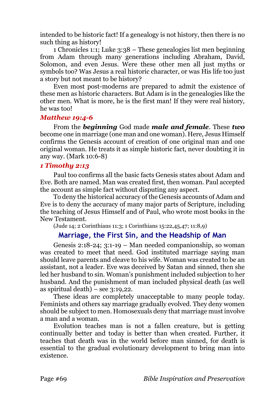intended to be historic fact! If a genealogy is not history, then there is no such thing as history!

1 Chronicles 1:1; Luke 3:38 – These genealogies list men beginning from Adam through many generations including Abraham, David, Solomon, and even Jesus. Were these other men all just myths or symbols too? Was Jesus a real historic character, or was His life too just a story but not meant to be history?

Even most post-moderns are prepared to admit the existence of these men as historic characters. But Adam is in the genealogies like the other men. What is more, he is the first man! If they were real history, he was too!

#### *Matthew 19:4-6*

From the *beginning* God made *male and female*. These *two* become one in marriage (one man and one woman). Here, Jesus Himself confirms the Genesis account of creation of one original man and one original woman. He treats it as simple historic fact, never doubting it in any way. (Mark 10:6-8)

## *1 Timothy 2:13*

Paul too confirms all the basic facts Genesis states about Adam and Eve. Both are named. Man was created first, then woman. Paul accepted the account as simple fact without disputing any aspect.

To deny the historical accuracy of the Genesis accounts of Adam and Eve is to deny the accuracy of many major parts of Scripture, including the teaching of Jesus Himself and of Paul, who wrote most books in the New Testament.

(Jude 14; 2 Corinthians 11:3; 1 Corinthians 15:22,45,47; 11:8,9)

## **Marriage, the First Sin, and the Headship of Man**

Genesis 2:18-24; 3:1-19 – Man needed companionship, so woman was created to meet that need. God instituted marriage saying man should leave parents and cleave to his wife. Woman was created to be an assistant, not a leader. Eve was deceived by Satan and sinned, then she led her husband to sin. Woman's punishment included subjection to her husband. And the punishment of man included physical death (as well as spiritual death) – see  $3:19,22$ .

These ideas are completely unacceptable to many people today. Feminists and others say marriage gradually evolved. They deny women should be subject to men. Homosexuals deny that marriage must involve a man and a woman.

Evolution teaches man is not a fallen creature, but is getting continually better and today is better than when created. Further, it teaches that death was in the world before man sinned, for death is essential to the gradual evolutionary development to bring man into existence.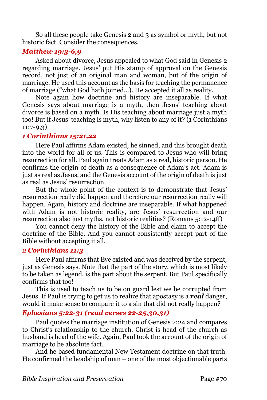So all these people take Genesis 2 and 3 as symbol or myth, but not historic fact. Consider the consequences.

## *Matthew 19:3-6,9*

Asked about divorce, Jesus appealed to what God said in Genesis 2 regarding marriage. Jesus' put His stamp of approval on the Genesis record, not just of an original man and woman, but of the origin of marriage. He used this account as the basis for teaching the permanence of marriage ("what God hath joined…). He accepted it all as reality.

Note again how doctrine and history are inseparable. If what Genesis says about marriage is a myth, then Jesus' teaching about divorce is based on a myth. Is His teaching about marriage just a myth too! But if Jesus' teaching is myth, why listen to any of it? (1 Corinthians 11:7-9,3)

## *1 Corinthians 15:21,22*

Here Paul affirms Adam existed, he sinned, and this brought death into the world for all of us. This is compared to Jesus who will bring resurrection for all. Paul again treats Adam as a real, historic person. He confirms the origin of death as a consequence of Adam's act. Adam is just as real as Jesus, and the Genesis account of the origin of death is just as real as Jesus' resurrection.

But the whole point of the context is to demonstrate that Jesus' resurrection really did happen and therefore our resurrection really will happen. Again, history and doctrine are inseparable. If what happened with Adam is not historic reality, are Jesus' resurrection and our resurrection also just myths, not historic realities? (Romans 5:12-14ff)

You cannot deny the history of the Bible and claim to accept the doctrine of the Bible. And you cannot consistently accept part of the Bible without accepting it all.

## *2 Corinthians 11:3*

Here Paul affirms that Eve existed and was deceived by the serpent, just as Genesis says. Note that the part of the story, which is most likely to be taken as legend, is the part about the serpent. But Paul specifically confirms that too!

This is used to teach us to be on guard lest we be corrupted from Jesus. If Paul is trying to get us to realize that apostasy is a *real* danger, would it make sense to compare it to a sin that did not really happen?

## *Ephesians 5:22-31 (read verses 22-25,30,31)*

Paul quotes the marriage institution of Genesis 2:24 and compares to Christ's relationship to the church. Christ is head of the church as husband is head of the wife. Again, Paul took the account of the origin of marriage to be absolute fact.

And he based fundamental New Testament doctrine on that truth. He confirmed the headship of man – one of the most objectionable parts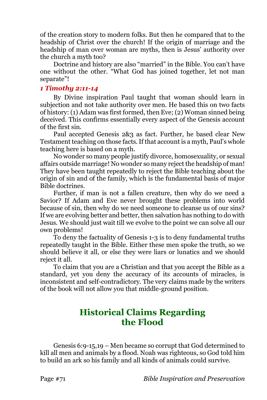of the creation story to modern folks. But then he compared that to the headship of Christ over the church! If the origin of marriage and the headship of man over woman are myths, then is Jesus' authority over the church a myth too?

Doctrine and history are also "married" in the Bible. You can't have one without the other. "What God has joined together, let not man separate"!

#### *1 Timothy 2:11-14*

By Divine inspiration Paul taught that woman should learn in subjection and not take authority over men. He based this on two facts of history: (1) Adam was first formed, then Eve; (2) Woman sinned being deceived. This confirms essentially every aspect of the Genesis account of the first sin.

Paul accepted Genesis 2&3 as fact. Further, he based clear New Testament teaching on those facts. If that account is a myth, Paul's whole teaching here is based on a myth.

No wonder so many people justify divorce, homosexuality, or sexual affairs outside marriage! No wonder so many reject the headship of man! They have been taught repeatedly to reject the Bible teaching about the origin of sin and of the family, which is the fundamental basis of major Bible doctrines.

Further, if man is not a fallen creature, then why do we need a Savior? If Adam and Eve never brought these problems into world because of sin, then why do we need someone to cleanse us of our sins? If we are evolving better and better, then salvation has nothing to do with Jesus. We should just wait till we evolve to the point we can solve all our own problems!

To deny the factuality of Genesis 1-3 is to deny fundamental truths repeatedly taught in the Bible. Either these men spoke the truth, so we should believe it all, or else they were liars or lunatics and we should reject it all.

To claim that you are a Christian and that you accept the Bible as a standard, yet you deny the accuracy of its accounts of miracles, is inconsistent and self-contradictory. The very claims made by the writers of the book will not allow you that middle-ground position.

## **Historical Claims Regarding the Flood**

Genesis 6:9-15,19 – Men became so corrupt that God determined to kill all men and animals by a flood. Noah was righteous, so God told him to build an ark so his family and all kinds of animals could survive.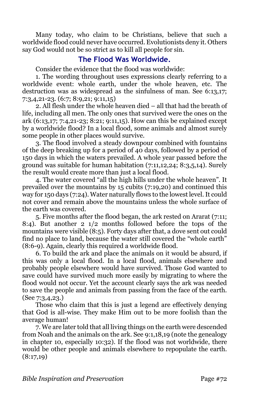Many today, who claim to be Christians, believe that such a worldwide flood could never have occurred. Evolutionists deny it. Others say God would not be so strict as to kill all people for sin.

## **The Flood Was Worldwide.**

Consider the evidence that the flood was worldwide:

1. The wording throughout uses expressions clearly referring to a worldwide event: whole earth, under the whole heaven, etc. The destruction was as widespread as the sinfulness of man. See 6:13,17; 7:3,4,21-23. (6:7; 8:9,21; 9:11,15)

2. All flesh under the whole heaven died – all that had the breath of life, including all men. The only ones that survived were the ones on the ark (6:13,17; 7:4,21-23; 8:21; 9:11,15). How can this be explained except by a worldwide flood? In a local flood, some animals and almost surely some people in other places would survive.

3. The flood involved a steady downpour combined with fountains of the deep breaking up for a period of 40 days, followed by a period of 150 days in which the waters prevailed. A whole year passed before the ground was suitable for human habitation (7:11,12,24; 8:3,5,14). Surely the result would create more than just a local flood.

4. The water covered "all the high hills under the whole heaven". It prevailed over the mountains by 15 cubits (7:19,20) and continued this way for 150 days (7:24). Water naturally flows to the lowest level. It could not cover and remain above the mountains unless the whole surface of the earth was covered.

5. Five months after the flood began, the ark rested on Ararat (7:11; 8:4). But another 2 1/2 months followed before the tops of the mountains were visible (8:5). Forty days after that, a dove sent out could find no place to land, because the water still covered the "whole earth" (8:6-9). Again, clearly this required a worldwide flood.

6. To build the ark and place the animals on it would be absurd, if this was only a local flood. In a local flood, animals elsewhere and probably people elsewhere would have survived. Those God wanted to save could have survived much more easily by migrating to where the flood would not occur. Yet the account clearly says the ark was needed to save the people and animals from passing from the face of the earth. (See 7:3,4,23.)

Those who claim that this is just a legend are effectively denying that God is all-wise. They make Him out to be more foolish than the average human!

7. We are later told that all living things on the earth were descended from Noah and the animals on the ark. See 9:1,18,19 (note the genealogy in chapter 10, especially 10:32). If the flood was not worldwide, there would be other people and animals elsewhere to repopulate the earth.  $(8:17,19)$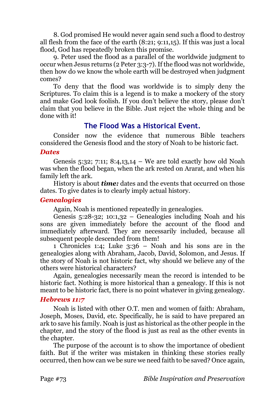8. God promised He would never again send such a flood to destroy all flesh from the face of the earth (8:21; 9:11,15). If this was just a local flood, God has repeatedly broken this promise.

9. Peter used the flood as a parallel of the worldwide judgment to occur when Jesus returns (2 Peter 3:3-7). If the flood was not worldwide, then how do we know the whole earth will be destroyed when judgment comes?

To deny that the flood was worldwide is to simply deny the Scriptures. To claim this is a legend is to make a mockery of the story and make God look foolish. If you don't believe the story, please don't claim that you believe in the Bible. Just reject the whole thing and be done with it!

# **The Flood Was a Historical Event.**

Consider now the evidence that numerous Bible teachers considered the Genesis flood and the story of Noah to be historic fact.

#### *Dates*

Genesis 5:32; 7:11; 8:4,13,14 – We are told exactly how old Noah was when the flood began, when the ark rested on Ararat, and when his family left the ark.

History is about *time:* dates and the events that occurred on those dates. To give dates is to clearly imply actual history.

#### *Genealogies*

Again, Noah is mentioned repeatedly in genealogies.

Genesis 5:28-32; 10:1,32 – Genealogies including Noah and his sons are given immediately before the account of the flood and immediately afterward. They are necessarily included, because all subsequent people descended from them!

1 Chronicles 1:4; Luke 3:36 – Noah and his sons are in the genealogies along with Abraham, Jacob, David, Solomon, and Jesus. If the story of Noah is not historic fact, why should we believe any of the others were historical characters?

Again, genealogies necessarily mean the record is intended to be historic fact. Nothing is more historical than a genealogy. If this is not meant to be historic fact, there is no point whatever in giving genealogy.

## *Hebrews 11:7*

Noah is listed with other O.T. men and women of faith: Abraham, Joseph, Moses, David, etc. Specifically, he is said to have prepared an ark to save his family. Noah is just as historical as the other people in the chapter, and the story of the flood is just as real as the other events in the chapter.

The purpose of the account is to show the importance of obedient faith. But if the writer was mistaken in thinking these stories really occurred, then how can we be sure we need faith to be saved? Once again,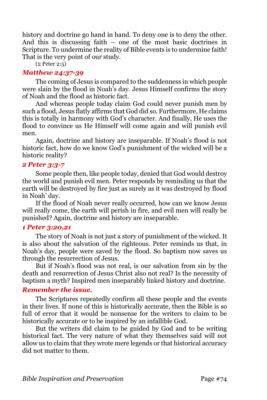history and doctrine go hand in hand. To deny one is to deny the other. And this is discussing faith – one of the most basic doctrines in Scripture. To undermine the reality of Bible events is to undermine faith! That is the very point of our study.

(2 Peter 2:5)

#### *Matthew 24:37-39*

The coming of Jesus is compared to the suddenness in which people were slain by the flood in Noah's day. Jesus Himself confirms the story of Noah and the flood as historic fact.

And whereas people today claim God could never punish men by such a flood, Jesus flatly affirms that God did so. Furthermore, He claims this is totally in harmony with God's character. And finally, He uses the flood to convince us He Himself will come again and will punish evil men.

Again, doctrine and history are inseparable. If Noah's flood is not historic fact, how do we know God's punishment of the wicked will be a historic reality?

## *2 Peter 3:3-7*

Some people then, like people today, denied that God would destroy the world and punish evil men. Peter responds by reminding us that the earth will be destroyed by fire just as surely as it was destroyed by flood in Noah' day.

If the flood of Noah never really occurred, how can we know Jesus will really come, the earth will perish in fire, and evil men will really be punished? Again, doctrine and history are inseparable.

## *1 Peter 3:20,21*

The story of Noah is not just a story of punishment of the wicked. It is also about the salvation of the righteous. Peter reminds us that, in Noah's day, people were saved by the flood. So baptism now saves us through the resurrection of Jesus.

But if Noah's flood was not real, is our salvation from sin by the death and resurrection of Jesus Christ also not real? Is the necessity of baptism a myth? Inspired men inseparably linked history and doctrine.

# *Remember the issue.*

The Scriptures repeatedly confirm all these people and the events in their lives. If none of this is historically accurate, then the Bible is so full of error that it would be nonsense for the writers to claim to be historically accurate or to be inspired by an infallible God.

But the writers did claim to be guided by God and to be writing historical fact. The very nature of what they themselves said will not allow us to claim that they wrote mere legends or that historical accuracy did not matter to them.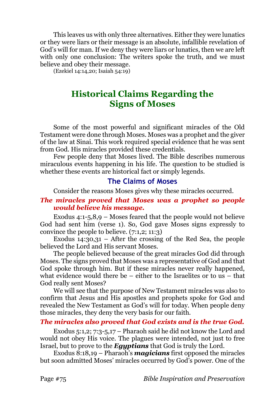This leaves us with only three alternatives. Either they were lunatics or they were liars or their message is an absolute, infallible revelation of God's will for man. If we deny they were liars or lunatics, then we are left with only one conclusion: The writers spoke the truth, and we must believe and obey their message.

(Ezekiel 14:14,20; Isaiah 54:19)

# **Historical Claims Regarding the Signs of Moses**

Some of the most powerful and significant miracles of the Old Testament were done through Moses. Moses was a prophet and the giver of the law at Sinai. This work required special evidence that he was sent from God. His miracles provided these credentials.

Few people deny that Moses lived. The Bible describes numerous miraculous events happening in his life. The question to be studied is whether these events are historical fact or simply legends.

# **The Claims of Moses**

Consider the reasons Moses gives why these miracles occurred.

# *The miracles proved that Moses was a prophet so people would believe his message.*

Exodus  $4:1-5,8,9$  – Moses feared that the people would not believe God had sent him (verse 1). So, God gave Moses signs expressly to convince the people to believe. (7:1,2; 11:3)

Exodus  $14:30,31$  – After the crossing of the Red Sea, the people believed the Lord and His servant Moses.

The people believed because of the great miracles God did through Moses. The signs proved that Moses was a representative of God and that God spoke through him. But if these miracles never really happened, what evidence would there be – either to the Israelites or to us – that God really sent Moses?

We will see that the purpose of New Testament miracles was also to confirm that Jesus and His apostles and prophets spoke for God and revealed the New Testament as God's will for today. When people deny those miracles, they deny the very basis for our faith.

## *The miracles also proved that God exists and is the true God.*

Exodus 5:1,2; 7:3-5,17 – Pharaoh said he did not know the Lord and would not obey His voice. The plagues were intended, not just to free Israel, but to prove to the *Egyptians* that God is truly the Lord.

Exodus 8:18,19 – Pharaoh's *magicians* first opposed the miracles but soon admitted Moses' miracles occurred by God's power. One of the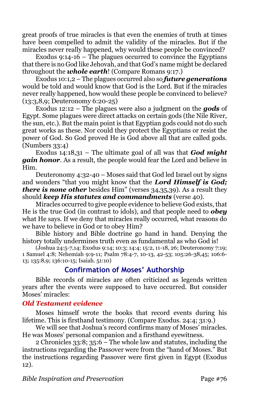great proofs of true miracles is that even the enemies of truth at times have been compelled to admit the validity of the miracles. But if the miracles never really happened, why would these people be convinced?

Exodus 9:14-16 – The plagues occurred to convince the Egyptians that there is no God like Jehovah, and that God's name might be declared throughout the *whole earth*! (Compare Romans 9:17.)

Exodus 10:1,2 – The plagues occurred also so *future generations* would be told and would know that God is the Lord. But if the miracles never really happened, how would these people be convinced to believe? (13:3,8,9; Deuteronomy 6:20-25)

Exodus 12:12 – The plagues were also a judgment on the *gods* of Egypt. Some plagues were direct attacks on certain gods (the Nile River, the sun, etc.). But the main point is that Egyptian gods could not do such great works as these. Nor could they protect the Egyptians or resist the power of God. So God proved He is God above all that are called gods. (Numbers 33:4)

Exodus 14:18,31 – The ultimate goal of all was that *God might gain honor*. As a result, the people would fear the Lord and believe in Him.

Deuteronomy 4:32-40 – Moses said that God led Israel out by signs and wonders "that you might know that the *Lord Himself is God; there is none other* besides Him" (verses 34,35,39). As a result they should *keep His statutes and commandments* (verse 40).

Miracles occurred to give people evidence to believe God exists, that He is the true God (in contrast to idols), and that people need to *obey* what He says. If we deny that miracles really occurred, what reasons do we have to believe in God or to obey Him?

Bible history and Bible doctrine go hand in hand. Denying the history totally undermines truth even as fundamental as who God is!

(Joshua 24:5-7,14; Exodus 9:14; 10:3; 14:4; 15:2, 11-18, 26; Deuteronomy 7:19; 1 Samuel 4:8; Nehemiah 9:9-11; Psalm 78:4-7, 10-13, 42-53; 105:26-38,45; 106:6- 13; 135:8,9; 136:10-15; Isaiah. 51:10)

# **Confirmation of Moses' Authorship**

Bible records of miracles are often criticized as legends written years after the events were supposed to have occurred. But consider Moses' miracles:

# *Old Testament evidence*

Moses himself wrote the books that record events during his lifetime. This is firsthand testimony. (Compare Exodus. 24:4; 31:9.)

We will see that Joshua's record confirms many of Moses' miracles. He was Moses' personal companion and a firsthand eyewitness.

2 Chronicles 33:8; 35:6 – The whole law and statutes, including the instructions regarding the Passover were from the "hand of Moses." But the instructions regarding Passover were first given in Egypt (Exodus 12).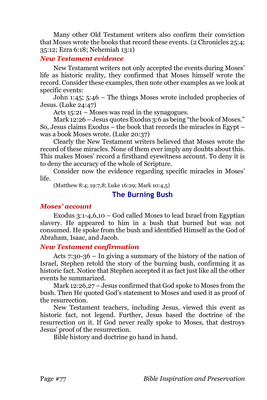Many other Old Testament writers also confirm their conviction that Moses wrote the books that record these events. (2 Chronicles 25:4; 35:12; Ezra 6:18; Nehemiah 13:1)

#### *New Testament evidence*

New Testament writers not only accepted the events during Moses' life as historic reality, they confirmed that Moses himself wrote the record. Consider these examples, then note other examples as we look at specific events:

John 1:45; 5:46 – The things Moses wrote included prophecies of Jesus. (Luke 24:47)

Acts 15:21 – Moses was read in the synagogues.

Mark 12:26 – Jesus quotes Exodus 3:6 as being "the book of Moses." So, Jesus claims Exodus – the book that records the miracles in Egypt – was a book Moses wrote. (Luke 20:37)

Clearly the New Testament writers believed that Moses wrote the record of these miracles. None of them ever imply any doubts about this. This makes Moses' record a firsthand eyewitness account. To deny it is to deny the accuracy of the whole of Scripture.

Consider now the evidence regarding specific miracles in Moses' life.

(Matthew 8:4; 19:7,8; Luke 16:29; Mark 10:4,5)

# **The Burning Bush**

## *Moses' account*

Exodus 3:1-4,6,10 – God called Moses to lead Israel from Egyptian slavery. He appeared to him in a bush that burned but was not consumed. He spoke from the bush and identified Himself as the God of Abraham, Isaac, and Jacob.

## *New Testament confirmation*

Acts 7:30-36 – In giving a summary of the history of the nation of Israel, Stephen retold the story of the burning bush, confirming it as historic fact. Notice that Stephen accepted it as fact just like all the other events he summarized.

Mark 12:26,27 – Jesus confirmed that God spoke to Moses from the bush. Then He quoted God's statement to Moses and used it as proof of the resurrection.

New Testament teachers, including Jesus, viewed this event as historic fact, not legend. Further, Jesus based the doctrine of the resurrection on it. If God never really spoke to Moses, that destroys Jesus' proof of the resurrection.

Bible history and doctrine go hand in hand.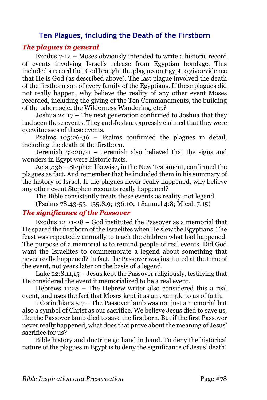# **Ten Plagues, including the Death of the Firstborn**

#### *The plagues in general*

Exodus 7-12 – Moses obviously intended to write a historic record of events involving Israel's release from Egyptian bondage. This included a record that God brought the plagues on Egypt to give evidence that He is God (as described above). The last plague involved the death of the firstborn son of every family of the Egyptians. If these plagues did not really happen, why believe the reality of any other event Moses recorded, including the giving of the Ten Commandments, the building of the tabernacle, the Wilderness Wandering, etc.?

Joshua 24:17 – The next generation confirmed to Joshua that they had seen these events. They and Joshua expressly claimed that they were eyewitnesses of these events.

Psalms 105:26-36 – Psalms confirmed the plagues in detail, including the death of the firstborn.

Jeremiah 32:20,21 – Jeremiah also believed that the signs and wonders in Egypt were historic facts.

Acts 7:36 – Stephen likewise, in the New Testament, confirmed the plagues as fact. And remember that he included them in his summary of the history of Israel. If the plagues never really happened, why believe any other event Stephen recounts really happened?

The Bible consistently treats these events as reality, not legend.

(Psalms 78:43-53; 135:8,9; 136:10; 1 Samuel 4:8; Micah 7:15)

## *The significance of the Passover*

Exodus 12:21-28 – God instituted the Passover as a memorial that He spared the firstborn of the Israelites when He slew the Egyptians. The feast was repeatedly annually to teach the children what had happened. The purpose of a memorial is to remind people of real events. Did God want the Israelites to commemorate a legend about something that never really happened? In fact, the Passover was instituted at the time of the event, not years later on the basis of a legend.

Luke 22:8,11,15 – Jesus kept the Passover religiously, testifying that He considered the event it memorialized to be a real event.

Hebrews 11:28 – The Hebrew writer also considered this a real event, and uses the fact that Moses kept it as an example to us of faith.

1 Corinthians 5:7 – The Passover lamb was not just a memorial but also a symbol of Christ as our sacrifice. We believe Jesus died to save us, like the Passover lamb died to save the firstborn. But if the first Passover never really happened, what does that prove about the meaning of Jesus' sacrifice for us?

Bible history and doctrine go hand in hand. To deny the historical nature of the plagues in Egypt is to deny the significance of Jesus' death!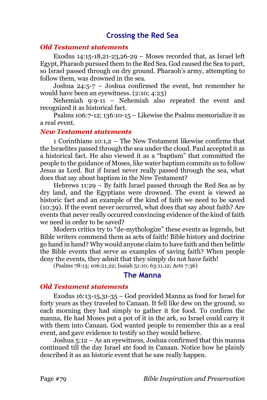# **Crossing the Red Sea**

#### *Old Testament statements*

Exodus 14:15-18,21-23,26-29 – Moses recorded that, as Israel left Egypt, Pharaoh pursued them to the Red Sea. God caused the Sea to part, so Israel passed through on dry ground. Pharaoh's army, attempting to follow them, was drowned in the sea.

Joshua 24:5-7 – Joshua confirmed the event, but remember he would have been an eyewitness. (2:10; 4:23)

Nehemiah 9:9-11 – Nehemiah also repeated the event and recognized it as historical fact.

Psalms 106:7-12; 136:10-15 – Likewise the Psalms memorialize it as a real event.

#### *New Testament statements*

1 Corinthians 10:1,2 – The New Testament likewise confirms that the Israelites passed through the sea under the cloud. Paul accepted it as a historical fact. He also viewed it as a "baptism" that committed the people to the guidance of Moses, like water baptism commits us to follow Jesus as Lord. But if Israel never really passed through the sea, what does that say about baptism in the New Testament?

Hebrews 11:29 – By faith Israel passed through the Red Sea as by dry land, and the Egyptians were drowned. The event is viewed as historic fact and an example of the kind of faith we need to be saved (10:39). If the event never occurred, what does that say about faith? Are events that never really occurred convincing evidence of the kind of faith we need in order to be saved?

Modern critics try to "de-mythologize" these events as legends, but Bible writers commend them as acts of faith! Bible history and doctrine go hand in hand? Why would anyone claim to have faith and then belittle the Bible events that serve as examples of saving faith? When people deny the events, they admit that they simply do not have faith!

(Psalms 78:13; 106:21,22; Isaiah 51:10; 63:11,12; Acts 7:36)

#### **The Manna**

#### *Old Testament statements*

Exodus 16:13-15,31-35 – God provided Manna as food for Israel for forty years as they traveled to Canaan. It fell like dew on the ground, so each morning they had simply to gather it for food. To confirm the manna, He had Moses put a pot of it in the ark, so Israel could carry it with them into Canaan. God wanted people to remember this as a real event, and gave evidence to testify so they would believe.

Joshua 5:12 – As an eyewitness, Joshua confirmed that this manna continued till the day Israel ate food in Canaan. Notice how he plainly described it as an historic event that he saw really happen.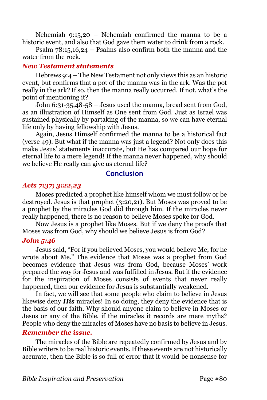Nehemiah 9:15,20 – Nehemiah confirmed the manna to be a historic event, and also that God gave them water to drink from a rock.

Psalm 78:15,16,24 – Psalms also confirm both the manna and the water from the rock.

#### *New Testament statements*

Hebrews 9:4 – The New Testament not only views this as an historic event, but confirms that a pot of the manna was in the ark. Was the pot really in the ark? If so, then the manna really occurred. If not, what's the point of mentioning it?

John 6:31-35,48-58 – Jesus used the manna, bread sent from God, as an illustration of Himself as One sent from God. Just as Israel was sustained physically by partaking of the manna, so we can have eternal life only by having fellowship with Jesus.

Again, Jesus Himself confirmed the manna to be a historical fact (verse 49). But what if the manna was just a legend? Not only does this make Jesus' statements inaccurate, but He has compared our hope for eternal life to a mere legend! If the manna never happened, why should we believe He really can give us eternal life?

# **Conclusion**

# *Acts 7:37; 3:22,23*

Moses predicted a prophet like himself whom we must follow or be destroyed. Jesus is that prophet (3:20,21). But Moses was proved to be a prophet by the miracles God did through him. If the miracles never really happened, there is no reason to believe Moses spoke for God.

Now Jesus is a prophet like Moses. But if we deny the proofs that Moses was from God, why should we believe Jesus is from God?

## *John 5:46*

Jesus said, "For if you believed Moses, you would believe Me; for he wrote about Me." The evidence that Moses was a prophet from God becomes evidence that Jesus was from God, because Moses' work prepared the way for Jesus and was fulfilled in Jesus. But if the evidence for the inspiration of Moses consists of events that never really happened, then our evidence for Jesus is substantially weakened.

In fact, we will see that some people who claim to believe in Jesus likewise deny *His* miracles! In so doing, they deny the evidence that is the basis of our faith. Why should anyone claim to believe in Moses or Jesus or any of the Bible, if the miracles it records are mere myths? People who deny the miracles of Moses have no basis to believe in Jesus.

## *Remember the issue.*

The miracles of the Bible are repeatedly confirmed by Jesus and by Bible writers to be real historic events. If these events are not historically accurate, then the Bible is so full of error that it would be nonsense for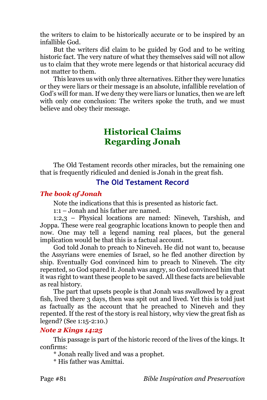the writers to claim to be historically accurate or to be inspired by an infallible God.

But the writers did claim to be guided by God and to be writing historic fact. The very nature of what they themselves said will not allow us to claim that they wrote mere legends or that historical accuracy did not matter to them.

This leaves us with only three alternatives. Either they were lunatics or they were liars or their message is an absolute, infallible revelation of God's will for man. If we deny they were liars or lunatics, then we are left with only one conclusion: The writers spoke the truth, and we must believe and obey their message.

# **Historical Claims Regarding Jonah**

The Old Testament records other miracles, but the remaining one that is frequently ridiculed and denied is Jonah in the great fish.

# **The Old Testament Record**

# *The book of Jonah*

Note the indications that this is presented as historic fact.

1:1 – Jonah and his father are named.

1:2,3 – Physical locations are named: Nineveh, Tarshish, and Joppa. These were real geographic locations known to people then and now. One may tell a legend naming real places, but the general implication would be that this is a factual account.

God told Jonah to preach to Nineveh. He did not want to, because the Assyrians were enemies of Israel, so he fled another direction by ship. Eventually God convinced him to preach to Nineveh. The city repented, so God spared it. Jonah was angry, so God convinced him that it was right to want these people to be saved. All these facts are believable as real history.

The part that upsets people is that Jonah was swallowed by a great fish, lived there 3 days, then was spit out and lived. Yet this is told just as factually as the account that he preached to Nineveh and they repented. If the rest of the story is real history, why view the great fish as legend? (See 1:15-2:10.)

## *Note 2 Kings 14:25*

This passage is part of the historic record of the lives of the kings. It confirms:

\* Jonah really lived and was a prophet.

\* His father was Amittai.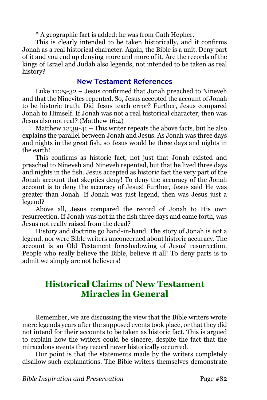\* A geographic fact is added: he was from Gath Hepher.

This is clearly intended to be taken historically, and it confirms Jonah as a real historical character. Again, the Bible is a unit. Deny part of it and you end up denying more and more of it. Are the records of the kings of Israel and Judah also legends, not intended to be taken as real history?

# **New Testament References**

Luke 11:29-32 – Jesus confirmed that Jonah preached to Nineveh and that the Ninevites repented. So, Jesus accepted the account of Jonah to be historic truth. Did Jesus teach error? Further, Jesus compared Jonah to Himself. If Jonah was not a real historical character, then was Jesus also not real? (Matthew 16:4)

Matthew 12:39-41 – This writer repeats the above facts, but he also explains the parallel between Jonah and Jesus. As Jonah was three days and nights in the great fish, so Jesus would be three days and nights in the earth!

This confirms as historic fact, not just that Jonah existed and preached to Nineveh and Nineveh repented, but that he lived three days and nights in the fish. Jesus accepted as historic fact the very part of the Jonah account that skeptics deny! To deny the accuracy of the Jonah account is to deny the accuracy of Jesus! Further, Jesus said He was greater than Jonah. If Jonah was just legend, then was Jesus just a legend?

Above all, Jesus compared the record of Jonah to His own resurrection. If Jonah was not in the fish three days and came forth, was Jesus not really raised from the dead?

History and doctrine go hand-in-hand. The story of Jonah is not a legend, nor were Bible writers unconcerned about historic accuracy. The account is an Old Testament foreshadowing of Jesus' resurrection. People who really believe the Bible, believe it all! To deny parts is to admit we simply are not believers!

# **Historical Claims of New Testament Miracles in General**

Remember, we are discussing the view that the Bible writers wrote mere legends years after the supposed events took place, or that they did not intend for their accounts to be taken as historic fact. This is argued to explain how the writers could be sincere, despite the fact that the miraculous events they record never historically occurred.

Our point is that the statements made by the writers completely disallow such explanations. The Bible writers themselves demonstrate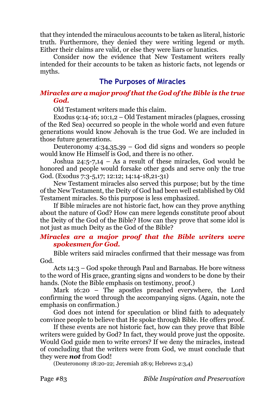that they intended the miraculous accounts to be taken as literal, historic truth. Furthermore, they denied they were writing legend or myth. Either their claims are valid, or else they were liars or lunatics.

Consider now the evidence that New Testament writers really intended for their accounts to be taken as historic facts, not legends or myths.

# **The Purposes of Miracles**

#### *Miracles are a major proof that the God of the Bible is the true God.*

Old Testament writers made this claim.

Exodus 9:14-16; 10:1,2 – Old Testament miracles (plagues, crossing of the Red Sea) occurred so people in the whole world and even future generations would know Jehovah is the true God. We are included in those future generations.

Deuteronomy 4:34,35,39 – God did signs and wonders so people would know He Himself is God, and there is no other.

Joshua 24:5-7,14 – As a result of these miracles, God would be honored and people would forsake other gods and serve only the true God. (Exodus 7:3-5,17; 12:12; 14:14-18,21-31)

New Testament miracles also served this purpose; but by the time of the New Testament, the Deity of God had been well established by Old Testament miracles. So this purpose is less emphasized.

If Bible miracles are not historic fact, how can they prove anything about the nature of God? How can mere legends constitute proof about the Deity of the God of the Bible? How can they prove that some idol is not just as much Deity as the God of the Bible?

## *Miracles are a major proof that the Bible writers were spokesmen for God.*

Bible writers said miracles confirmed that their message was from God.

Acts 14:3 – God spoke through Paul and Barnabas. He bore witness to the word of His grace, granting signs and wonders to be done by their hands. (Note the Bible emphasis on testimony, proof.)

Mark 16:20 – The apostles preached everywhere, the Lord confirming the word through the accompanying signs. (Again, note the emphasis on confirmation.)

God does not intend for speculation or blind faith to adequately convince people to believe that He spoke through Bible. He offers proof.

If these events are not historic fact, how can they prove that Bible writers were guided by God? In fact, they would prove just the opposite. Would God guide men to write errors? If we deny the miracles, instead of concluding that the writers were from God, we must conclude that they were *not* from God!

(Deuteronomy 18:20-22; Jeremiah 28:9; Hebrews 2:3,4)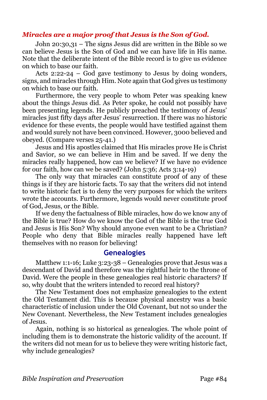# *Miracles are a major proof that Jesus is the Son of God.*

John 20:30,31 – The signs Jesus did are written in the Bible so we can believe Jesus is the Son of God and we can have life in His name. Note that the deliberate intent of the Bible record is to give us evidence on which to base our faith.

Acts 2:22-24 – God gave testimony to Jesus by doing wonders, signs, and miracles through Him. Note again that God gives us testimony on which to base our faith.

Furthermore, the very people to whom Peter was speaking knew about the things Jesus did. As Peter spoke, he could not possibly have been presenting legends. He publicly preached the testimony of Jesus' miracles just fifty days after Jesus' resurrection. If there was no historic evidence for these events, the people would have testified against them and would surely not have been convinced. However, 3000 believed and obeyed. (Compare verses 25-41.)

Jesus and His apostles claimed that His miracles prove He is Christ and Savior, so we can believe in Him and be saved. If we deny the miracles really happened, how can we believe? If we have no evidence for our faith, how can we be saved? (John 5:36; Acts 3:14-19)

The only way that miracles can constitute proof of any of these things is if they are historic facts. To say that the writers did not intend to write historic fact is to deny the very purposes for which the writers wrote the accounts. Furthermore, legends would never constitute proof of God, Jesus, or the Bible.

If we deny the factualness of Bible miracles, how do we know any of the Bible is true? How do we know the God of the Bible is the true God and Jesus is His Son? Why should anyone even want to be a Christian? People who deny that Bible miracles really happened have left themselves with no reason for believing!

# **Genealogies**

Matthew 1:1-16; Luke 3:23-38 – Genealogies prove that Jesus was a descendant of David and therefore was the rightful heir to the throne of David. Were the people in these genealogies real historic characters? If so, why doubt that the writers intended to record real history?

The New Testament does not emphasize genealogies to the extent the Old Testament did. This is because physical ancestry was a basic characteristic of inclusion under the Old Covenant, but not so under the New Covenant. Nevertheless, the New Testament includes genealogies of Jesus.

Again, nothing is so historical as genealogies. The whole point of including them is to demonstrate the historic validity of the account. If the writers did not mean for us to believe they were writing historic fact, why include genealogies?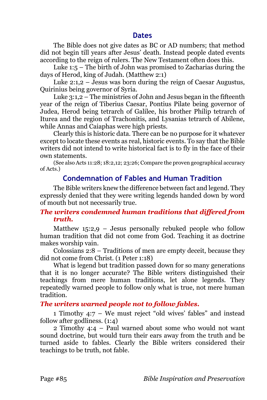# **Dates**

The Bible does not give dates as BC or AD numbers; that method did not begin till years after Jesus' death. Instead people dated events according to the reign of rulers. The New Testament often does this.

Luke 1:5 – The birth of John was promised to Zacharias during the days of Herod, king of Judah. (Matthew 2:1)

Luke 2:1,2 – Jesus was born during the reign of Caesar Augustus, Quirinius being governor of Syria.

Luke 3:1,2 – The ministries of John and Jesus began in the fifteenth year of the reign of Tiberius Caesar, Pontius Pilate being governor of Judea, Herod being tetrarch of Galilee, his brother Philip tetrarch of Iturea and the region of Trachonitis, and Lysanias tetrarch of Abilene, while Annas and Caiaphas were high priests.

Clearly this is historic data. There can be no purpose for it whatever except to locate these events as real, historic events. To say that the Bible writers did not intend to write historical fact is to fly in the face of their own statements.

(See also Acts 11:28; 18:2,12; 23:26; Compare the proven geographical accuracy of Acts.)

# **Condemnation of Fables and Human Tradition**

The Bible writers knew the difference between fact and legend. They expressly denied that they were writing legends handed down by word of mouth but not necessarily true.

# *The writers condemned human traditions that differed from truth.*

Matthew  $15:2,9$  – Jesus personally rebuked people who follow human tradition that did not come from God. Teaching it as doctrine makes worship vain.

Colossians 2:8 – Traditions of men are empty deceit, because they did not come from Christ. (1 Peter 1:18)

What is legend but tradition passed down for so many generations that it is no longer accurate? The Bible writers distinguished their teachings from mere human traditions, let alone legends. They repeatedly warned people to follow only what is true, not mere human tradition.

# *The writers warned people not to follow fables.*

1 Timothy 4:7 – We must reject "old wives' fables" and instead follow after godliness. (1:4)

2 Timothy 4:4 – Paul warned about some who would not want sound doctrine, but would turn their ears away from the truth and be turned aside to fables. Clearly the Bible writers considered their teachings to be truth, not fable.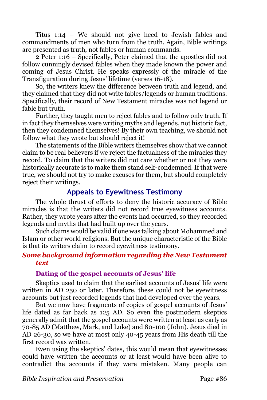Titus 1:14 – We should not give heed to Jewish fables and commandments of men who turn from the truth. Again, Bible writings are presented as truth, not fables or human commands.

2 Peter 1:16 – Specifically, Peter claimed that the apostles did not follow cunningly devised fables when they made known the power and coming of Jesus Christ. He speaks expressly of the miracle of the Transfiguration during Jesus' lifetime (verses 16-18).

So, the writers knew the difference between truth and legend, and they claimed that they did not write fables/legends or human traditions. Specifically, their record of New Testament miracles was not legend or fable but truth.

Further, they taught men to reject fables and to follow only truth. If in fact they themselves were writing myths and legends, not historic fact, then they condemned themselves! By their own teaching, we should not follow what they wrote but should reject it!

The statements of the Bible writers themselves show that we cannot claim to be real believers if we reject the factualness of the miracles they record. To claim that the writers did not care whether or not they were historically accurate is to make them stand self-condemned. If that were true, we should not try to make excuses for them, but should completely reject their writings.

# **Appeals to Eyewitness Testimony**

The whole thrust of efforts to deny the historic accuracy of Bible miracles is that the writers did not record true eyewitness accounts. Rather, they wrote years after the events had occurred, so they recorded legends and myths that had built up over the years.

Such claims would be valid if one was talking about Mohammed and Islam or other world religions. But the unique characteristic of the Bible is that its writers claim to record eyewitness testimony.

## *Some background information regarding the New Testament text*

## **Dating of the gospel accounts of Jesus' life**

Skeptics used to claim that the earliest accounts of Jesus' life were written in AD 250 or later. Therefore, these could not be eyewitness accounts but just recorded legends that had developed over the years.

But we now have fragments of copies of gospel accounts of Jesus' life dated as far back as 125 AD. So even the postmodern skeptics generally admit that the gospel accounts were written at least as early as 70-85 AD (Matthew, Mark, and Luke) and 80-100 (John). Jesus died in AD 26-30, so we have at most only 40-45 years from His death till the first record was written.

Even using the skeptics' dates, this would mean that eyewitnesses could have written the accounts or at least would have been alive to contradict the accounts if they were mistaken. Many people can

*Bible Inspiration and Preservation* Page #86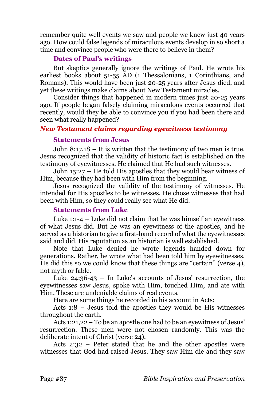remember quite well events we saw and people we knew just 40 years ago. How could false legends of miraculous events develop in so short a time and convince people who were there to believe in them?

# **Dates of Paul's writings**

But skeptics generally ignore the writings of Paul. He wrote his earliest books about 51-55 AD (1 Thessalonians, 1 Corinthians, and Romans). This would have been just 20-25 years after Jesus died, and yet these writings make claims about New Testament miracles.

Consider things that happened in modern times just 20-25 years ago. If people began falsely claiming miraculous events occurred that recently, would they be able to convince you if you had been there and seen what really happened?

# *New Testament claims regarding eyewitness testimony*

#### **Statements from Jesus**

John 8:17,18 – It is written that the testimony of two men is true. Jesus recognized that the validity of historic fact is established on the testimony of eyewitnesses. He claimed that He had such witnesses.

John 15:27 – He told His apostles that they would bear witness of Him, because they had been with Him from the beginning.

Jesus recognized the validity of the testimony of witnesses. He intended for His apostles to be witnesses. He chose witnesses that had been with Him, so they could really see what He did.

## **Statements from Luke**

Luke 1:1-4 – Luke did not claim that he was himself an eyewitness of what Jesus did. But he was an eyewitness of the apostles, and he served as a historian to give a first-hand record of what the eyewitnesses said and did. His reputation as an historian is well established.

Note that Luke denied he wrote legends handed down for generations. Rather, he wrote what had been told him by eyewitnesses. He did this so we could know that these things are "certain" (verse 4), not myth or fable.

Luke  $24:36-43$  – In Luke's accounts of Jesus' resurrection, the eyewitnesses saw Jesus, spoke with Him, touched Him, and ate with Him. These are undeniable claims of real events.

Here are some things he recorded in his account in Acts:

Acts 1:8 – Jesus told the apostles they would be His witnesses throughout the earth.

Acts 1:21,22 – To be an apostle one had to be an eyewitness of Jesus' resurrection. These men were not chosen randomly. This was the deliberate intent of Christ (verse 24).

Acts 2:32 – Peter stated that he and the other apostles were witnesses that God had raised Jesus. They saw Him die and they saw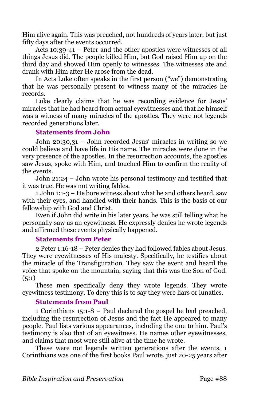Him alive again. This was preached, not hundreds of years later, but just fifty days after the events occurred.

Acts 10:39-41 – Peter and the other apostles were witnesses of all things Jesus did. The people killed Him, but God raised Him up on the third day and showed Him openly to witnesses. The witnesses ate and drank with Him after He arose from the dead.

In Acts Luke often speaks in the first person ("we") demonstrating that he was personally present to witness many of the miracles he records.

Luke clearly claims that he was recording evidence for Jesus' miracles that he had heard from actual eyewitnesses and that he himself was a witness of many miracles of the apostles. They were not legends recorded generations later.

#### **Statements from John**

John 20:30,31 – John recorded Jesus' miracles in writing so we could believe and have life in His name. The miracles were done in the very presence of the apostles. In the resurrection accounts, the apostles saw Jesus, spoke with Him, and touched Him to confirm the reality of the events.

John 21:24 – John wrote his personal testimony and testified that it was true. He was not writing fables.

1 John 1:1-3 – He bore witness about what he and others heard, saw with their eyes, and handled with their hands. This is the basis of our fellowship with God and Christ.

Even if John did write in his later years, he was still telling what he personally saw as an eyewitness. He expressly denies he wrote legends and affirmed these events physically happened.

#### **Statements from Peter**

2 Peter 1:16-18 – Peter denies they had followed fables about Jesus. They were eyewitnesses of His majesty. Specifically, he testifies about the miracle of the Transfiguration. They saw the event and heard the voice that spoke on the mountain, saying that this was the Son of God.  $(5:1)$ 

These men specifically deny they wrote legends. They wrote eyewitness testimony. To deny this is to say they were liars or lunatics.

# **Statements from Paul**

1 Corinthians 15:1-8 – Paul declared the gospel he had preached, including the resurrection of Jesus and the fact He appeared to many people. Paul lists various appearances, including the one to him. Paul's testimony is also that of an eyewitness. He names other eyewitnesses, and claims that most were still alive at the time he wrote.

These were not legends written generations after the events. 1 Corinthians was one of the first books Paul wrote, just 20-25 years after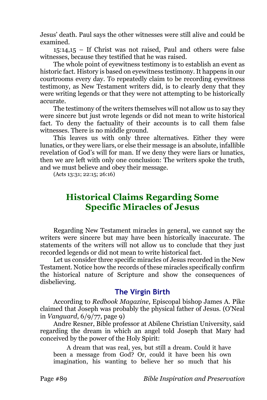Jesus' death. Paul says the other witnesses were still alive and could be examined.

15:14,15 – If Christ was not raised, Paul and others were false witnesses, because they testified that he was raised.

The whole point of eyewitness testimony is to establish an event as historic fact. History is based on eyewitness testimony. It happens in our courtrooms every day. To repeatedly claim to be recording eyewitness testimony, as New Testament writers did, is to clearly deny that they were writing legends or that they were not attempting to be historically accurate.

The testimony of the writers themselves will not allow us to say they were sincere but just wrote legends or did not mean to write historical fact. To deny the factuality of their accounts is to call them false witnesses. There is no middle ground.

This leaves us with only three alternatives. Either they were lunatics, or they were liars, or else their message is an absolute, infallible revelation of God's will for man. If we deny they were liars or lunatics, then we are left with only one conclusion: The writers spoke the truth, and we must believe and obey their message.

(Acts 13:31; 22:15; 26:16)

# **Historical Claims Regarding Some Specific Miracles of Jesus**

Regarding New Testament miracles in general, we cannot say the writers were sincere but may have been historically inaccurate. The statements of the writers will not allow us to conclude that they just recorded legends or did not mean to write historical fact.

Let us consider three specific miracles of Jesus recorded in the New Testament. Notice how the records of these miracles specifically confirm the historical nature of Scripture and show the consequences of disbelieving.

# **The Virgin Birth**

According to *Redbook Magazine,* Episcopal bishop James A. Pike claimed that Joseph was probably the physical father of Jesus. (O'Neal in *Vanguard*, 6/9/77, page 9)

Andre Resner, Bible professor at Abilene Christian University, said regarding the dream in which an angel told Joseph that Mary had conceived by the power of the Holy Spirit:

A dream that was real, yes, but still a dream. Could it have been a message from God? Or, could it have been his own imagination, his wanting to believe her so much that his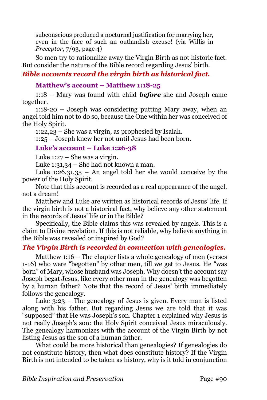subconscious produced a nocturnal justification for marrying her, even in the face of such an outlandish excuse! (via Willis in *Preceptor*, 7/93, page 4)

So men try to rationalize away the Virgin Birth as not historic fact. But consider the nature of the Bible record regarding Jesus' birth.

# *Bible accounts record the virgin birth as historical fact.*

# **Matthew's account – Matthew 1:18-25**

1:18 – Mary was found with child *before* she and Joseph came together.

1:18-20 – Joseph was considering putting Mary away, when an angel told him not to do so, because the One within her was conceived of the Holy Spirit.

1:22,23 – She was a virgin, as prophesied by Isaiah.

1:25 – Joseph knew her not until Jesus had been born.

# **Luke's account – Luke 1:26-38**

Luke 1:27 – She was a virgin.

Luke 1:31,34 – She had not known a man.

Luke  $1:26,31,35$  – An angel told her she would conceive by the power of the Holy Spirit.

Note that this account is recorded as a real appearance of the angel, not a dream!

Matthew and Luke are written as historical records of Jesus' life. If the virgin birth is not a historical fact, why believe any other statement in the records of Jesus' life or in the Bible?

Specifically, the Bible claims this was revealed by angels. This is a claim to Divine revelation. If this is not reliable, why believe anything in the Bible was revealed or inspired by God?

# *The Virgin Birth is recorded in connection with genealogies.*

Matthew 1:16 – The chapter lists a whole genealogy of men (verses 1-16) who were "begotten" by other men, till we get to Jesus. He "was born" of Mary, whose husband was Joseph. Why doesn't the account say Joseph begat Jesus, like every other man in the genealogy was begotten by a human father? Note that the record of Jesus' birth immediately follows the genealogy.

Luke 3:23 – The genealogy of Jesus is given. Every man is listed along with his father. But regarding Jesus we are told that it was "supposed" that He was Joseph's son. Chapter 1 explained why Jesus is not really Joseph's son: the Holy Spirit conceived Jesus miraculously. The genealogy harmonizes with the account of the Virgin Birth by not listing Jesus as the son of a human father.

What could be more historical than genealogies? If genealogies do not constitute history, then what does constitute history? If the Virgin Birth is not intended to be taken as history, why is it told in conjunction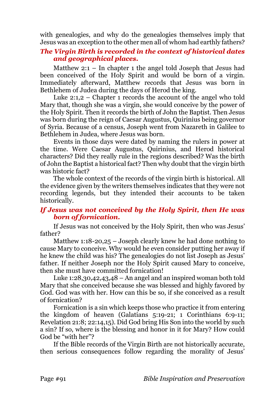with genealogies, and why do the genealogies themselves imply that Jesus was an exception to the other men all of whom had earthly fathers?

# *The Virgin Birth is recorded in the context of historical dates and geographical places.*

Matthew 2:1 – In chapter 1 the angel told Joseph that Jesus had been conceived of the Holy Spirit and would be born of a virgin. Immediately afterward, Matthew records that Jesus was born in Bethlehem of Judea during the days of Herod the king.

Luke 2:1,2 – Chapter 1 records the account of the angel who told Mary that, though she was a virgin, she would conceive by the power of the Holy Spirit. Then it records the birth of John the Baptist. Then Jesus was born during the reign of Caesar Augustus, Quirinius being governor of Syria. Because of a census, Joseph went from Nazareth in Galilee to Bethlehem in Judea, where Jesus was born.

Events in those days were dated by naming the rulers in power at the time. Were Caesar Augustus, Quirinius, and Herod historical characters? Did they really rule in the regions described? Was the birth of John the Baptist a historical fact? Then why doubt that the virgin birth was historic fact?

The whole context of the records of the virgin birth is historical. All the evidence given by the writers themselves indicates that they were not recording legends, but they intended their accounts to be taken historically.

# *If Jesus was not conceived by the Holy Spirit, then He was born of fornication.*

If Jesus was not conceived by the Holy Spirit, then who was Jesus' father?

Matthew 1:18-20,25 – Joseph clearly knew he had done nothing to cause Mary to conceive. Why would he even consider putting her away if he knew the child was his? The genealogies do not list Joseph as Jesus' father. If neither Joseph nor the Holy Spirit caused Mary to conceive, then she must have committed fornication!

Luke 1:28,30,42,43,48 – An angel and an inspired woman both told Mary that she conceived because she was blessed and highly favored by God. God was with her. How can this be so, if she conceived as a result of fornication?

Fornication is a sin which keeps those who practice it from entering the kingdom of heaven (Galatians 5:19-21; 1 Corinthians 6:9-11; Revelation 21:8; 22:14,15). Did God bring His Son into the world by such a sin? If so, where is the blessing and honor in it for Mary? How could God be "with her"?

If the Bible records of the Virgin Birth are not historically accurate, then serious consequences follow regarding the morality of Jesus'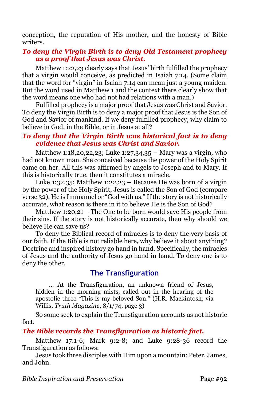conception, the reputation of His mother, and the honesty of Bible writers.

# *To deny the Virgin Birth is to deny Old Testament prophecy as a proof that Jesus was Christ.*

Matthew 1:22,23 clearly says that Jesus' birth fulfilled the prophecy that a virgin would conceive, as predicted in Isaiah 7:14. (Some claim that the word for "virgin" in Isaiah 7:14 can mean just a young maiden. But the word used in Matthew 1 and the context there clearly show that the word means one who had not had relations with a man.)

Fulfilled prophecy is a major proof that Jesus was Christ and Savior. To deny the Virgin Birth is to deny a major proof that Jesus is the Son of God and Savior of mankind. If we deny fulfilled prophecy, why claim to believe in God, in the Bible, or in Jesus at all?

## *To deny that the Virgin Birth was historical fact is to deny evidence that Jesus was Christ and Savior.*

Matthew 1:18,20,22,23; Luke 1:27,34,35 – Mary was a virgin, who had not known man. She conceived because the power of the Holy Spirit came on her. All this was affirmed by angels to Joseph and to Mary. If this is historically true, then it constitutes a miracle.

Luke 1:32,35; Matthew 1:22,23 – Because He was born of a virgin by the power of the Holy Spirit, Jesus is called the Son of God (compare verse 32). He is Immanuel or "God with us." If the story is not historically accurate, what reason is there in it to believe He is the Son of God?

Matthew 1:20,21 – The One to be born would save His people from their sins. If the story is not historically accurate, then why should we believe He can save us?

To deny the Biblical record of miracles is to deny the very basis of our faith. If the Bible is not reliable here, why believe it about anything? Doctrine and inspired history go hand in hand. Specifically, the miracles of Jesus and the authority of Jesus go hand in hand. To deny one is to deny the other.

# **The Transfiguration**

… At the Transfiguration, an unknown friend of Jesus, hidden in the morning mists, called out in the hearing of the apostolic three "This is my beloved Son." (H.R. Mackintosh, via Willis, *Truth Magazine*, 8/1/74, page 3)

So some seek to explain the Transfiguration accounts as not historic fact.

# *The Bible records the Transfiguration as historic fact.*

Matthew 17:1-6; Mark 9:2-8; and Luke 9:28-36 record the Transfiguration as follows:

Jesus took three disciples with Him upon a mountain: Peter, James, and John.

*Bible Inspiration and Preservation* Page #92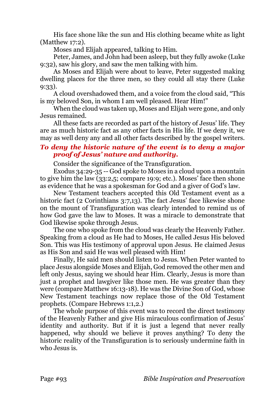His face shone like the sun and His clothing became white as light (Matthew 17:2).

Moses and Elijah appeared, talking to Him.

Peter, James, and John had been asleep, but they fully awoke (Luke 9:32), saw his glory, and saw the men talking with him.

As Moses and Elijah were about to leave, Peter suggested making dwelling places for the three men, so they could all stay there (Luke 9:33).

A cloud overshadowed them, and a voice from the cloud said, "This is my beloved Son, in whom I am well pleased. Hear Him!"

When the cloud was taken up, Moses and Elijah were gone, and only Jesus remained.

All these facts are recorded as part of the history of Jesus' life. They are as much historic fact as any other facts in His life. If we deny it, we may as well deny any and all other facts described by the gospel writers.

# *To deny the historic nature of the event is to deny a major proof of Jesus' nature and authority.*

Consider the significance of the Transfiguration.

Exodus 34:29-35 -- God spoke to Moses in a cloud upon a mountain to give him the law (33:2,5; compare 19:9; etc.). Moses' face then shone as evidence that he was a spokesman for God and a giver of God's law.

New Testament teachers accepted this Old Testament event as a historic fact (2 Corinthians 3:7,13). The fact Jesus' face likewise shone on the mount of Transfiguration was clearly intended to remind us of how God gave the law to Moses. It was a miracle to demonstrate that God likewise spoke through Jesus.

The one who spoke from the cloud was clearly the Heavenly Father. Speaking from a cloud as He had to Moses, He called Jesus His beloved Son. This was His testimony of approval upon Jesus. He claimed Jesus as His Son and said He was well pleased with Him!

Finally, He said men should listen to Jesus. When Peter wanted to place Jesus alongside Moses and Elijah, God removed the other men and left only Jesus, saying we should hear Him. Clearly, Jesus is more than just a prophet and lawgiver like those men. He was greater than they were (compare Matthew 16:13-18). He was the Divine Son of God, whose New Testament teachings now replace those of the Old Testament prophets. (Compare Hebrews 1:1,2.)

The whole purpose of this event was to record the direct testimony of the Heavenly Father and give His miraculous confirmation of Jesus' identity and authority. But if it is just a legend that never really happened, why should we believe it proves anything? To deny the historic reality of the Transfiguration is to seriously undermine faith in who Jesus is.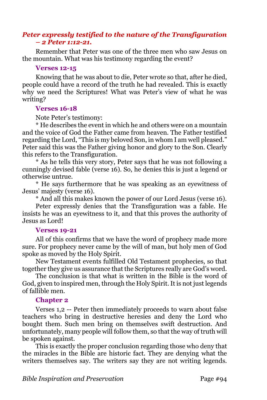# *Peter expressly testified to the nature of the Transfiguration – 2 Peter 1:12-21.*

Remember that Peter was one of the three men who saw Jesus on the mountain. What was his testimony regarding the event?

#### **Verses 12-15**

Knowing that he was about to die, Peter wrote so that, after he died, people could have a record of the truth he had revealed. This is exactly why we need the Scriptures! What was Peter's view of what he was writing?

## **Verses 16-18**

Note Peter's testimony:

\* He describes the event in which he and others were on a mountain and the voice of God the Father came from heaven. The Father testified regarding the Lord, "This is my beloved Son, in whom I am well pleased." Peter said this was the Father giving honor and glory to the Son. Clearly this refers to the Transfiguration.

\* As he tells this very story, Peter says that he was not following a cunningly devised fable (verse 16). So, he denies this is just a legend or otherwise untrue.

\* He says furthermore that he was speaking as an eyewitness of Jesus' majesty (verse 16).

\* And all this makes known the power of our Lord Jesus (verse 16). Peter expressly denies that the Transfiguration was a fable. He insists he was an eyewitness to it, and that this proves the authority of Jesus as Lord!

## **Verses 19-21**

All of this confirms that we have the word of prophecy made more sure. For prophecy never came by the will of man, but holy men of God spoke as moved by the Holy Spirit.

New Testament events fulfilled Old Testament prophecies, so that together they give us assurance that the Scriptures really are God's word.

The conclusion is that what is written in the Bible is the word of God, given to inspired men, through the Holy Spirit. It is not just legends of fallible men.

## **Chapter 2**

Verses 1,2 -- Peter then immediately proceeds to warn about false teachers who bring in destructive heresies and deny the Lord who bought them. Such men bring on themselves swift destruction. And unfortunately, many people will follow them, so that the way of truth will be spoken against.

This is exactly the proper conclusion regarding those who deny that the miracles in the Bible are historic fact. They are denying what the writers themselves say. The writers say they are not writing legends.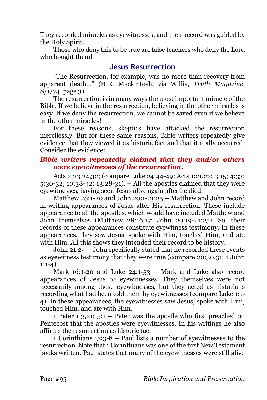They recorded miracles as eyewitnesses, and their record was guided by the Holy Spirit.

Those who deny this to be true are false teachers who deny the Lord who bought them!

# **Jesus Resurrection**

"The Resurrection, for example, was no more than recovery from apparent death…" (H.R. Mackintosh, via Willis, *Truth Magazine*,  $8/1/74$ , page 3)

The resurrection is in many ways the most important miracle of the Bible. If we believe in the resurrection, believing in the other miracles is easy. If we deny the resurrection, we cannot be saved even if we believe in the other miracles!

For these reasons, skeptics have attacked the resurrection mercilessly. But for these same reasons, Bible writers repeatedly give evidence that they viewed it as historic fact and that it really occurred. Consider the evidence:

# *Bible writers repeatedly claimed that they and/or others were eyewitnesses of the resurrection.*

Acts 2:23,24,32; (compare Luke 24:44-49; Acts 1:21,22; 3:15; 4:33; 5:30-32; 10:38-42; 13:28-31). – All the apostles claimed that they were eyewitnesses, having seen Jesus alive again after he died.

Matthew 28:1-20 and John 20:1-21:25 -- Matthew and John record in writing appearances of Jesus after His resurrection. These include appearance to all the apostles, which would have included Matthew and John themselves (Matthew 28:16,17; John 20:19-21:25). So, their records of these appearances constitute eyewitness testimony. In these appearances, they saw Jesus, spoke with Him, touched Him, and ate with Him. All this shows they intended their record to be history.

John 21:24 – John specifically stated that he recorded these events as eyewitness testimony that they were true (compare 20:30,31; 1 John  $1:1-4$ ).

Mark 16:1-20 and Luke 24:1-53 – Mark and Luke also record appearances of Jesus to eyewitnesses. They themselves were not necessarily among those eyewitnesses, but they acted as historians recording what had been told them by eyewitnesses (compare Luke 1:1- 4). In these appearances, the eyewitnesses saw Jesus, spoke with Him, touched Him, and ate with Him.

1 Peter 1:3,21; 5:1 – Peter was the apostle who first preached on Pentecost that the apostles were eyewitnesses. In his writings he also affirms the resurrection as historic fact.

1 Corinthians 15:3-8 – Paul lists a number of eyewitnesses to the resurrection. Note that 1 Corinthians was one of the first New Testament books written. Paul states that many of the eyewitnesses were still alive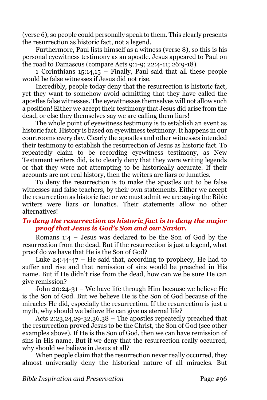(verse 6), so people could personally speak to them. This clearly presents the resurrection as historic fact, not a legend.

Furthermore, Paul lists himself as a witness (verse 8), so this is his personal eyewitness testimony as an apostle. Jesus appeared to Paul on the road to Damascus (compare Acts 9:1-9; 22:4-11; 26:9-18).

1 Corinthians 15:14,15 – Finally, Paul said that all these people would be false witnesses if Jesus did not rise.

Incredibly, people today deny that the resurrection is historic fact, yet they want to somehow avoid admitting that they have called the apostles false witnesses. The eyewitnesses themselves will not allow such a position! Either we accept their testimony that Jesus did arise from the dead, or else they themselves say we are calling them liars!

The whole point of eyewitness testimony is to establish an event as historic fact. History is based on eyewitness testimony. It happens in our courtrooms every day. Clearly the apostles and other witnesses intended their testimony to establish the resurrection of Jesus as historic fact. To repeatedly claim to be recording eyewitness testimony, as New Testament writers did, is to clearly deny that they were writing legends or that they were not attempting to be historically accurate. If their accounts are not real history, then the writers are liars or lunatics.

To deny the resurrection is to make the apostles out to be false witnesses and false teachers, by their own statements. Either we accept the resurrection as historic fact or we must admit we are saying the Bible writers were liars or lunatics. Their statements allow no other alternatives!

## *To deny the resurrection as historic fact is to deny the major proof that Jesus is God's Son and our Savior.*

Romans 1:4 – Jesus was declared to be the Son of God by the resurrection from the dead. But if the resurrection is just a legend, what proof do we have that He is the Son of God?

Luke 24:44-47 – He said that, according to prophecy, He had to suffer and rise and that remission of sins would be preached in His name. But if He didn't rise from the dead, how can we be sure He can give remission?

John 20:24-31 – We have life through Him because we believe He is the Son of God. But we believe He is the Son of God because of the miracles He did, especially the resurrection. If the resurrection is just a myth, why should we believe He can give us eternal life?

Acts 2:23,24,29-32,36,38 – The apostles repeatedly preached that the resurrection proved Jesus to be the Christ, the Son of God (see other examples above). If He is the Son of God, then we can have remission of sins in His name. But if we deny that the resurrection really occurred, why should we believe in Jesus at all?

When people claim that the resurrection never really occurred, they almost universally deny the historical nature of all miracles. But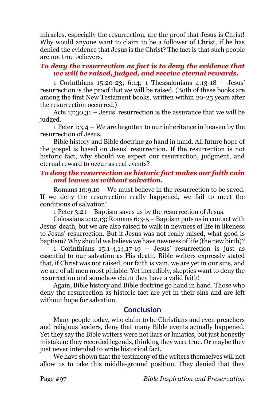miracles, especially the resurrection, are the proof that Jesus is Christ! Why would anyone want to claim to be a follower of Christ, if he has denied the evidence that Jesus is the Christ? The fact is that such people are not true believers.

# *To deny the resurrection as fact is to deny the evidence that we will be raised, judged, and receive eternal rewards.*

1 Corinthians 15:20-23; 6:14; 1 Thessalonians 4:13-18 – Jesus' resurrection is the proof that we will be raised. (Both of these books are among the first New Testament books, written within 20-25 years after the resurrection occurred.)

Acts 17:30,31 – Jesus' resurrection is the assurance that we will be judged.

1 Peter 1:3,4 – We are begotten to our inheritance in heaven by the resurrection of Jesus.

Bible history and Bible doctrine go hand in hand. All future hope of the gospel is based on Jesus' resurrection. If the resurrection is not historic fact, why should we expect our resurrection, judgment, and eternal reward to occur as real events?

## *To deny the resurrection as historic fact makes our faith vain and leaves us without salvation.*

Romans 10:9,10 – We must believe in the resurrection to be saved. If we deny the resurrection really happened, we fail to meet the conditions of salvation!

1 Peter 3:21 – Baptism saves us by the resurrection of Jesus.

Colossians 2:12,13; Romans 6:3-5 – Baptism puts us in contact with Jesus' death, but we are also raised to walk in newness of life in likeness to Jesus' resurrection. But if Jesus was not really raised, what good is baptism? Why should we believe we have newness of life (the new birth)?

1 Corinthians 15:1-4,14,17-19 – Jesus' resurrection is just as essential to our salvation as His death. Bible writers expressly stated that, if Christ was not raised, our faith is vain, we are yet in our sins, and we are of all men most pitiable. Yet incredibly, skeptics want to deny the resurrection and somehow claim they have a valid faith!

Again, Bible history and Bible doctrine go hand in hand. Those who deny the resurrection as historic fact are yet in their sins and are left without hope for salvation.

# **Conclusion**

Many people today, who claim to be Christians and even preachers and religious leaders, deny that many Bible events actually happened. Yet they say the Bible writers were not liars or lunatics, but just honestly mistaken: they recorded legends, thinking they were true. Or maybe they just never intended to write historical fact.

We have shown that the testimony of the writers themselves will not allow us to take this middle-ground position. They denied that they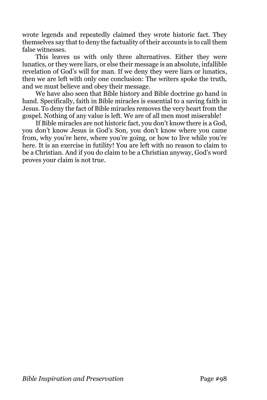wrote legends and repeatedly claimed they wrote historic fact. They themselves say that to deny the factuality of their accounts is to call them false witnesses.

This leaves us with only three alternatives. Either they were lunatics, or they were liars, or else their message is an absolute, infallible revelation of God's will for man. If we deny they were liars or lunatics, then we are left with only one conclusion: The writers spoke the truth, and we must believe and obey their message.

We have also seen that Bible history and Bible doctrine go hand in hand. Specifically, faith in Bible miracles is essential to a saving faith in Jesus. To deny the fact of Bible miracles removes the very heart from the gospel. Nothing of any value is left. We are of all men most miserable!

If Bible miracles are not historic fact, you don't know there is a God, you don't know Jesus is God's Son, you don't know where you came from, why you're here, where you're going, or how to live while you're here. It is an exercise in futility! You are left with no reason to claim to be a Christian. And if you do claim to be a Christian anyway, God's word proves your claim is not true.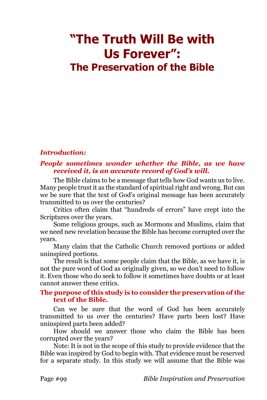# **"The Truth Will Be with Us Forever": The Preservation of the Bible**

## *Introduction:*

## *People sometimes wonder whether the Bible, as we have received it, is an accurate record of God's will.*

The Bible claims to be a message that tells how God wants us to live. Many people trust it as the standard of spiritual right and wrong. But can we be sure that the text of God's original message has been accurately transmitted to us over the centuries?

Critics often claim that "hundreds of errors" have crept into the Scriptures over the years.

Some religious groups, such as Mormons and Muslims, claim that we need new revelation because the Bible has become corrupted over the years.

Many claim that the Catholic Church removed portions or added uninspired portions.

The result is that some people claim that the Bible, as we have it, is not the pure word of God as originally given, so we don't need to follow it. Even those who do seek to follow it sometimes have doubts or at least cannot answer these critics.

#### **The purpose of this study is to consider the preservation of the text of the Bible.**

Can we be sure that the word of God has been accurately transmitted to us over the centuries? Have parts been lost? Have uninspired parts been added?

How should we answer those who claim the Bible has been corrupted over the years?

Note: It is not in the scope of this study to provide evidence that the Bible was inspired by God to begin with. That evidence must be reserved for a separate study. In this study we will assume that the Bible was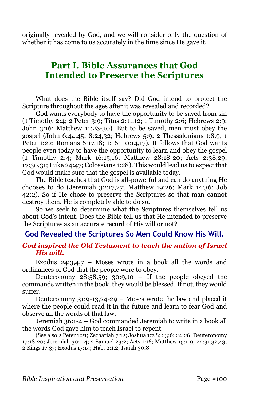originally revealed by God, and we will consider only the question of whether it has come to us accurately in the time since He gave it.

# **Part I. Bible Assurances that God Intended to Preserve the Scriptures**

What does the Bible itself say? Did God intend to protect the Scripture throughout the ages after it was revealed and recorded?

God wants everybody to have the opportunity to be saved from sin (1 Timothy 2:4; 2 Peter 3:9; Titus 2:11,12; 1 Timothy 2:6; Hebrews 2:9; John 3:16; Matthew 11:28-30). But to be saved, men must obey the gospel (John 6:44,45; 8:24,32; Hebrews 5:9; 2 Thessalonians 1:8,9; 1 Peter 1:22; Romans 6:17,18; 1:16; 10:14,17). It follows that God wants people even today to have the opportunity to learn and obey the gospel (1 Timothy 2:4; Mark 16:15,16; Matthew 28:18-20; Acts 2:38,29; 17:30,31; Luke 24:47; Colossians 1:28). This would lead us to expect that God would make sure that the gospel is available today.

The Bible teaches that God is all-powerful and can do anything He chooses to do (Jeremiah 32:17,27; Matthew 19:26; Mark 14:36; Job 42:2). So if He chose to preserve the Scriptures so that man cannot destroy them, He is completely able to do so.

So we seek to determine what the Scriptures themselves tell us about God's intent. Does the Bible tell us that He intended to preserve the Scriptures as an accurate record of His will or not?

#### **God Revealed the Scriptures So Men Could Know His Will.**

#### *God inspired the Old Testament to teach the nation of Israel His will.*

Exodus  $24:3,4,7$  – Moses wrote in a book all the words and ordinances of God that the people were to obey.

Deuteronomy  $28:58,59$ ;  $30:9,10$  – If the people obeyed the commands written in the book, they would be blessed. If not, they would suffer.

Deuteronomy 31:9-13,24-29 – Moses wrote the law and placed it where the people could read it in the future and learn to fear God and observe all the words of that law.

Jeremiah 36:1-4 – God commanded Jeremiah to write in a book all the words God gave him to teach Israel to repent.

(See also 2 Peter 1:21; Zechariah 7:12; Joshua 1:7,8; 23:6; 24:26; Deuteronomy 17:18-20; Jeremiah 30:1-4; 2 Samuel 23:2; Acts 1:16; Matthew 15:1-9; 22:31,32,43; 2 Kings 17:37; Exodus 17:14; Hab. 2:1,2; Isaiah 30:8.)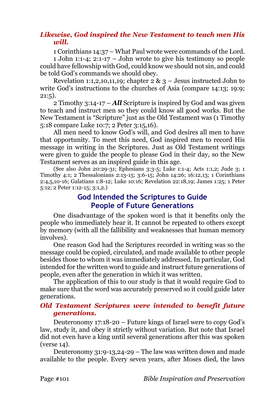# *Likewise, God inspired the New Testament to teach men His will.*

1 Corinthians 14:37 – What Paul wrote were commands of the Lord.

1 John 1:1-4; 2:1-17 – John wrote to give his testimony so people could have fellowship with God, could know we should not sin, and could be told God's commands we should obey.

Revelation 1:1,2,10,11,19; chapter  $2 \& 3$  – Jesus instructed John to write God's instructions to the churches of Asia (compare 14:13; 19:9;  $21:5$ ).

2 Timothy 3:14-17 – *All* Scripture is inspired by God and was given to teach and instruct men so they could know all good works. But the New Testament is "Scripture" just as the Old Testament was (1 Timothy 5:18 compare Luke 10:7; 2 Peter 3:15,16).

All men need to know God's will, and God desires all men to have that opportunity. To meet this need, God inspired men to record His message in writing in the Scriptures. Just as Old Testament writings were given to guide the people to please God in their day, so the New Testament serves as an inspired guide in this age.

(See also John 20:29-31; Ephesians 3:3-5; Luke 1:1-4; Acts 1:1,2; Jude 3; 1 Timothy 4:1; 2 Thessalonians 2:13-15; 3:6-15; John 14:26; 16:12,13; 1 Corinthians 2:4,5,10-16; Galatians 1:8-12; Luke 10:16; Revelation 22:18,19; James 1:25; 1 Peter 5:12; 2 Peter 1:12-15; 3:1,2.)

# **God Intended the Scriptures to Guide People of Future Generations**

One disadvantage of the spoken word is that it benefits only the people who immediately hear it. It cannot be repeated to others except by memory (with all the fallibility and weaknesses that human memory involves).

One reason God had the Scriptures recorded in writing was so the message could be copied, circulated, and made available to other people besides those to whom it was immediately addressed. In particular, God intended for the written word to guide and instruct future generations of people, even after the generation in which it was written.

The application of this to our study is that it would require God to make sure that the word was accurately preserved so it could guide later generations.

## *Old Testament Scriptures were intended to benefit future generations.*

Deuteronomy 17:18-20 – Future kings of Israel were to copy God's law, study it, and obey it strictly without variation. But note that Israel did not even have a king until several generations after this was spoken (verse 14).

Deuteronomy 31:9-13,24-29 – The law was written down and made available to the people. Every seven years, after Moses died, the laws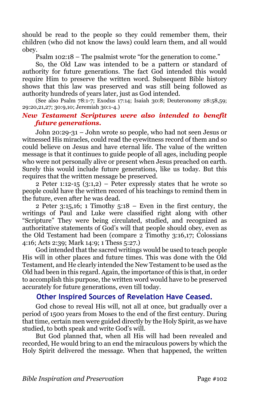should be read to the people so they could remember them, their children (who did not know the laws) could learn them, and all would obey.

Psalm 102:18 – The psalmist wrote "for the generation to come."

So, the Old Law was intended to be a pattern or standard of authority for future generations. The fact God intended this would require Him to preserve the written word. Subsequent Bible history shows that this law was preserved and was still being followed as authority hundreds of years later, just as God intended.

(See also Psalm 78:1-7; Exodus 17:14; Isaiah 30:8; Deuteronomy 28:58,59; 29:20,21,27; 30:9,10; Jeremiah 30:1-4.)

# *New Testament Scriptures were also intended to benefit future generations.*

John 20:29-31 – John wrote so people, who had not seen Jesus or witnessed His miracles, could read the eyewitness record of them and so could believe on Jesus and have eternal life. The value of the written message is that it continues to guide people of all ages, including people who were not personally alive or present when Jesus preached on earth. Surely this would include future generations, like us today. But this requires that the written message be preserved.

2 Peter 1:12-15  $(3:1,2)$  – Peter expressly states that he wrote so people could have the written record of his teachings to remind them in the future, even after he was dead.

2 Peter  $3:15,16$ ; 1 Timothy  $5:18$  – Even in the first century, the writings of Paul and Luke were classified right along with other "Scripture" They were being circulated, studied, and recognized as authoritative statements of God's will that people should obey, even as the Old Testament had been (compare 2 Timothy 3:16,17; Colossians 4:16; Acts 2:39; Mark 14:9; 1 Thess 5:27.)

God intended that the sacred writings would be used to teach people His will in other places and future times. This was done with the Old Testament, and He clearly intended the New Testament to be used as the Old had been in this regard. Again, the importance of this is that, in order to accomplish this purpose, the written word would have to be preserved accurately for future generations, even till today.

# **Other Inspired Sources of Revelation Have Ceased.**

God chose to reveal His will, not all at once, but gradually over a period of 1500 years from Moses to the end of the first century. During that time, certain men were guided directly by the Holy Spirit, as we have studied, to both speak and write God's will.

But God planned that, when all His will had been revealed and recorded, He would bring to an end the miraculous powers by which the Holy Spirit delivered the message. When that happened, the written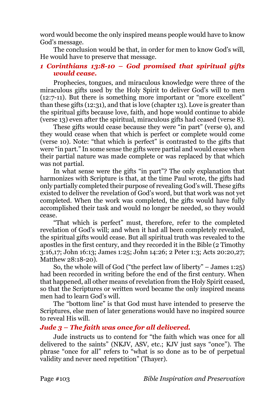word would become the only inspired means people would have to know God's message.

The conclusion would be that, in order for men to know God's will, He would have to preserve that message.

# *1 Corinthians 13:8-10 – God promised that spiritual gifts would cease.*

Prophecies, tongues, and miraculous knowledge were three of the miraculous gifts used by the Holy Spirit to deliver God's will to men (12:7-11). But there is something more important or "more excellent" than these gifts (12:31), and that is love (chapter 13). Love is greater than the spiritual gifts because love, faith, and hope would continue to abide (verse 13) even after the spiritual, miraculous gifts had ceased (verse 8).

These gifts would cease because they were "in part" (verse 9), and they would cease when that which is perfect or complete would come (verse 10). Note: "that which is perfect" is contrasted to the gifts that were "in part." In some sense the gifts were partial and would cease when their partial nature was made complete or was replaced by that which was not partial.

In what sense were the gifts "in part"? The only explanation that harmonizes with Scripture is that, at the time Paul wrote, the gifts had only partially completed their purpose of revealing God's will. These gifts existed to deliver the revelation of God's word, but that work was not yet completed. When the work was completed, the gifts would have fully accomplished their task and would no longer be needed, so they would cease.

"That which is perfect" must, therefore, refer to the completed revelation of God's will; and when it had all been completely revealed, the spiritual gifts would cease. But all spiritual truth was revealed to the apostles in the first century, and they recorded it in the Bible (2 Timothy 3:16,17; John 16:13; James 1:25; John 14:26; 2 Peter 1:3; Acts 20:20,27; Matthew 28:18-20).

So, the whole will of God ("the perfect law of liberty" – James 1:25) had been recorded in writing before the end of the first century. When that happened, all other means of revelation from the Holy Spirit ceased, so that the Scriptures or written word became the only inspired means men had to learn God's will.

The "bottom line" is that God must have intended to preserve the Scriptures, else men of later generations would have no inspired source to reveal His will.

## *Jude 3 – The faith was once for all delivered.*

Jude instructs us to contend for "the faith which was once for all delivered to the saints" (NKJV, ASV, etc.; KJV just says "once"). The phrase "once for all" refers to "what is so done as to be of perpetual validity and never need repetition" (Thayer).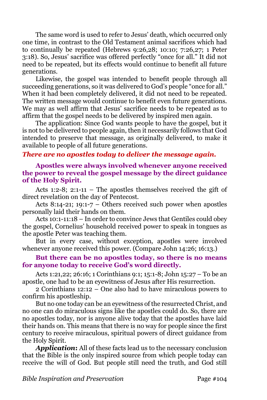The same word is used to refer to Jesus' death, which occurred only one time, in contrast to the Old Testament animal sacrifices which had to continually be repeated (Hebrews 9:26,28; 10:10; 7:26,27; 1 Peter 3:18). So, Jesus' sacrifice was offered perfectly "once for all." It did not need to be repeated, but its effects would continue to benefit all future generations.

Likewise, the gospel was intended to benefit people through all succeeding generations, so it was delivered to God's people "once for all." When it had been completely delivered, it did not need to be repeated. The written message would continue to benefit even future generations. We may as well affirm that Jesus' sacrifice needs to be repeated as to affirm that the gospel needs to be delivered by inspired men again.

The application: Since God wants people to have the gospel, but it is not to be delivered to people again, then it necessarily follows that God intended to preserve that message, as originally delivered, to make it available to people of all future generations.

## *There are no apostles today to deliver the message again.*

**Apostles were always involved whenever anyone received the power to reveal the gospel message by the direct guidance of the Holy Spirit.** 

Acts 1:2-8; 2:1-11 – The apostles themselves received the gift of direct revelation on the day of Pentecost.

Acts 8:14-21; 19:1-7 – Others received such power when apostles personally laid their hands on them.

Acts 10:1-11:18 – In order to convince Jews that Gentiles could obey the gospel, Cornelius' household received power to speak in tongues as the apostle Peter was teaching them.

But in every case, without exception, apostles were involved whenever anyone received this power. (Compare John 14:26; 16:13.)

#### **But there can be no apostles today, so there is no means for anyone today to receive God's word directly.**

Acts 1:21,22; 26:16; 1 Corinthians 9:1; 15:1-8; John 15:27 – To be an apostle, one had to be an eyewitness of Jesus after His resurrection.

2 Corinthians 12:12 – One also had to have miraculous powers to confirm his apostleship.

But no one today can be an eyewitness of the resurrected Christ, and no one can do miraculous signs like the apostles could do. So, there are no apostles today, nor is anyone alive today that the apostles have laid their hands on. This means that there is no way for people since the first century to receive miraculous, spiritual powers of direct guidance from the Holy Spirit.

*Application***:** All of these facts lead us to the necessary conclusion that the Bible is the only inspired source from which people today can receive the will of God. But people still need the truth, and God still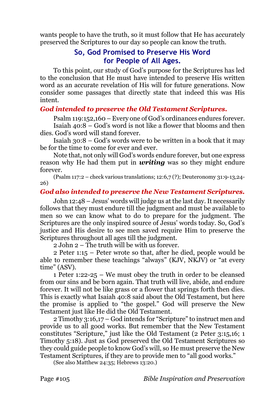wants people to have the truth, so it must follow that He has accurately preserved the Scriptures to our day so people can know the truth.

# **So, God Promised to Preserve His Word for People of All Ages.**

To this point, our study of God's purpose for the Scriptures has led to the conclusion that He must have intended to preserve His written word as an accurate revelation of His will for future generations. Now consider some passages that directly state that indeed this was His intent.

# *God intended to preserve the Old Testament Scriptures.*

Psalm 119:152,160 – Every one of God's ordinances endures forever.

Isaiah 40:8 – God's word is not like a flower that blooms and then dies. God's word will stand forever.

Isaiah 30:8 – God's words were to be written in a book that it may be for the time to come for ever and ever.

Note that, not only will God's words endure forever, but one express reason why He had them put in *writing* was so they might endure forever.

(Psalm 117:2 – check various translations; 12:6,7 (?); Deuteronomy 31:9-13,24- 26)

# *God also intended to preserve the New Testament Scriptures.*

John 12:48 – Jesus' words will judge us at the last day. It necessarily follows that they must endure till the judgment and must be available to men so we can know what to do to prepare for the judgment. The Scriptures are the only inspired source of Jesus' words today. So, God's justice and His desire to see men saved require Him to preserve the Scriptures throughout all ages till the judgment.

2 John 2 – The truth will be with us forever.

2 Peter 1:15 – Peter wrote so that, after he died, people would be able to remember these teachings "always" (KJV, NKJV) or "at every time" (ASV).

1 Peter 1:22-25 – We must obey the truth in order to be cleansed from our sins and be born again. That truth will live, abide, and endure forever. It will not be like grass or a flower that springs forth then dies. This is exactly what Isaiah 40:8 said about the Old Testament, but here the promise is applied to "the gospel." God will preserve the New Testament just like He did the Old Testament.

2 Timothy 3:16,17 – God intends for "Scripture" to instruct men and provide us to all good works. But remember that the New Testament constitutes "Scripture," just like the Old Testament (2 Peter 3:15,16; 1 Timothy 5:18). Just as God preserved the Old Testament Scriptures so they could guide people to know God's will, so He must preserve the New Testament Scriptures, if they are to provide men to "all good works."

(See also Matthew 24:35; Hebrews 13:20.)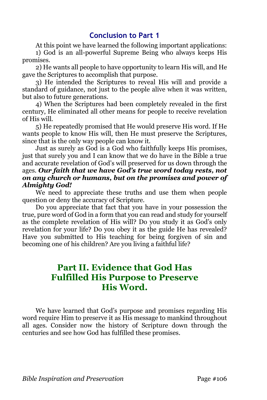# **Conclusion to Part 1**

At this point we have learned the following important applications: 1) God is an all-powerful Supreme Being who always keeps His promises.

2) He wants all people to have opportunity to learn His will, and He gave the Scriptures to accomplish that purpose.

3) He intended the Scriptures to reveal His will and provide a standard of guidance, not just to the people alive when it was written, but also to future generations.

4) When the Scriptures had been completely revealed in the first century, He eliminated all other means for people to receive revelation of His will.

5) He repeatedly promised that He would preserve His word. If He wants people to know His will, then He must preserve the Scriptures, since that is the only way people can know it.

Just as surely as God is a God who faithfully keeps His promises, just that surely you and I can know that we do have in the Bible a true and accurate revelation of God's will preserved for us down through the ages. *Our faith that we have God's true word today rests, not on any church or humans, but on the promises and power of Almighty God!*

We need to appreciate these truths and use them when people question or deny the accuracy of Scripture.

Do you appreciate that fact that you have in your possession the true, pure word of God in a form that you can read and study for yourself as the complete revelation of His will? Do you study it as God's only revelation for your life? Do you obey it as the guide He has revealed? Have you submitted to His teaching for being forgiven of sin and becoming one of his children? Are you living a faithful life?

# **Part II. Evidence that God Has Fulfilled His Purpose to Preserve His Word.**

We have learned that God's purpose and promises regarding His word require Him to preserve it as His message to mankind throughout all ages. Consider now the history of Scripture down through the centuries and see how God has fulfilled these promises.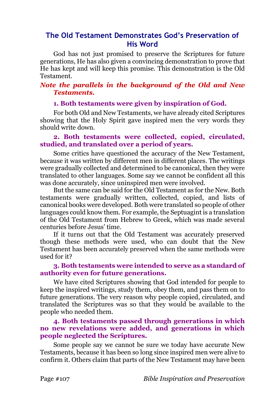# **The Old Testament Demonstrates God's Preservation of His Word**

God has not just promised to preserve the Scriptures for future generations, He has also given a convincing demonstration to prove that He has kept and will keep this promise. This demonstration is the Old Testament.

#### *Note the parallels in the background of the Old and New Testaments.*

#### **1. Both testaments were given by inspiration of God.**

For both Old and New Testaments, we have already cited Scriptures showing that the Holy Spirit gave inspired men the very words they should write down.

#### **2. Both testaments were collected, copied, circulated, studied, and translated over a period of years.**

Some critics have questioned the accuracy of the New Testament, because it was written by different men in different places. The writings were gradually collected and determined to be canonical, then they were translated to other languages. Some say we cannot be confident all this was done accurately, since uninspired men were involved.

But the same can be said for the Old Testament as for the New. Both testaments were gradually written, collected, copied, and lists of canonical books were developed. Both were translated so people of other languages could know them. For example, the Septuagint is a translation of the Old Testament from Hebrew to Greek, which was made several centuries before Jesus' time.

If it turns out that the Old Testament was accurately preserved though these methods were used, who can doubt that the New Testament has been accurately preserved when the same methods were used for it?

#### **3. Both testaments were intended to serve as a standard of authority even for future generations.**

We have cited Scriptures showing that God intended for people to keep the inspired writings, study them, obey them, and pass them on to future generations. The very reason why people copied, circulated, and translated the Scriptures was so that they would be available to the people who needed them.

#### **4. Both testaments passed through generations in which no new revelations were added, and generations in which people neglected the Scriptures.**

Some people say we cannot be sure we today have accurate New Testaments, because it has been so long since inspired men were alive to confirm it. Others claim that parts of the New Testament may have been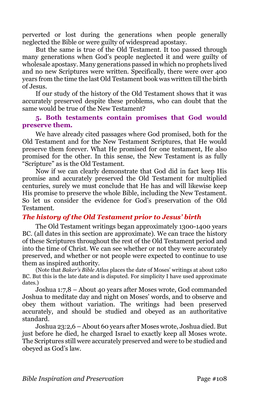perverted or lost during the generations when people generally neglected the Bible or were guilty of widespread apostasy.

But the same is true of the Old Testament. It too passed through many generations when God's people neglected it and were guilty of wholesale apostasy. Many generations passed in which no prophets lived and no new Scriptures were written. Specifically, there were over 400 years from the time the last Old Testament book was written till the birth of Jesus.

If our study of the history of the Old Testament shows that it was accurately preserved despite these problems, who can doubt that the same would be true of the New Testament?

#### **5. Both testaments contain promises that God would preserve them.**

We have already cited passages where God promised, both for the Old Testament and for the New Testament Scriptures, that He would preserve them forever. What He promised for one testament, He also promised for the other. In this sense, the New Testament is as fully "Scripture" as is the Old Testament.

Now if we can clearly demonstrate that God did in fact keep His promise and accurately preserved the Old Testament for multiplied centuries, surely we must conclude that He has and will likewise keep His promise to preserve the whole Bible, including the New Testament. So let us consider the evidence for God's preservation of the Old Testament.

# *The history of the Old Testament prior to Jesus' birth*

The Old Testament writings began approximately 1300-1400 years BC. (all dates in this section are approximate). We can trace the history of these Scriptures throughout the rest of the Old Testament period and into the time of Christ. We can see whether or not they were accurately preserved, and whether or not people were expected to continue to use them as inspired authority.

(Note that *Baker's Bible Atlas* places the date of Moses' writings at about 1280 BC. But this is the late date and is disputed. For simplicity I have used approximate dates.)

Joshua 1:7,8 – About 40 years after Moses wrote, God commanded Joshua to meditate day and night on Moses' words, and to observe and obey them without variation. The writings had been preserved accurately, and should be studied and obeyed as an authoritative standard.

Joshua 23:2,6 – About 60 years after Moses wrote, Joshua died. But just before he died, he charged Israel to exactly keep all Moses wrote. The Scriptures still were accurately preserved and were to be studied and obeyed as God's law.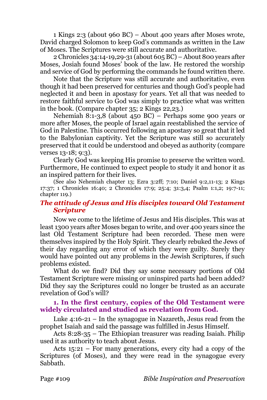1 Kings 2:3 (about 960 BC) – About 400 years after Moses wrote, David charged Solomon to keep God's commands as written in the Law of Moses. The Scriptures were still accurate and authoritative.

2 Chronicles 34:14-19,29-31 (about 605 BC) – About 800 years after Moses, Josiah found Moses' book of the law. He restored the worship and service of God by performing the commands he found written there.

Note that the Scripture was still accurate and authoritative, even though it had been preserved for centuries and though God's people had neglected it and been in apostasy for years. Yet all that was needed to restore faithful service to God was simply to practice what was written in the book. (Compare chapter 35; 2 Kings 22,23.)

Nehemiah 8:1-3,8 (about 450 BC) – Perhaps some 900 years or more after Moses, the people of Israel again reestablished the service of God in Palestine. This occurred following an apostasy so great that it led to the Babylonian captivity. Yet the Scripture was still so accurately preserved that it could be understood and obeyed as authority (compare verses 13-18; 9:3).

Clearly God was keeping His promise to preserve the written word. Furthermore, He continued to expect people to study it and honor it as an inspired pattern for their lives.

(See also Nehemiah chapter 13; Ezra 3:2ff; 7:10; Daniel 9:2,11-13; 2 Kings 17:37; 1 Chronicles 16:40; 2 Chronicles 17:9; 25:4; 31:3,4; Psalm 1:1,2; 19:7-11; chapter 119.)

# *The attitude of Jesus and His disciples toward Old Testament Scripture*

Now we come to the lifetime of Jesus and His disciples. This was at least 1300 years after Moses began to write, and over 400 years since the last Old Testament Scripture had been recorded. These men were themselves inspired by the Holy Spirit. They clearly rebuked the Jews of their day regarding any error of which they were guilty. Surely they would have pointed out any problems in the Jewish Scriptures, if such problems existed.

What do we find? Did they say some necessary portions of Old Testament Scripture were missing or uninspired parts had been added? Did they say the Scriptures could no longer be trusted as an accurate revelation of God's will?

# **1. In the first century, copies of the Old Testament were widely circulated and studied as revelation from God.**

Luke 4:16-21 – In the synagogue in Nazareth, Jesus read from the prophet Isaiah and said the passage was fulfilled in Jesus Himself.

Acts 8:28-35 – The Ethiopian treasurer was reading Isaiah. Philip used it as authority to teach about Jesus.

Acts 15:21 – For many generations, every city had a copy of the Scriptures (of Moses), and they were read in the synagogue every Sabbath.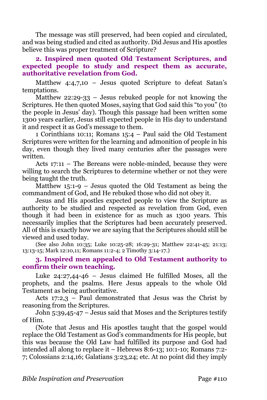The message was still preserved, had been copied and circulated, and was being studied and cited as authority. Did Jesus and His apostles believe this was proper treatment of Scripture?

### **2. Inspired men quoted Old Testament Scriptures, and expected people to study and respect them as accurate, authoritative revelation from God.**

Matthew 4:4,7,10 – Jesus quoted Scripture to defeat Satan's temptations.

Matthew 22:29-33 – Jesus rebuked people for not knowing the Scriptures. He then quoted Moses, saying that God said this "to you" (to the people in Jesus' day). Though this passage had been written some 1300 years earlier, Jesus still expected people in His day to understand it and respect it as God's message to them.

1 Corinthians 10:11; Romans 15:4 – Paul said the Old Testament Scriptures were written for the learning and admonition of people in his day, even though they lived many centuries after the passages were written.

Acts 17:11 – The Bereans were noble-minded, because they were willing to search the Scriptures to determine whether or not they were being taught the truth.

Matthew 15:1-9 – Jesus quoted the Old Testament as being the commandment of God, and He rebuked those who did not obey it.

Jesus and His apostles expected people to view the Scripture as authority to be studied and respected as revelation from God, even though it had been in existence for as much as 1300 years. This necessarily implies that the Scriptures had been accurately preserved. All of this is exactly how we are saying that the Scriptures should still be viewed and used today.

(See also John 10:35; Luke 10:25-28; 16:29-31; Matthew 22:41-45; 21:13; 13:13-15; Mark 12:10,11; Romans 11:2-4; 2 Timothy 3:14-17.)

### **3. Inspired men appealed to Old Testament authority to confirm their own teaching.**

Luke 24:27,44-46 – Jesus claimed He fulfilled Moses, all the prophets, and the psalms. Here Jesus appeals to the whole Old Testament as being authoritative.

Acts  $17:2,3$  – Paul demonstrated that Jesus was the Christ by reasoning from the Scriptures.

John 5:39,45-47 – Jesus said that Moses and the Scriptures testify of Him.

(Note that Jesus and His apostles taught that the gospel would replace the Old Testament as God's commandments for His people, but this was because the Old Law had fulfilled its purpose and God had intended all along to replace it – Hebrews 8:6-13; 10:1-10; Romans 7:2- 7; Colossians 2:14,16; Galatians 3:23,24; etc. At no point did they imply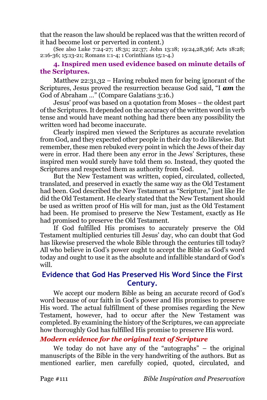that the reason the law should be replaced was that the written record of it had become lost or perverted in content.)

(See also Luke 7:24-27; 18:31; 22:37; John 13:18; 19:24,28,36f; Acts 18:28; 2:16-36; 15:13-21; Romans 1:1-4; 1 Corinthians 15:1-4.)

### **4. Inspired men used evidence based on minute details of the Scriptures.**

Matthew 22:31,32 – Having rebuked men for being ignorant of the Scriptures, Jesus proved the resurrection because God said, "I *am* the God of Abraham …" (Compare Galatians 3:16.)

Jesus' proof was based on a quotation from Moses – the oldest part of the Scriptures. It depended on the accuracy of the written word in verb tense and would have meant nothing had there been any possibility the written word had become inaccurate.

Clearly inspired men viewed the Scriptures as accurate revelation from God, and they expected other people in their day to do likewise. But remember, these men rebuked every point in which the Jews of their day were in error. Had there been any error in the Jews' Scriptures, these inspired men would surely have told them so. Instead, they quoted the Scriptures and respected them as authority from God.

But the New Testament was written, copied, circulated, collected, translated, and preserved in exactly the same way as the Old Testament had been. God described the New Testament as "Scripture," just like He did the Old Testament. He clearly stated that the New Testament should be used as written proof of His will for man, just as the Old Testament had been. He promised to preserve the New Testament, exactly as He had promised to preserve the Old Testament.

If God fulfilled His promises to accurately preserve the Old Testament multiplied centuries till Jesus' day, who can doubt that God has likewise preserved the whole Bible through the centuries till today? All who believe in God's power ought to accept the Bible as God's word today and ought to use it as the absolute and infallible standard of God's will.

# **Evidence that God Has Preserved His Word Since the First Century.**

We accept our modern Bible as being an accurate record of God's word because of our faith in God's power and His promises to preserve His word. The actual fulfillment of these promises regarding the New Testament, however, had to occur after the New Testament was completed. By examining the history of the Scriptures, we can appreciate how thoroughly God has fulfilled His promise to preserve His word.

# *Modern evidence for the original text of Scripture*

We today do not have any of the "autographs" – the original manuscripts of the Bible in the very handwriting of the authors. But as mentioned earlier, men carefully copied, quoted, circulated, and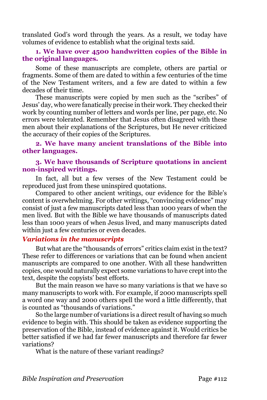translated God's word through the years. As a result, we today have volumes of evidence to establish what the original texts said.

### **1. We have over 4500 handwritten copies of the Bible in the original languages.**

Some of these manuscripts are complete, others are partial or fragments. Some of them are dated to within a few centuries of the time of the New Testament writers, and a few are dated to within a few decades of their time.

These manuscripts were copied by men such as the "scribes" of Jesus' day, who were fanatically precise in their work. They checked their work by counting number of letters and words per line, per page, etc. No errors were tolerated. Remember that Jesus often disagreed with these men about their explanations of the Scriptures, but He never criticized the accuracy of their copies of the Scriptures.

# **2. We have many ancient translations of the Bible into other languages.**

### **3. We have thousands of Scripture quotations in ancient non-inspired writings.**

In fact, all but a few verses of the New Testament could be reproduced just from these uninspired quotations.

Compared to other ancient writings, our evidence for the Bible's content is overwhelming. For other writings, "convincing evidence" may consist of just a few manuscripts dated less than 1000 years of when the men lived. But with the Bible we have thousands of manuscripts dated less than 1000 years of when Jesus lived, and many manuscripts dated within just a few centuries or even decades.

### *Variations in the manuscripts*

But what are the "thousands of errors" critics claim exist in the text? These refer to differences or variations that can be found when ancient manuscripts are compared to one another. With all these handwritten copies, one would naturally expect some variations to have crept into the text, despite the copyists' best efforts.

But the main reason we have so many variations is that we have so many manuscripts to work with. For example, if 2000 manuscripts spell a word one way and 2000 others spell the word a little differently, that is counted as "thousands of variations."

So the large number of variations is a direct result of having so much evidence to begin with. This should be taken as evidence supporting the preservation of the Bible, instead of evidence against it. Would critics be better satisfied if we had far fewer manuscripts and therefore far fewer variations?

What is the nature of these variant readings?

*Bible Inspiration and Preservation* Page #112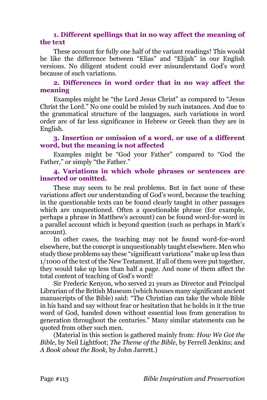### **1. Different spellings that in no way affect the meaning of the text**

These account for fully one half of the variant readings! This would be like the difference between "Elias" and "Elijah" in our English versions. No diligent student could ever misunderstand God's word because of such variations.

### **2. Differences in word order that in no way affect the meaning**

Examples might be "the Lord Jesus Christ" as compared to "Jesus Christ the Lord." No one could be misled by such instances. And due to the grammatical structure of the languages, such variations in word order are of far less significance in Hebrew or Greek than they are in English.

# **3. Insertion or omission of a word, or use of a different word, but the meaning is not affected**

Examples might be "God your Father" compared to "God the Father," or simply "the Father."

# **4. Variations in which whole phrases or sentences are inserted or omitted.**

These may seem to be real problems. But in fact none of these variations affect our understanding of God's word, because the teaching in the questionable texts can be found clearly taught in other passages which are unquestioned. Often a questionable phrase (for example, perhaps a phrase in Matthew's account) can be found word-for-word in a parallel account which is beyond question (such as perhaps in Mark's account).

In other cases, the teaching may not be found word-for-word elsewhere, but the concept is unquestionably taught elsewhere. Men who study these problems say these "significant variations" make up less than 1/1000 of the text of the New Testament. If all of them were put together, they would take up less than half a page. And none of them affect the total content of teaching of God's word!

Sir Frederic Kenyon, who served 21 years as Director and Principal Librarian of the British Museum (which houses many significant ancient manuscripts of the Bible) said: "The Christian can take the whole Bible in his hand and say without fear or hesitation that he holds in it the true word of God, handed down without essential loss from generation to generation throughout the centuries." Many similar statements can be quoted from other such men.

(Material in this section is gathered mainly from: *How We Got the Bible*, by Neil Lightfoot; *The Theme of the Bible*, by Ferrell Jenkins; and *A Book about the Book*, by John Jarrett.)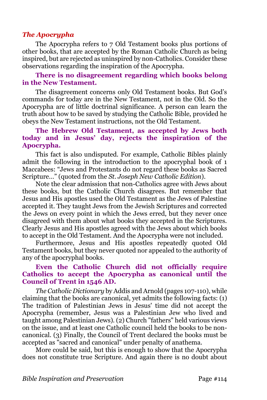# *The Apocrypha*

The Apocrypha refers to 7 Old Testament books plus portions of other books, that are accepted by the Roman Catholic Church as being inspired, but are rejected as uninspired by non-Catholics. Consider these observations regarding the inspiration of the Apocrypha.

### **There is no disagreement regarding which books belong in the New Testament.**

The disagreement concerns only Old Testament books. But God's commands for today are in the New Testament, not in the Old. So the Apocrypha are of little doctrinal significance. A person can learn the truth about how to be saved by studying the Catholic Bible, provided he obeys the New Testament instructions, not the Old Testament.

# **The Hebrew Old Testament, as accepted by Jews both today and in Jesus' day, rejects the inspiration of the Apocrypha.**

This fact is also undisputed. For example, Catholic Bibles plainly admit the following in the introduction to the apocryphal book of 1 Maccabees: "Jews and Protestants do not regard these books as Sacred Scripture…" (quoted from the *St. Joseph New Catholic Edition*).

Note the clear admission that non-Catholics agree with Jews about these books, but the Catholic Church disagrees. But remember that Jesus and His apostles used the Old Testament as the Jews of Palestine accepted it. They taught Jews from the Jewish Scriptures and corrected the Jews on every point in which the Jews erred, but they never once disagreed with them about what books they accepted in the Scriptures. Clearly Jesus and His apostles agreed with the Jews about which books to accept in the Old Testament. And the Apocrypha were not included.

Furthermore, Jesus and His apostles repeatedly quoted Old Testament books, but they never quoted nor appealed to the authority of any of the apocryphal books.

# **Even the Catholic Church did not officially require Catholics to accept the Apocrypha as canonical until the Council of Trent in 1546 AD.**

*The Catholic Dictionary* by Addis and Arnold (pages 107-110), while claiming that the books are canonical, yet admits the following facts: (1) The tradition of Palestinian Jews in Jesus' time did not accept the Apocrypha (remember, Jesus was a Palestinian Jew who lived and taught among Palestinian Jews). (2) Church "fathers" held various views on the issue, and at least one Catholic council held the books to be noncanonical. (3) Finally, the Council of Trent declared the books must be accepted as "sacred and canonical" under penalty of anathema.

More could be said, but this is enough to show that the Apocrypha does not constitute true Scripture. And again there is no doubt about

*Bible Inspiration and Preservation* Page #114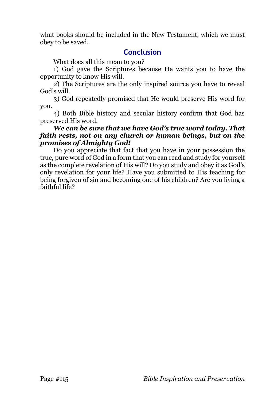what books should be included in the New Testament, which we must obey to be saved.

# **Conclusion**

What does all this mean to you?

1) God gave the Scriptures because He wants you to have the opportunity to know His will.

2) The Scriptures are the only inspired source you have to reveal God's will.

3) God repeatedly promised that He would preserve His word for you.

4) Both Bible history and secular history confirm that God has preserved His word.

### *We can be sure that we have God's true word today. That faith rests, not on any church or human beings, but on the promises of Almighty God!*

Do you appreciate that fact that you have in your possession the true, pure word of God in a form that you can read and study for yourself as the complete revelation of His will? Do you study and obey it as God's only revelation for your life? Have you submitted to His teaching for being forgiven of sin and becoming one of his children? Are you living a faithful life?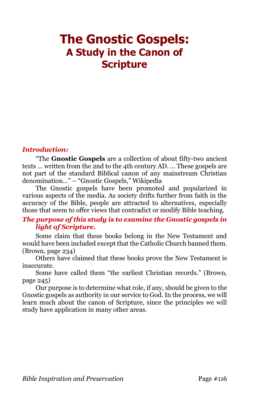# **The Gnostic Gospels: A Study in the Canon of Scripture**

# *Introduction:*

"The **Gnostic Gospels** are a collection of about fifty-two ancient texts … written from the 2nd to the 4th century AD. … These gospels are not part of the standard Biblical canon of any mainstream Christian denomination…" – "Gnostic Gospels," Wikipedia

The Gnostic gospels have been promoted and popularized in various aspects of the media. As society drifts further from faith in the accuracy of the Bible, people are attracted to alternatives, especially those that seem to offer views that contradict or modify Bible teaching.

# *The purpose of this study is to examine the Gnostic gospels in light of Scripture.*

Some claim that these books belong in the New Testament and would have been included except that the Catholic Church banned them. (Brown, page 234)

Others have claimed that these books prove the New Testament is inaccurate.

Some have called them "the earliest Christian records." (Brown, page 245)

Our purpose is to determine what role, if any, should be given to the Gnostic gospels as authority in our service to God. In the process, we will learn much about the canon of Scripture, since the principles we will study have application in many other areas.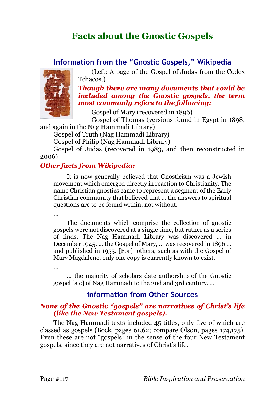# **Facts about the Gnostic Gospels**

# **Information from the "Gnostic Gospels," Wikipedia**



(Left: A page of the Gospel of Judas from the Codex Tchacos.)

*Though there are many documents that could be included among the Gnostic gospels, the term most commonly refers to the following:*

Gospel of Mary (recovered in 1896)

Gospel of Thomas (versions found in Egypt in 1898,

and again in the Nag Hammadi Library)

Gospel of Truth (Nag Hammadi Library)

Gospel of Philip (Nag Hammadi Library)

Gospel of Judas (recovered in 1983, and then reconstructed in 2006)

# *Other facts from Wikipedia:*

It is now generally believed that Gnosticism was a Jewish movement which emerged directly in reaction to Christianity. The name Christian gnostics came to represent a segment of the Early Christian community that believed that … the answers to spiritual questions are to be found within, not without.

…

The documents which comprise the collection of gnostic gospels were not discovered at a single time, but rather as a series of finds. The Nag Hammadi Library was discovered … in December 1945. … the Gospel of Mary, … was recovered in 1896 … and published in 1955. [For] others, such as with the Gospel of Mary Magdalene, only one copy is currently known to exist.

…

… the majority of scholars date authorship of the Gnostic gospel [sic] of Nag Hammadi to the 2nd and 3rd century. …

# **information from Other Sources**

# *None of the Gnostic "gospels" are narratives of Christ's life (like the New Testament gospels).*

The Nag Hammadi texts included 45 titles, only five of which are classed as gospels (Bock, pages 61,62; compare Olson, pages 174,175). Even these are not "gospels" in the sense of the four New Testament gospels, since they are not narratives of Christ's life.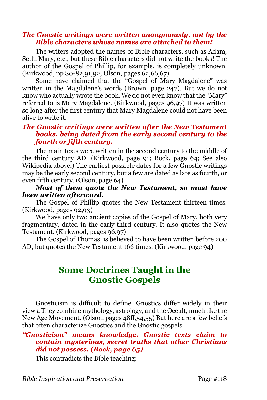### *The Gnostic writings were written anonymously, not by the Bible characters whose names are attached to them!*

The writers adopted the names of Bible characters, such as Adam, Seth, Mary, etc., but these Bible characters did not write the books! The author of the Gospel of Phillip, for example, is completely unknown. (Kirkwood, pp 80-82,91,92; Olson, pages 62,66,67)

Some have claimed that the "Gospel of Mary Magdalene" was written in the Magdalene's words (Brown, page 247). But we do not know who actually wrote the book. We do not even know that the "Mary" referred to is Mary Magdalene. (Kirkwood, pages 96,97) It was written so long after the first century that Mary Magdalene could not have been alive to write it.

# *The Gnostic writings were written after the New Testament books, being dated from the early second century to the fourth or fifth century.*

The main texts were written in the second century to the middle of the third century AD. (Kirkwood, page 91; Bock, page 64; See also Wikipedia above.) The earliest possible dates for a few Gnostic writings may be the early second century, but a few are dated as late as fourth, or even fifth century. (Olson, page 64)

# *Most of them quote the New Testament, so must have been written afterward.*

The Gospel of Phillip quotes the New Testament thirteen times. (Kirkwood, pages 92,93)

We have only two ancient copies of the Gospel of Mary, both very fragmentary, dated in the early third century. It also quotes the New Testament. (Kirkwood, pages 96.97)

The Gospel of Thomas, is believed to have been written before 200 AD, but quotes the New Testament 166 times. (Kirkwood, page 94)

# **Some Doctrines Taught in the Gnostic Gospels**

Gnosticism is difficult to define. Gnostics differ widely in their views. They combine mythology, astrology, and the Occult, much like the New Age Movement. (Olson, pages 48ff,54,55) But here are a few beliefs that often characterize Gnostics and the Gnostic gospels.

### *"Gnosticism" means knowledge. Gnostic texts claim to contain mysterious, secret truths that other Christians did not possess. (Bock, page 65)*

This contradicts the Bible teaching: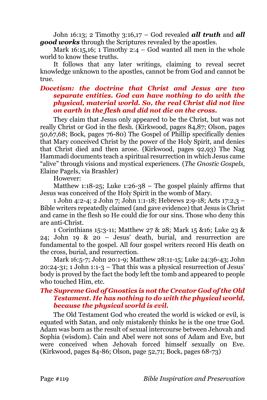John 16:13; 2 Timothy 3:16,17 – God revealed *all truth* and *all good works* through the Scriptures revealed by the apostles.

Mark 16:15,16; 1 Timothy 2:4 – God wanted all men in the whole world to know these truths.

It follows that any later writings, claiming to reveal secret knowledge unknown to the apostles, cannot be from God and cannot be true.

### *Docetism: the doctrine that Christ and Jesus are two separate entities. God can have nothing to do with the physical, material world. So, the real Christ did not live on earth in the flesh and did not die on the cross.*

They claim that Jesus only appeared to be the Christ, but was not really Christ or God in the flesh. (Kirkwood, pages 84,87; Olson, pages 50,67,68; Bock, pages 76-80) The Gospel of Phillip specifically denies that Mary conceived Christ by the power of the Holy Spirit, and denies that Christ died and then arose. (Kirkwood, pages 92,93) The Nag Hammadi documents teach a spiritual resurrection in which Jesus came "alive" through visions and mystical experiences. (*The Gnostic Gospels*, Elaine Pagels, via Brashler)

However:

Matthew 1:18-25; Luke 1:26-38 – The gospel plainly affirms that Jesus was conceived of the Holy Spirit in the womb of Mary.

1 John 4:2-4; 2 John 7; John 1:1-18; Hebrews 2:9-18; Acts 17:2,3 – Bible writers repeatedly claimed (and gave evidence) that Jesus is Christ and came in the flesh so He could die for our sins. Those who deny this are anti-Christ.

1 Corinthians 15:3-11; Matthew 27 & 28; Mark 15 &16; Luke 23 & 24; John 19 & 20 – Jesus' death, burial, and resurrection are fundamental to the gospel. All four gospel writers record His death on the cross, burial, and resurrection.

Mark 16:5-7; John 20:1-9; Matthew 28:11-15; Luke 24:36-43; John 20:24-31; 1 John 1:1-3 – That this was a physical resurrection of Jesus' body is proved by the fact the body left the tomb and appeared to people who touched Him, etc.

### *The Supreme God of Gnostics is not the Creator God of the Old Testament. He has nothing to do with the physical world, because the physical world is evil.*

The Old Testament God who created the world is wicked or evil, is equated with Satan, and only mistakenly thinks he is the one true God. Adam was born as the result of sexual intercourse between Jehovah and Sophia (wisdom). Cain and Abel were not sons of Adam and Eve, but were conceived when Jehovah forced himself sexually on Eve. (Kirkwood, pages 84-86; Olson, page 52,71; Bock, pages 68-73)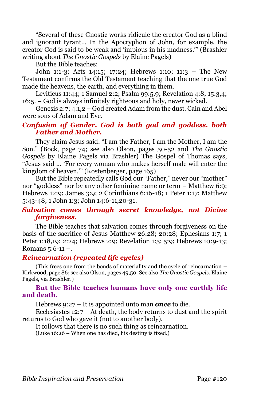"Several of these Gnostic works ridicule the creator God as a blind and ignorant tyrant… In the Apocryphon of John, for example, the creator God is said to be weak and 'impious in his madness.'" (Brashler writing about *The Gnostic Gospels* by Elaine Pagels)

But the Bible teaches:

John 1:1-3; Acts 14:15; 17:24; Hebrews 1:10; 11:3 – The New Testament confirms the Old Testament teaching that the one true God made the heavens, the earth, and everything in them.

Leviticus 11:44; 1 Samuel 2:2; Psalm 99:5,9; Revelation 4:8; 15:3,4; 16:5. – God is always infinitely righteous and holy, never wicked.

Genesis 2:7; 4:1,2 – God created Adam from the dust. Cain and Abel were sons of Adam and Eve.

# *Confusion of Gender. God is both god and goddess, both Father and Mother.*

They claim Jesus said: "I am the Father, I am the Mother, I am the Son." (Bock, page 74; see also Olson, pages 50-52 and *The Gnostic Gospels* by Elaine Pagels via Brashler) The Gospel of Thomas says, "Jesus said … 'For every woman who makes herself male will enter the kingdom of heaven.'" (Kostenberger, page 165)

But the Bible repeatedly calls God our "Father," never our "mother" nor "goddess" nor by any other feminine name or term – Matthew 6:9; Hebrews 12:9; James 3:9; 2 Corinthians 6:16-18; 1 Peter 1:17; Matthew 5:43-48; 1 John 1:3; John 14:6-11,20-31.

### *Salvation comes through secret knowledge, not Divine forgiveness.*

The Bible teaches that salvation comes through forgiveness on the basis of the sacrifice of Jesus Matthew 26:28; 20:28; Ephesians 1:7; 1 Peter 1:18,19; 2:24; Hebrews 2:9; Revelation 1:5; 5:9; Hebrews 10:9-13; Romans  $5:6-11 -$ .

### *Reincarnation (repeated life cycles)*

(This frees one from the bonds of materiality and the cycle of reincarnation – Kirkwood, page 86; see also Olson, pages 49,50. See also *The Gnostic Gospels*, Elaine Pagels, via Brashler.)

### **But the Bible teaches humans have only one earthly life and death.**

Hebrews 9:27 – It is appointed unto man *once* to die.

Ecclesiastes 12:7 – At death, the body returns to dust and the spirit returns to God who gave it (not to another body).

It follows that there is no such thing as reincarnation.

(Luke 16:26 – When one has died, his destiny is fixed.)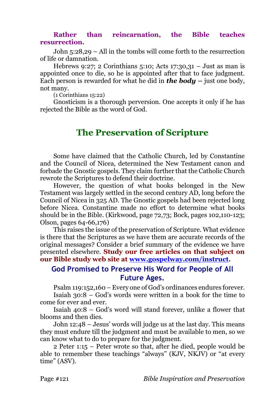### **Rather than reincarnation, the Bible teaches resurrection.**

John 5:28,29 – All in the tombs will come forth to the resurrection of life or damnation.

Hebrews 9:27; 2 Corinthians 5:10; Acts 17:30,31 – Just as man is appointed once to die, so he is appointed after that to face judgment. Each person is rewarded for what he did in *the body –* just one body, not many.

(1 Corinthians 15:22)

Gnosticism is a thorough perversion. One accepts it only if he has rejected the Bible as the word of God.

# **The Preservation of Scripture**

Some have claimed that the Catholic Church, led by Constantine and the Council of Nicea, determined the New Testament canon and forbade the Gnostic gospels. They claim further that the Catholic Church rewrote the Scriptures to defend their doctrine.

However, the question of what books belonged in the New Testament was largely settled in the second century AD, long before the Council of Nicea in 325 AD. The Gnostic gospels had been rejected long before Nicea. Constantine made no effort to determine what books should be in the Bible. (Kirkwood, page 72,73; Bock, pages 102,110-123; Olson, pages 64-66,176)

This raises the issue of the preservation of Scripture. What evidence is there that the Scriptures as we have them are accurate records of the original messages? Consider a brief summary of the evidence we have presented elsewhere. **Study our free articles on that subject on our Bible study web site at [www.gospelway.com/instruct.](http://www.gospelway.com/instruct)**

# **God Promised to Preserve His Word for People of All Future Ages.**

Psalm 119:152,160 – Every one of God's ordinances endures forever. Isaiah 30:8 – God's words were written in a book for the time to

come for ever and ever.

Isaiah 40:8 – God's word will stand forever, unlike a flower that blooms and then dies.

John 12:48 – Jesus' words will judge us at the last day. This means they must endure till the judgment and must be available to men, so we can know what to do to prepare for the judgment.

2 Peter 1:15 – Peter wrote so that, after he died, people would be able to remember these teachings "always" (KJV, NKJV) or "at every time" (ASV).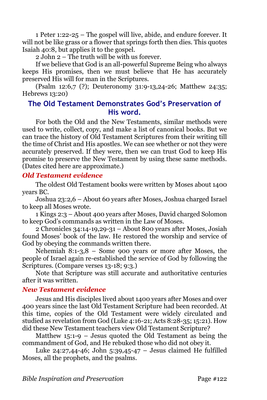1 Peter 1:22-25 – The gospel will live, abide, and endure forever. It will not be like grass or a flower that springs forth then dies. This quotes Isaiah 40:8, but applies it to the gospel.

2 John 2 – The truth will be with us forever.

If we believe that God is an all-powerful Supreme Being who always keeps His promises, then we must believe that He has accurately preserved His will for man in the Scriptures.

(Psalm 12:6,7 (?); Deuteronomy 31:9-13,24-26; Matthew 24:35; Hebrews 13:20)

# **The Old Testament Demonstrates God's Preservation of His word.**

For both the Old and the New Testaments, similar methods were used to write, collect, copy, and make a list of canonical books. But we can trace the history of Old Testament Scriptures from their writing till the time of Christ and His apostles. We can see whether or not they were accurately preserved. If they were, then we can trust God to keep His promise to preserve the New Testament by using these same methods. (Dates cited here are approximate.)

# *Old Testament evidence*

The oldest Old Testament books were written by Moses about 1400 years BC.

Joshua 23:2,6 – About 60 years after Moses, Joshua charged Israel to keep all Moses wrote.

1 Kings 2:3 – About 400 years after Moses, David charged Solomon to keep God's commands as written in the Law of Moses.

2 Chronicles 34:14-19,29-31 – About 800 years after Moses, Josiah found Moses' book of the law. He restored the worship and service of God by obeying the commands written there.

Nehemiah 8:1-3,8 – Some 900 years or more after Moses, the people of Israel again re-established the service of God by following the Scriptures. (Compare verses 13-18; 9:3.)

Note that Scripture was still accurate and authoritative centuries after it was written.

# *New Testament evidence*

Jesus and His disciples lived about 1400 years after Moses and over 400 years since the last Old Testament Scripture had been recorded. At this time, copies of the Old Testament were widely circulated and studied as revelation from God (Luke 4:16-21; Acts 8:28-35; 15:21). How did these New Testament teachers view Old Testament Scripture?

Matthew 15:1-9 – Jesus quoted the Old Testament as being the commandment of God, and He rebuked those who did not obey it.

Luke 24:27,44-46; John 5:39,45-47 – Jesus claimed He fulfilled Moses, all the prophets, and the psalms.

*Bible Inspiration and Preservation* Page #122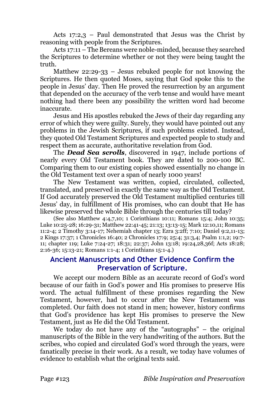Acts 17:2,3 – Paul demonstrated that Jesus was the Christ by reasoning with people from the Scriptures.

Acts 17:11 – The Bereans were noble-minded, because they searched the Scriptures to determine whether or not they were being taught the truth.

Matthew 22:29-33 – Jesus rebuked people for not knowing the Scriptures. He then quoted Moses, saying that God spoke this to the people in Jesus' day. Then He proved the resurrection by an argument that depended on the accuracy of the verb tense and would have meant nothing had there been any possibility the written word had become inaccurate.

Jesus and His apostles rebuked the Jews of their day regarding any error of which they were guilty. Surely, they would have pointed out any problems in the Jewish Scriptures, if such problems existed. Instead, they quoted Old Testament Scriptures and expected people to study and respect them as accurate, authoritative revelation from God.

The *Dead Sea scrolls*, discovered in 1947, include portions of nearly every Old Testament book. They are dated to 200-100 BC. Comparing them to our existing copies showed essentially no change in the Old Testament text over a span of nearly 1000 years!

The New Testament was written, copied, circulated, collected, translated, and preserved in exactly the same way as the Old Testament. If God accurately preserved the Old Testament multiplied centuries till Jesus' day, in fulfillment of His promises, who can doubt that He has likewise preserved the whole Bible through the centuries till today?

(See also Matthew 4:4,7,10; 1 Corinthians 10:11; Romans 15:4; John 10:35; Luke 10:25-28; 16:29-31; Matthew 22:41-45; 21:13; 13:13-15; Mark 12:10,11; Romans 11:2-4; 2 Timothy 3:14-17; Nehemiah chapter 13; Ezra 3:2ff; 7:10; Daniel 9:2,11-13; 2 Kings 17:37; 1 Chronicles 16:40; 2 Chronicles 17:9; 25:4; 31:3,4; Psalm 1:1,2; 19:7- 11; chapter 119; Luke 7:24-27; 18:31; 22:37; John 13:18; 19:24,28,36f; Acts 18:28; 2:16-36; 15:13-21; Romans 1:1-4; 1 Corinthians 15:1-4.)

# **Ancient Manuscripts and Other Evidence Confirm the Preservation of Scripture.**

We accept our modern Bible as an accurate record of God's word because of our faith in God's power and His promises to preserve His word. The actual fulfillment of these promises regarding the New Testament, however, had to occur after the New Testament was completed. Our faith does not stand in men; however, history confirms that God's providence has kept His promises to preserve the New Testament, just as He did the Old Testament.

We today do not have any of the "autographs" – the original manuscripts of the Bible in the very handwriting of the authors. But the scribes, who copied and circulated God's word through the years, were fanatically precise in their work. As a result, we today have volumes of evidence to establish what the original texts said.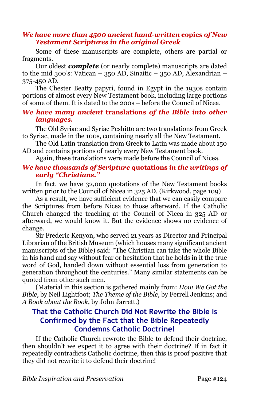### *We have more than 4500 ancient hand-written* **copies** *of New Testament Scriptures in the original Greek*

Some of these manuscripts are complete, others are partial or fragments.

Our oldest *complete* (or nearly complete) manuscripts are dated to the mid 300's: Vatican – 350 AD, Sinaitic – 350 AD, Alexandrian – 375-450 AD.

The Chester Beatty papyri, found in Egypt in the 1930s contain portions of almost every New Testament book, including large portions of some of them. It is dated to the 200s – before the Council of Nicea.

### *We have many ancient* **translations** *of the Bible into other languages.*

The Old Syriac and Syriac Peshitto are two translations from Greek to Syriac, made in the 100s, containing nearly all the New Testament.

The Old Latin translation from Greek to Latin was made about 150 AD and contains portions of nearly every New Testament book.

Again, these translations were made before the Council of Nicea.

# *We have thousands of Scripture* **quotations** *in the writings of early "Christians."*

In fact, we have 32,000 quotations of the New Testament books written prior to the Council of Nicea in 325 AD. (Kirkwood, page 109)

As a result, we have sufficient evidence that we can easily compare the Scriptures from before Nicea to those afterward. If the Catholic Church changed the teaching at the Council of Nicea in 325 AD or afterward, we would know it. But the evidence shows no evidence of change.

Sir Frederic Kenyon, who served 21 years as Director and Principal Librarian of the British Museum (which houses many significant ancient manuscripts of the Bible) said: "The Christian can take the whole Bible in his hand and say without fear or hesitation that he holds in it the true word of God, handed down without essential loss from generation to generation throughout the centuries." Many similar statements can be quoted from other such men.

(Material in this section is gathered mainly from: *How We Got the Bible*, by Neil Lightfoot; *The Theme of the Bible*, by Ferrell Jenkins; and *A Book about the Book*, by John Jarrett.)

# **That the Catholic Church Did Not Rewrite the Bible Is Confirmed by the Fact that the Bible Repeatedly Condemns Catholic Doctrine!**

If the Catholic Church rewrote the Bible to defend their doctrine, then shouldn't we expect it to agree with their doctrine? If in fact it repeatedly contradicts Catholic doctrine, then this is proof positive that they did not rewrite it to defend their doctrine!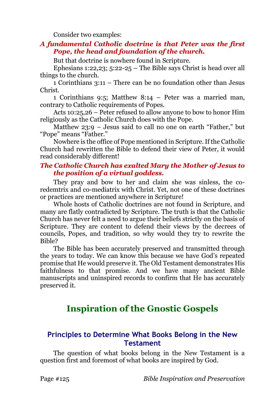Consider two examples:

### *A fundamental Catholic doctrine is that Peter was the first Pope, the head and foundation of the church.*

But that doctrine is nowhere found in Scripture.

Ephesians 1:22,23; 5:22-25 – The Bible says Christ is head over all things to the church.

1 Corinthians 3:11 – There can be no foundation other than Jesus Christ.

1 Corinthians 9:5; Matthew 8:14 – Peter was a married man, contrary to Catholic requirements of Popes.

Acts 10:25,26 – Peter refused to allow anyone to bow to honor Him religiously as the Catholic Church does with the Pope.

Matthew 23:9 – Jesus said to call no one on earth "Father," but "Pope" means "Father."

Nowhere is the office of Pope mentioned in Scripture. If the Catholic Church had rewritten the Bible to defend their view of Peter, it would read considerably different!

# *The Catholic Church has exalted Mary the Mother of Jesus to the position of a virtual goddess.*

They pray and bow to her and claim she was sinless, the coredemtrix and co-mediatrix with Christ. Yet, not one of these doctrines or practices are mentioned anywhere in Scripture!

Whole hosts of Catholic doctrines are not found in Scripture, and many are flatly contradicted by Scripture. The truth is that the Catholic Church has never felt a need to argue their beliefs strictly on the basis of Scripture. They are content to defend their views by the decrees of councils, Popes, and tradition, so why would they try to rewrite the Bible?

The Bible has been accurately preserved and transmitted through the years to today. We can know this because we have God's repeated promise that He would preserve it. The Old Testament demonstrates His faithfulness to that promise. And we have many ancient Bible manuscripts and uninspired records to confirm that He has accurately preserved it.

# **Inspiration of the Gnostic Gospels**

# **Principles to Determine What Books Belong in the New Testament**

The question of what books belong in the New Testament is a question first and foremost of what books are inspired by God.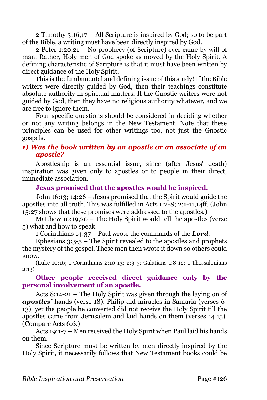2 Timothy 3:16,17 – All Scripture is inspired by God; so to be part of the Bible, a writing must have been directly inspired by God.

2 Peter 1:20,21 – No prophecy (of Scripture) ever came by will of man. Rather, Holy men of God spoke as moved by the Holy Spirit. A defining characteristic of Scripture is that it must have been written by direct guidance of the Holy Spirit.

This is the fundamental and defining issue of this study! If the Bible writers were directly guided by God, then their teachings constitute absolute authority in spiritual matters. If the Gnostic writers were not guided by God, then they have no religious authority whatever, and we are free to ignore them.

Four specific questions should be considered in deciding whether or not any writing belongs in the New Testament. Note that these principles can be used for other writings too, not just the Gnostic gospels.

# *1) Was the book written by an apostle or an associate of an apostle?*

Apostleship is an essential issue, since (after Jesus' death) inspiration was given only to apostles or to people in their direct, immediate association.

# **Jesus promised that the apostles would be inspired.**

John 16:13; 14:26 – Jesus promised that the Spirit would guide the apostles into all truth. This was fulfilled in Acts 1:2-8; 2:1-11,14ff. (John 15:27 shows that these promises were addressed to the apostles.)

Matthew 10:19,20 – The Holy Spirit would tell the apostles (verse 5) what and how to speak.

1 Corinthians 14:37 —Paul wrote the commands of the *Lord*.

Ephesians 3:3-5 – The Spirit revealed to the apostles and prophets the mystery of the gospel. These men then wrote it down so others could know.

(Luke 10:16; 1 Corinthians 2:10-13; 2:3-5; Galatians 1:8-12; 1 Thessalonians 2:13)

### **Other people received direct guidance only by the personal involvement of an apostle.**

Acts 8:14-21 – The Holy Spirit was given through the laying on of *apostles'* hands (verse 18). Philip did miracles in Samaria (verses 6- 13), yet the people he converted did not receive the Holy Spirit till the apostles came from Jerusalem and laid hands on them (verses 14,15). (Compare Acts 6:6.)

Acts 19:1-7 – Men received the Holy Spirit when Paul laid his hands on them.

Since Scripture must be written by men directly inspired by the Holy Spirit, it necessarily follows that New Testament books could be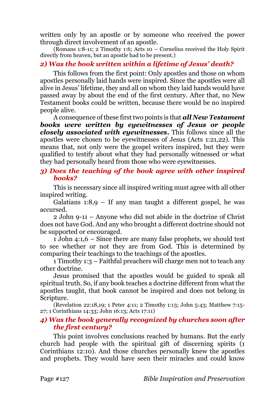written only by an apostle or by someone who received the power through direct involvement of an apostle.

(Romans 1:8-11; 2 Timothy 1:6; Acts 10 – Cornelius received the Holy Spirit directly from heaven, but an apostle had to be present.)

# *2) Was the book written within a lifetime of Jesus' death?*

This follows from the first point: Only apostles and those on whom apostles personally laid hands were inspired. Since the apostles were all alive in Jesus' lifetime, they and all on whom they laid hands would have passed away by about the end of the first century. After that, no New Testament books could be written, because there would be no inspired people alive.

A consequence of these first two points is that *all New Testament books were written by eyewitnesses of Jesus or people closely associated with eyewitnesses***.** This follows since all the apostles were chosen to be eyewitnesses of Jesus (Acts 1:21,22). This means that, not only were the gospel writers inspired, but they were qualified to testify about what they had personally witnessed or what they had personally heard from those who were eyewitnesses.

# *3) Does the teaching of the book agree with other inspired books?*

This is necessary since all inspired writing must agree with all other inspired writing.

Galatians  $1:8,9$  – If any man taught a different gospel, he was accursed.

2 John 9-11 – Anyone who did not abide in the doctrine of Christ does not have God. And any who brought a different doctrine should not be supported or encouraged.

1 John 4:1,6 – Since there are many false prophets, we should test to see whether or not they are from God. This is determined by comparing their teachings to the teachings of the apostles.

1 Timothy 1:3 – Faithful preachers will charge men not to teach any other doctrine.

Jesus promised that the apostles would be guided to speak all spiritual truth. So, if any book teaches a doctrine different from what the apostles taught, that book cannot be inspired and does not belong in Scripture.

(Revelation 22:18,19; 1 Peter 4:11; 2 Timothy 1:13; John 5:43; Matthew 7:15- 27; 1 Corinthians 14:33; John 16:13; Acts 17:11)

### *4) Was the book generally recognized by churches soon after the first century?*

This point involves conclusions reached by humans. But the early church had people with the spiritual gift of discerning spirits (1 Corinthians 12:10). And those churches personally knew the apostles and prophets. They would have seen their miracles and could know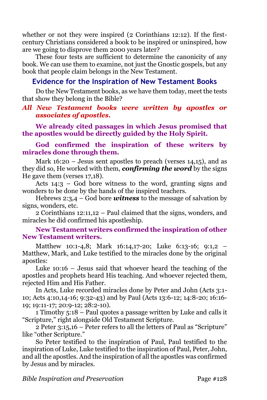whether or not they were inspired (2 Corinthians 12:12). If the firstcentury Christians considered a book to be inspired or uninspired, how are we going to disprove them 2000 years later?

These four tests are sufficient to determine the canonicity of any book. We can use them to examine, not just the Gnostic gospels, but any book that people claim belongs in the New Testament.

# **Evidence for the Inspiration of New Testament Books**

Do the New Testament books, as we have them today, meet the tests that show they belong in the Bible?

### *All New Testament books were written by apostles or associates of apostles.*

**We already cited passages in which Jesus promised that the apostles would be directly guided by the Holy Spirit.** 

**God confirmed the inspiration of these writers by miracles done through them.**

Mark 16:20 – Jesus sent apostles to preach (verses 14,15), and as they did so, He worked with them, *confirming the word* by the signs He gave them (verses 17,18).

Acts 14:3 – God bore witness to the word, granting signs and wonders to be done by the hands of the inspired teachers.

Hebrews 2:3,4 – God bore *witness* to the message of salvation by signs, wonders, etc.

2 Corinthians 12:11,12 – Paul claimed that the signs, wonders, and miracles he did confirmed his apostleship.

### **New Testament writers confirmed the inspiration of other New Testament writers.**

Matthew 10:1-4,8; Mark 16:14,17-20; Luke 6:13-16; 9:1,2 – Matthew, Mark, and Luke testified to the miracles done by the original apostles:

Luke 10:16 – Jesus said that whoever heard the teaching of the apostles and prophets heard His teaching. And whoever rejected them, rejected Him and His Father.

In Acts, Luke recorded miracles done by Peter and John (Acts 3:1- 10; Acts 4:10,14-16; 9:32-43) and by Paul (Acts 13:6-12; 14:8-20; 16:16- 19; 19:11-17; 20:9-12; 28:2-10).

1 Timothy 5:18 – Paul quotes a passage written by Luke and calls it "Scripture," right alongside Old Testament Scripture.

2 Peter 3:15,16 – Peter refers to all the letters of Paul as "Scripture" like "other Scripture."

So Peter testified to the inspiration of Paul, Paul testified to the inspiration of Luke, Luke testified to the inspiration of Paul, Peter, John, and all the apostles. And the inspiration of all the apostles was confirmed by Jesus and by miracles.

*Bible Inspiration and Preservation* Page #128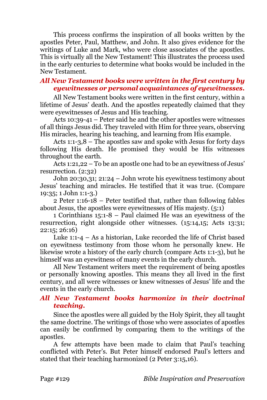This process confirms the inspiration of all books written by the apostles Peter, Paul, Matthew, and John. It also gives evidence for the writings of Luke and Mark, who were close associates of the apostles. This is virtually all the New Testament! This illustrates the process used in the early centuries to determine what books would be included in the New Testament.

### *All New Testament books were written in the first century by eyewitnesses or personal acquaintances of eyewitnesses.*

All New Testament books were written in the first century, within a lifetime of Jesus' death. And the apostles repeatedly claimed that they were eyewitnesses of Jesus and His teaching.

Acts 10:39-41 – Peter said he and the other apostles were witnesses of all things Jesus did. They traveled with Him for three years, observing His miracles, hearing his teaching, and learning from His example.

Acts 1:1-3,8 – The apostles saw and spoke with Jesus for forty days following His death. He promised they would be His witnesses throughout the earth.

Acts 1:21,22 – To be an apostle one had to be an eyewitness of Jesus' resurrection. (2:32)

John 20:30,31; 21:24 – John wrote his eyewitness testimony about Jesus' teaching and miracles. He testified that it was true. (Compare 19:35; 1 John 1:1-3.)

2 Peter 1:16-18 – Peter testified that, rather than following fables about Jesus, the apostles were eyewitnesses of His majesty. (5:1)

1 Corinthians 15:1-8 – Paul claimed He was an eyewitness of the resurrection, right alongside other witnesses. (15:14,15; Acts 13:31; 22:15; 26:16)

Luke 1:1-4 – As a historian, Luke recorded the life of Christ based on eyewitness testimony from those whom he personally knew. He likewise wrote a history of the early church (compare Acts 1:1-3), but he himself was an eyewitness of many events in the early church.

All New Testament writers meet the requirement of being apostles or personally knowing apostles. This means they all lived in the first century, and all were witnesses or knew witnesses of Jesus' life and the events in the early church.

# *All New Testament books harmonize in their doctrinal teaching.*

Since the apostles were all guided by the Holy Spirit, they all taught the same doctrine. The writings of those who were associates of apostles can easily be confirmed by comparing them to the writings of the apostles.

A few attempts have been made to claim that Paul's teaching conflicted with Peter's. But Peter himself endorsed Paul's letters and stated that their teaching harmonized (2 Peter 3:15,16).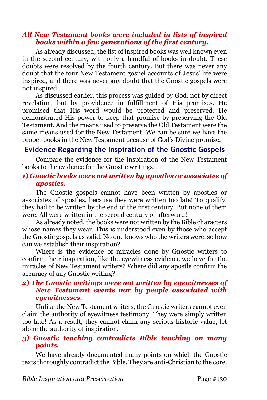### *All New Testament books were included in lists of inspired books within a few generations of the first century.*

As already discussed, the list of inspired books was well known even in the second century, with only a handful of books in doubt. These doubts were resolved by the fourth century. But there was never any doubt that the four New Testament gospel accounts of Jesus' life were inspired, and there was never any doubt that the Gnostic gospels were not inspired.

As discussed earlier, this process was guided by God, not by direct revelation, but by providence in fulfillment of His promises. He promised that His word would be protected and preserved. He demonstrated His power to keep that promise by preserving the Old Testament. And the means used to preserve the Old Testament were the same means used for the New Testament. We can be sure we have the proper books in the New Testament because of God's Divine promise.

# **Evidence Regarding the Inspiration of the Gnostic Gospels**

Compare the evidence for the inspiration of the New Testament books to the evidence for the Gnostic writings.

### *1) Gnostic books were not written by apostles or associates of apostles.*

The Gnostic gospels cannot have been written by apostles or associates of apostles, because they were written too late! To qualify, they had to be written by the end of the first century. But none of them were. All were written in the second century or afterward!

As already noted, the books were not written by the Bible characters whose names they wear. This is understood even by those who accept the Gnostic gospels as valid. No one knows who the writers were, so how can we establish their inspiration?

Where is the evidence of miracles done by Gnostic writers to confirm their inspiration, like the eyewitness evidence we have for the miracles of New Testament writers? Where did any apostle confirm the accuracy of any Gnostic writing?

### *2) The Gnostic writings were not written by eyewitnesses of New Testament events nor by people associated with eyewitnesses.*

Unlike the New Testament writers, the Gnostic writers cannot even claim the authority of eyewitness testimony. They were simply written too late! As a result, they cannot claim any serious historic value, let alone the authority of inspiration.

# *3) Gnostic teaching contradicts Bible teaching on many points.*

We have already documented many points on which the Gnostic texts thoroughly contradict the Bible. They are anti-Christian to the core.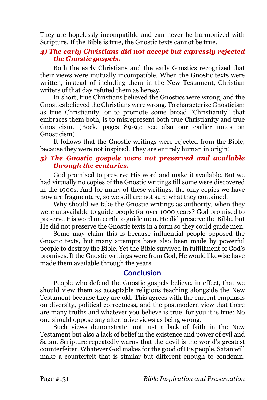They are hopelessly incompatible and can never be harmonized with Scripture. If the Bible is true, the Gnostic texts cannot be true.

### *4) The early Christians did not accept but expressly rejected the Gnostic gospels.*

Both the early Christians and the early Gnostics recognized that their views were mutually incompatible. When the Gnostic texts were written, instead of including them in the New Testament, Christian writers of that day refuted them as heresy.

In short, true Christians believed the Gnostics were wrong, and the Gnostics believed the Christians were wrong. To characterize Gnosticism as true Christianity, or to promote some broad "Christianity" that embraces them both, is to misrepresent both true Christianity and true Gnosticism. (Bock, pages 89-97; see also our earlier notes on Gnosticism)

It follows that the Gnostic writings were rejected from the Bible, because they were not inspired. They are entirely human in origin!

#### *5) The Gnostic gospels were not preserved and available through the centuries.*

God promised to preserve His word and make it available. But we had virtually no copies of the Gnostic writings till some were discovered in the 1900s. And for many of these writings, the only copies we have now are fragmentary, so we still are not sure what they contained.

Why should we take the Gnostic writings as authority, when they were unavailable to guide people for over 1000 years? God promised to preserve His word on earth to guide men. He did preserve the Bible, but He did not preserve the Gnostic texts in a form so they could guide men.

Some may claim this is because influential people opposed the Gnostic texts, but many attempts have also been made by powerful people to destroy the Bible. Yet the Bible survived in fulfillment of God's promises. If the Gnostic writings were from God, He would likewise have made them available through the years.

# **Conclusion**

People who defend the Gnostic gospels believe, in effect, that we should view them as acceptable religious teaching alongside the New Testament because they are old. This agrees with the current emphasis on diversity, political correctness, and the postmodern view that there are many truths and whatever you believe is true, for you it is true: No one should oppose any alternative views as being wrong.

Such views demonstrate, not just a lack of faith in the New Testament but also a lack of belief in the existence and power of evil and Satan. Scripture repeatedly warns that the devil is the world's greatest counterfeiter. Whatever God makes for the good of His people, Satan will make a counterfeit that is similar but different enough to condemn.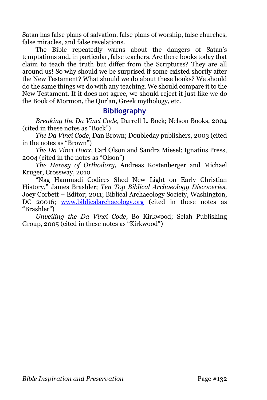Satan has false plans of salvation, false plans of worship, false churches, false miracles, and false revelations.

The Bible repeatedly warns about the dangers of Satan's temptations and, in particular, false teachers. Are there books today that claim to teach the truth but differ from the Scriptures? They are all around us! So why should we be surprised if some existed shortly after the New Testament? What should we do about these books? We should do the same things we do with any teaching. We should compare it to the New Testament. If it does not agree, we should reject it just like we do the Book of Mormon, the Qur'an, Greek mythology, etc.

# **Bibliography**

*Breaking the Da Vinci Code,* Darrell L. Bock; Nelson Books, 2004 (cited in these notes as "Bock")

*The Da Vinci Code*, Dan Brown; Doubleday publishers, 2003 (cited in the notes as "Brown")

*The Da Vinci Hoax*, Carl Olson and Sandra Miesel; Ignatius Press, 2004 (cited in the notes as "Olson")

*The Heresy of Orthodoxy,* Andreas Kostenberger and Michael Kruger, Crossway, 2010

"Nag Hammadi Codices Shed New Light on Early Christian History," James Brashler; *Ten Top Biblical Archaeology Discoveries,*  Joey Corbett – Editor; 2011; Biblical Archaeology Society, Washington, DC 20016; [www.biblicalarchaeology.org](http://www.biblicalarchaeology.org/) (cited in these notes as "Brashler")

*Unveiling the Da Vinci Code*, Bo Kirkwood; Selah Publishing Group, 2005 (cited in these notes as "Kirkwood")